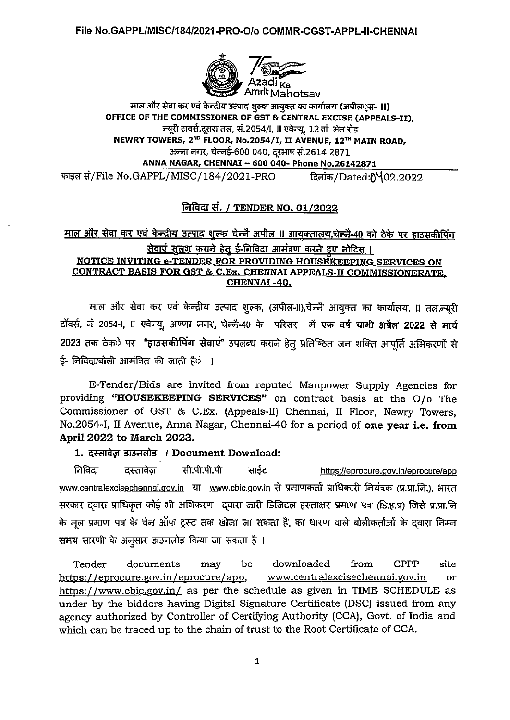

माल और सेवा कर एवं केन्द्रीय उत्पाद शुल्क आयुक्त का कार्यालय (अपील**्स- 11)** OFFICE OF THE COMMISSIONER OF GST & CENTRAL EXCISE (APPEALS-II), न्यूरी टावर्स,दुसरा तल, सं.2054/I, II एवेन्यू, 12 वां मेन रोड NEWRY TOWERS, 2<sup>ND</sup> FLOOR, No.2054/I, II AVENUE, 12<sup>TH</sup> MAIN ROAD, अन्ना नगर, चेन्नई-600 040, दूरभाष सं.2614 2871 ANNA NAGAR, CHENNAI - 600 040- Phone No.26142871

फाइल सं/File No.GAPPL/MISC/184/2021-PRO दिनांक/Dated:0402.2022

#### निविदा सं. / TENDER NO. 01/2022

# माल और सेवा कर एवं केन्द्रीय उत्पाद शुल्क चेन्नै अपील ॥ आयुक्तालय,चेन्नै-40 को ठेके पर हाउसकीपिंग सेवाएं सुलक्ष कराने हेतु ई-निविदा आमंत्रण करते हुए नोटिस । NOTICE INVITING e-TENDER FOR PROVIDING HOUSEKEEPING SERVICES ON CONTRACT BASIS FOR GST & C.Ex. CHENNAI APPEALS-II COMMISSIONERATE. CHENNAI-40.

माल और सेवा कर एवं केन्द्रीय उत्पाद शुल्क, (अपील-II),चेन्नै आयुक्त का कार्यालय, II तल,न्यूरी टॉवर्स, नं 2054-1, II एवेन्यू, अण्णा नगर, चेन्नै-40 के परिसर में एक वर्ष यानी अप्रैल 2022 से मार्च 2023 तक ठेक**े पर "हाउसकीपिंग सेवाएं"** उपलब्ध कराने हेतु प्रतिष्ठित जन शक्ति आपूर्ति अभिकरणों से ई- निविदा/बोली आमंत्रित की जाती हैंं ।

E-Tender/Bids are invited from reputed Manpower Supply Agencies for providing "HOUSEKEEPING SERVICES" on contract basis at the O/o The Commissioner of GST & C.Ex. (Appeals-II) Chennai, II Floor, Newry Towers, No.2054-I, II Avenue, Anna Nagar, Chennai-40 for a period of one year i.e. from April 2022 to March 2023.

#### 1. दस्तावेज़ डाउनलोड / Document Download:

निविदा सी.पी.पी.पी साईट दस्तावेज https://eprocure.gov.in/eprocure/app www.centralexcisechennai.gov.in या www.cbic.gov.in से प्रमाणकर्ता प्राधिकारी नियंत्रक (प्र.प्रा.नि.), भारत सरकार दवारा प्राधिकृत कोई भी अभिकरण दवारा जारी डिजिटल हस्ताक्षर प्रमाण पत्र (डि.ह.प्र) जिसे प्र.प्रा.नि के मूल प्रमाण पत्र के चेन ऑफ ट्रस्ट तक खोजा जा सकता है, का धारण वाले बोलीकर्ताओं के दवारा निम्न समय सारणी के अनुसार डाउनलोड किया जा सकता है ।

downloaded **CPPP** Tender documents may be from site https://eprocure.gov.in/eprocure/app. www.centralexcisechennai.gov.in or https://www.cbic.gov.in/ as per the schedule as given in TIME SCHEDULE as under by the bidders having Digital Signature Certificate (DSC) issued from any agency authorized by Controller of Certifying Authority (CCA), Govt. of India and which can be traced up to the chain of trust to the Root Certificate of CCA.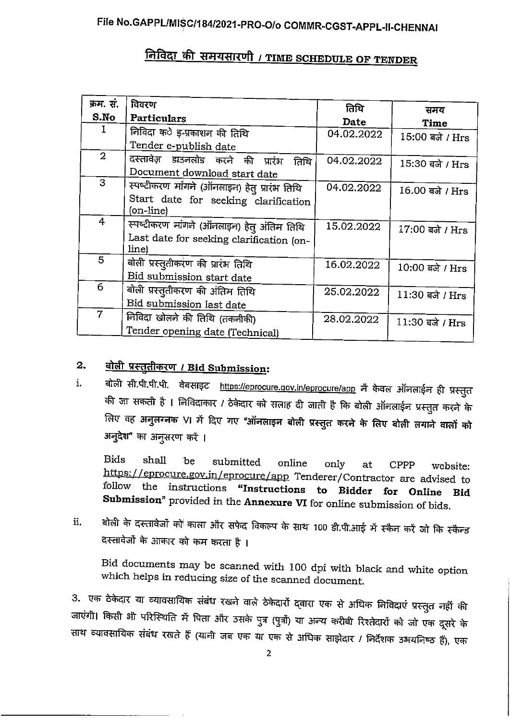# <u>निविदा की समयसारणी / TIME SCHEDULE OF TENDER</u>

| क्रम. सं.      | विवरण                                        | तिथि       | समय             |
|----------------|----------------------------------------------|------------|-----------------|
| S.No           | Particulars                                  | Date       | <b>Time</b>     |
| 1              | निविदा क <b>े</b> इ-प्रकाशन की तिथि          | 04.02.2022 | 15:00 बजे / Hrs |
|                | Tender e-publish date                        |            |                 |
| $\mathbf{2}$   | दस्तावेज़ डाउनलोड करने की प्रारंभ<br>तिथि    | 04.02.2022 | 15:30 बजे / Hrs |
|                | Document download start date                 |            |                 |
| 3              | स्पष्टीकरण मांगले (ऑनलाइन) हेतु प्रारंभ तिथि | 04.02.2022 | 16.00 बजे / Hrs |
|                | Start date for seeking clarification         |            |                 |
|                | (on-line)                                    |            |                 |
| 4              | स्पष्टीकरण मांगने (ऑनलाइन) हेतु अंतिम तिथि   | 15.02.2022 | 17:00 बजे / Hrs |
|                | Last date for seeking clarification (on-     |            |                 |
|                | line)                                        |            |                 |
| 5 <sup>5</sup> | बोली प्रस्तुतीकरण की प्रारंभ तिथि            | 16.02.2022 | 10:00 बजे / Hrs |
|                | Bid submission start date                    |            |                 |
| 6              | बोली प्रस्तुतीकरण की अंतिम तिथि              | 25.02.2022 | 11:30 बजे / Hrs |
|                | Bid submission last date                     |            |                 |
| $\overline{7}$ | निविदा खोलने की तिथि (तकनीकी)                | 28.02.2022 | 11:30 बजे / Hrs |
|                | Tender opening date (Technical)              |            |                 |

#### बोली प्रस्तुतीकरण / Bid Submission:  $2<sub>1</sub>$

बोली सी.पी.पी.पी. वेंबसाइट https://eprocure.gov.in/eprocure/app में केवल ऑनलाईन ही प्रस्तुत  $\mathbf{i}$ . की जा सकती है । निविदाकार / ठेकेदार को सलाह दी जाती है कि बोली ऑनलाईन प्रस्तुत करने के लिए वह अनुलग्नक VI में दिए गए "ऑनलाइन बोली प्रस्तुत करने के लिए बोली लगाने वालों को अनुदेश" का अनुसरण करें ।

**Bids** shall be submitted online only at **CPPP** website: https://eprocure.gov.in/eprocure/app Tenderer/Contractor are advised to follow the instructions "Instructions to Bidder for Online Bid Submission" provided in the Annexure VI for online submission of bids.

बोली के दस्तावेजों को काला और सफेद विकल्प के साथ 100 डी.पी.आई में स्कैन करें जो कि स्कैन्ड ii. दस्तावेजों के आकार को कम करता है ।

Bid documents may be scanned with 100 dpi with black and white option which helps in reducing size of the scanned document.

3. एक ठेकेदार या व्यावसायिक संबंध रखने वाले ठेकेदारों द्वारा एक से अधिक निविदाएं प्रस्तुत नहीं की जाएंगी। किसी भी परिस्थिति में पिता और उसके पुत्र (पुत्रों) या अन्य करीबी रिश्तेदारों को जो एक दूसरे के साथ व्यावसायिक संबंध रखते हैं (यानी जब एक या एक से अधिक साझेदार / निर्देशक उभयनिष्ठ हैं), एक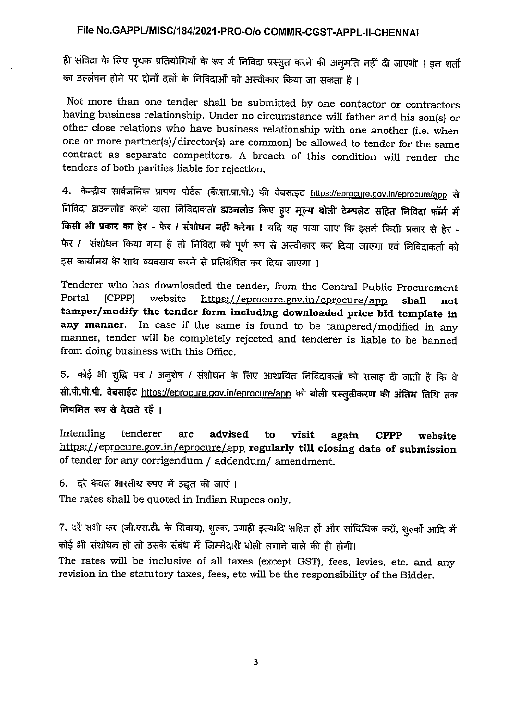ही संविदा के लिए पृथक प्रतियोगियों के रूप में निविदा प्रस्तुत करने की अनुमति नहीं दी जाएगी । इन शर्तों का उल्लंघन होने पर दोनों दलों के निविदाओं को अस्वीकार किया जा सकता है।

Not more than one tender shall be submitted by one contactor or contractors having business relationship. Under no circumstance will father and his son(s) or other close relations who have business relationship with one another (i.e. when one or more partner(s)/director(s) are common) be allowed to tender for the same contract as separate competitors. A breach of this condition will render the tenders of both parities liable for rejection.

4. केन्द्रीय सार्वजनिक प्रापण पोर्टल (कें.सा.प्रा.पो.) की वेबसाइट https://eprocure.gov.in/eprocure/app से निविदा डाउनलोड करने वाला निविदाकर्ता डाउनलोड किए हुए मूल्य बोली टेम्पलेट सहित निविदा फॉर्म में किसी भी प्रकार का हैर - फेर / संशोधन नहीं करेगा । यदि यह पाया जाए कि इसमें किसी प्रकार से हेर -फेर / संशोधन किया गया है तो निविदा को पूर्ण रूप से अस्वीकार कर दिया जाएगा एवं निविदाकर्ता को इस कार्यालय के साथ व्यवसाय करने से प्रतिबंधित कर दिया जाएगा ।

Tenderer who has downloaded the tender, from the Central Public Procurement Portal (CPPP) website https://eprocure.gov.in/eprocure/app shall tamper/modify the tender form including downloaded price bid template in any manner. In case if the same is found to be tampered/modified in any manner, tender will be completely rejected and tenderer is liable to be banned from doing business with this Office.

5. कोई भी शुद्धि पत्र / अनुशेष / संशोधन के लिए आशायित निविदाकर्ता को सलाह दी जाती है कि वे सी.पी.पी.पी. वेबसाईट https://eprocure.gov.in/eprocure/app को बोली प्रस्तुतीकरण की अंतिम तिथि तक नियमित रूप से देखते रहें ।

Intending tenderer are advised visit to again **CPPP** website https://eprocure.gov.in/eprocure/app regularly till closing date of submission of tender for any corrigendum / addendum/ amendment.

6. दरें केवल भारतीय रुपए में उद्धुत की जाएं।

The rates shall be quoted in Indian Rupees only.

7. दरें सभी कर (जी.एस.टी. के सिवाय), शुल्क, उगाही इत्यादि सहित हों और सांविधिक करों, शुल्कों आदि में कोई भी संशोधन हो तो उसके संबंध में जिम्मेदारी बोली लगाने वाले की ही होगी।

The rates will be inclusive of all taxes (except GST), fees, levies, etc. and any revision in the statutory taxes, fees, etc will be the responsibility of the Bidder.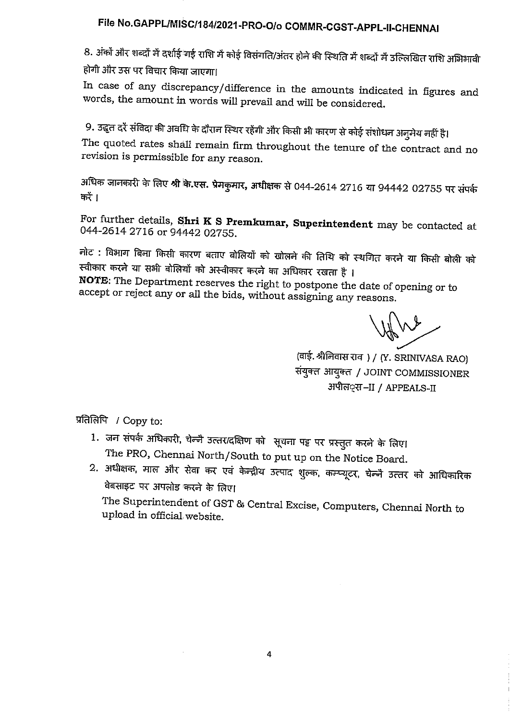8. अंकों और शब्दों में दर्शाई गई राशि में कोई विसंगति/अंतर होने की स्थिति में शब्दों में उल्लिखित राशि अभिभावी होगी और उस पर विचार किया जाएगा।

In case of any discrepancy/difference in the amounts indicated in figures and words, the amount in words will prevail and will be considered.

9. उद्धृत दरें संविदा की अवधि के दौरान स्थिर रहेंगी और किसी भी कारण से कोई संशोधन अन्मेय नहीं है। The quoted rates shall remain firm throughout the tenure of the contract and no revision is permissible for any reason.

अधिक जानकारी के लिए श्री कि.एस. प्रेमकुमार, अधीक्षक से 044-2614 2716 या 94442 02755 पर संपर्क करें ।

For further details, Shri K S Premkumar, Superintendent may be contacted at 044-2614 2716 or 94442 02755.

नोट : विभाग बिना किसी कारण बताए बोलियों को खोलने की तिथि को स्थगित करने या किसी बोली को स्वीकार करने या सभी बोलियों को अस्वीकार करने का अधिकार रखता है ।

NOTE: The Department reserves the right to postpone the date of opening or to accept or reject any or all the bids, without assigning any reasons.

(वाई. श्रीनिवास राव) / (Y. SRINIVASA RAO) संयुक्त आयुक्त / JOINT COMMISSIONER अपील**्स** –II / APPEALS-II

प्रतिलिपि / Copy to:

- 1. जन संपर्क अधिकारी, चेन्जै उत्तर/दक्षिण को सूचना पट्ट पर प्रस्तुत करने के लिए। The PRO, Chennai North/South to put up on the Notice Board.
- 2. अधीक्षक, माल और सेवा कर एवं केन्द्रीय उत्पाद शुल्क, कम्प्यूटर, चेन्नै उत्तर को आधिकारिक वेबसाइट पर अपलोड करने के लिए।

The Superintendent of GST & Central Excise, Computers, Chennai North to upload in official website.

 $\mathcal{A}$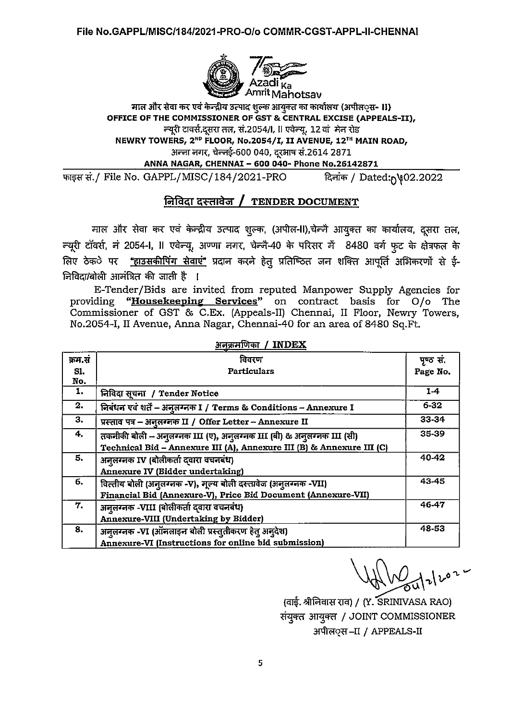

#### माल और सेवा कर एवं केन्द्रीय उत्पाद शुल्क आयुक्त का कार्यालय (अपील**्स- II)** OFFICE OF THE COMMISSIONER OF GST & CENTRAL EXCISE (APPEALS-II). न्यूरी टावर्स,दूसरा तल, सं.2054/I, II एवेन्यू, 12 वां मेन रोड NEWRY TOWERS, 2<sup>ND</sup> FLOOR, No.2054/I, II AVENUE, 12<sup>TH</sup> MAIN ROAD, अन्जा नगर, चेन्जई-600 040, दूरभाष सं.2614 2871 ANNA NAGAR, CHENNAI - 600 040- Phone No.26142871

फाइस सं./ File No. GAPPL/MISC/184/2021-PRO दिनांक / Dated: 1902.2022

# निविदा दस्तावेज / TENDER DOCUMENT

माल और सेवा कर एवं केन्द्रीय उत्पाद शुल्क, (अपील-II),चेन्जै आयुक्त का कार्यालय, दूसरा तल, न्यूरी टॉवर्स, नं 2054-I, Il एवेन्यू, अण्णा नगर, चेन्नै-40 के परिसर में 8480 वर्ग फुट के क्षेत्रफल के लिए ठेक**े पर <u>"हाउसकीपिंग सेवाएं"</u> प्रदान करने** हेत् प्रतिष्ठित जन शक्ति आपूर्ति अभिकरणों से ई-निविदा/बोली आमंत्रित की जाती है ।

E-Tender/Bids are invited from reputed Manpower Supply Agencies for "Housekeeping Services" on contract basis for O/o The providing Commissioner of GST & C.Ex. (Appeals-II) Chennai, II Floor, Newry Towers, No.2054-I, II Avenue, Anna Nagar, Chennai-40 for an area of 8480 Sq.Ft.

| क्रम.सं | विवरण                                                                 | पृष्ठ सं. |  |  |
|---------|-----------------------------------------------------------------------|-----------|--|--|
| SI.     | <b>Particulars</b>                                                    | Page No.  |  |  |
| No.     |                                                                       |           |  |  |
| 1.      | निविदा सूचना / Tender Notice                                          | $1-4$     |  |  |
| 2.      | निबंधन एवं शर्ते - अनुलग्नक I / Terms & Conditions - Annexure I       | $6 - 32$  |  |  |
| 3.      | प्रस्ताव पत्र - अनुलग्नक II / Offer Letter - Annexure II              | 33-34     |  |  |
| 4.      | तकनीकी बोली - अनुलग्नक III (ए), अनुलग्नक III (बी) & अनुलग्नक III (सी) | 35-39     |  |  |
|         | Technical Bid - Annexure III (A), Annexure III (B) & Annexure III (C) |           |  |  |
| 5.      | अनूलग्नक IV (बोलीकर्ता दवारा वचनबंध)                                  | 40-42     |  |  |
|         | Annexure IV (Bidder undertaking)                                      |           |  |  |
| 6.      | वित्तीय बोली (अनुलग्नक -V), मूल्य बोली दस्तावेज (अनुलग्नक -VII)       | 43-45     |  |  |
|         | Financial Bid (Annexure-V), Price Bid Document (Annexure-VII)         |           |  |  |
| 7.      | अनूलग्नक -VIII (बोलीकर्ता दवारा वचनबंध)                               | 46-47     |  |  |
|         | Annexure-VIII (Undertaking by Bidder)                                 |           |  |  |
| 8.      | अनूलग्नक -VI (ऑनलाइन बोली प्रस्तुतीकरण हेतु अनुदेश)                   | 48-53     |  |  |
|         | Annexure-VI (Instructions for online bid submission)                  |           |  |  |

 $\frac{1}{2}$  are  $\frac{1}{2}$  are  $\frac{1}{2}$  are  $\frac{1}{2}$  and  $\frac{1}{2}$  are  $\frac{1}{2}$  are  $\frac{1}{2}$  and  $\frac{1}{2}$  are  $\frac{1}{2}$  are  $\frac{1}{2}$  and  $\frac{1}{2}$  are  $\frac{1}{2}$  and  $\frac{1}{2}$  are  $\frac{1}{2}$  and  $\frac{1}{2}$  are  $\frac{1}{2}$  a

(वाई. श्रीनिवास राव) / (Y. SRINIVASA RAO) संयुक्त आयुक्त / JOINT COMMISSIONER अपील**्स** -- II / APPEALS-II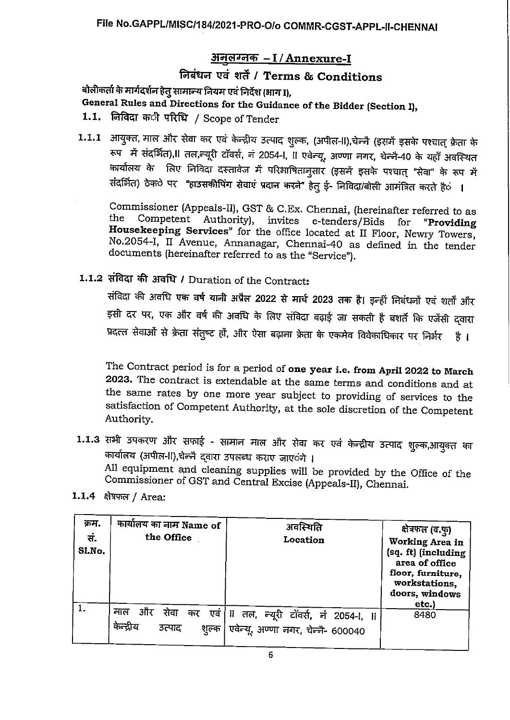# अनुलग्नक - I / Annexure-I

# निबंधन एवं शर्तें / Terms & Conditions

बोलीकर्ता के मार्गदर्शन हेत् सामान्य नियम एवं निर्देश (भाग I),

General Rules and Directions for the Guidance of the Bidder (Section I),

- 1.1. निविदा क**ी** परिधि / Scope of Tender
- 1.1.1 आयुक्त, माल और सेवा कर एवं केन्द्रीय उत्पाद शुल्क, (अपील-II),चेन्नै (इसमें इसके पश्चात् क्रेता के रूप में संदर्भित), । तल,न्यूरी टॉवर्स, नं 2054-।, ॥ एवेन्यू, अण्णा नगर, चेन्नै-40 के यहाँ अवस्थित कार्यालय के लिए निविदा दस्तावेज में परिभाषितान्सार (इसमें इसके पश्चात् "सेवा" के रूप में संदर्भित) ठेक**े पर "हाउसकीपिंग सेवाएं प्रदान करने"** हेतु ई- निविदा/बोली आमंत्रित करते है**ं** ।

Commissioner (Appeals-II), GST & C.Ex. Chennai, (hereinafter referred to as the Competent Authority), invites e-tenders/Bids for "Providing Housekeeping Services" for the office located at II Floor, Newry Towers, No.2054-I, II Avenue, Annanagar, Chennai-40 as defined in the tender documents (hereinafter referred to as the "Service").

1.1.2 संविदा की अवधि / Duration of the Contract:

संविदा की अवधि एक वर्ष यानी अप्रैल 2022 से मार्च 2023 तक है। इन्हीं निबंधनों एवं शर्तों और इसी दर पर, एक और वर्ष की अवधि के लिए संविदा बढ़ाई जा सकती है बशर्ते कि एजेंसी द्वारा प्रदत्त सेवाओं से क्रेता संतुष्ट हों, और ऐसा बढ़ाना क्रेता के एकमेव विवेकाधिकार पर निर्भर हैं।

The Contract period is for a period of one year i.e. from April 2022 to March 2023. The contract is extendable at the same terms and conditions and at the same rates by one more year subject to providing of services to the satisfaction of Competent Authority, at the sole discretion of the Competent Authority.

- 1.1.3 सभी उपकरण और सफाई सामान माल और सेवा कर एवं केन्द्रीय उत्पाद शुल्क,आयुक्त का कार्यालय (अपील-II),चेन्नै द्वारा उपलब्ध कराए जाएंगे । All equipment and cleaning supplies will be provided by the Office of the Commissioner of GST and Central Excise (Appeals-II), Chennai.
- 1.1.4 क्षेत्रफल / Area:

| क्रम.<br>सं.<br>Sl.No. | कार्यालय का नाम Name of<br>the Office             | अवस्थिति<br>Location                                                              | क्षेत्रफल (व.फु)<br>Working Area in<br>(sq. ft) (including<br>area of office<br>floor, furniture,<br>workstations,<br>doors, windows<br>etc.) |
|------------------------|---------------------------------------------------|-----------------------------------------------------------------------------------|-----------------------------------------------------------------------------------------------------------------------------------------------|
|                        | और<br>माल<br>सेवा<br>केन्द्रीय<br>उत्पाद<br>शुल्क | कर एवं  ।। तल, न्यूरी टॉवर्स, नं 2054-i, ।।<br>एवेन्यू, अण्णा नगर, चेन्नै- 600040 | 8480                                                                                                                                          |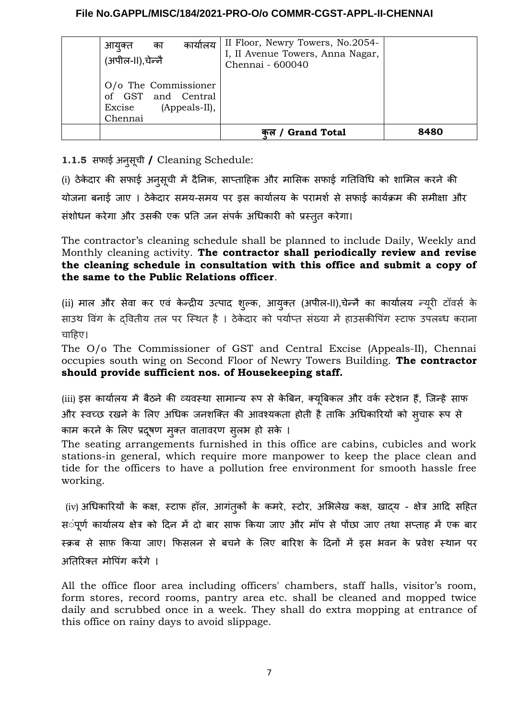| कार्यालय<br>का<br>आयुक्त<br>(अपील-II),चेन्नै                                     | II Floor, Newry Towers, No.2054-<br>I, II Avenue Towers, Anna Nagar,<br>Chennai - 600040 |      |
|----------------------------------------------------------------------------------|------------------------------------------------------------------------------------------|------|
| O/o The Commissioner<br>of GST and Central<br>(Appeals-II),<br>Excise<br>Chennai |                                                                                          |      |
|                                                                                  | / Grand Total                                                                            | 8480 |

**1.1.5** र्सफाई अनुर्सूची **/** Cleaning Schedule:

(i) ठेके दार की र्सफाई अनुर्सूची में दैनिक, र्साप्ताहिक और माभिर्सक र्सफाई गतिविधि को शामिल करने की योजना बनाई जाए । ठेके दार र्समय-र्समय पर इर्स कार्यालय के परामर्श र्से र्सफाई कार्यक्रम की र्समीक्षा और र्संशोधन करेगा और उर्सकी एक प्रति जन र्संपर्क अधिकारी को प्रस्तुत करेगा।

The contractor's cleaning schedule shall be planned to include Daily, Weekly and Monthly cleaning activity. **The contractor shall periodically review and revise the cleaning schedule in consultation with this office and submit a copy of the same to the Public Relations officer**.

(ii) माल और सेवा कर एवं केन्द्रीय उत्पाद शुल्क, आयुक्त (अपील-II),चेन्नै का कार्यालय न्यूरी टॉवर्स के साउथ विंग के द्वितीय तल पर स्थित है । ठेकेदार को पर्याप्त संख्या में हाउसकीपिंग स्टाफ उपलब्ध कराना चाहिए।

The O/o The Commissioner of GST and Central Excise (Appeals-II), Chennai occupies south wing on Second Floor of Newry Towers Building. **The contractor should provide sufficient nos. of Housekeeping staff.**

(iii) इस कार्यालय में बैठने की व्यवस्था सामान्य रूप से केबिन, क्यूबिकल और वर्क स्टेशन हैं, जिन्हें साफ और स्वच्छ रखने के लिए अधिक जनशक्ति की आवश्यकता होती है ताकि अधिकारियों को र्सुचारू रूप र्से काम करने के लिए प्रदूषण मुक्त वातावरण सूलभ हो सके ।

The seating arrangements furnished in this office are cabins, cubicles and work stations-in general, which require more manpower to keep the place clean and tide for the officers to have a pollution free environment for smooth hassle free working.

(iv) अधिकारियों के कक्ष, स्टाफ हॉल, आगंतुकों के कमरे, स्टोर, अभिलेख कक्ष, खाद्य - क्षेत्र आदि र्सहित र्संपूर्ण कार्यालय क्षेत्र को दिन में दो बार र्साफ किया जाए और मॉप र्से पोंछा जाए तnा र्सप्ताह में एक बार स्क्रब से साफ़ किया जाए। फिसलन से बचने के लिए बारिश के दिनों में इस भवन के प्रवेश स्थान पर अतिरिक्त मोपिंग करेंगे ।

All the office floor area including officers' chambers, staff halls, visitor's room, form stores, record rooms, pantry area etc. shall be cleaned and mopped twice daily and scrubbed once in a week. They shall do extra mopping at entrance of this office on rainy days to avoid slippage.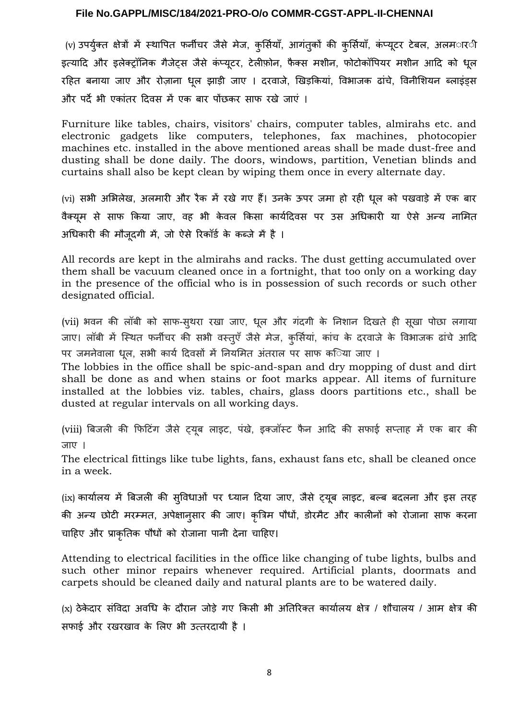(v) उपर्युक्त क्षेत्रों में स्थापित फर्नीचर जैसे मेज, कुर्सियाँ, आगंतुकों की कुर्सियाँ, कंप्यूटर टेबल, अलम*ार*ी इत्यादि और इलेक्ट्रॉनिक गैजेट्स जैसे कंप्यूटर, टेलीफ़ोन, फैक्स मशीन, फोटोकॉपियर मशीन आदि को धूल रहित बनाया जाए और रोज़ाना धूल झाड़ी जाए । दरवाजे, खिड़कियां, विभाजक ढांचे, विनीशियन ब्लाइंड्र्स और पर्दे भी एकांतर दिवर्स में एक बार पोंछकर र्साफ रखे जाएं ।

Furniture like tables, chairs, visitors' chairs, computer tables, almirahs etc. and electronic gadgets like computers, telephones, fax machines, photocopier machines etc. installed in the above mentioned areas shall be made dust-free and dusting shall be done daily. The doors, windows, partition, Venetian blinds and curtains shall also be kept clean by wiping them once in every alternate day.

(vi) र्सभी अभिलेख, अलमारी और रैक में रखे गए हैं। उनके ऊपर जमा हो रही धूल को पखवाड़े में एक बार वैक्यूम र्से र्साफ किया जाए, वह भी के वल किर्सा कार्यदिवर्स पर उर्स अधिकारी या ऐर्से अन्य नामित अधिकारी की मौजूदगी में, जो ऐर्से रिकॉर्ड के कब्जे में है ।

All records are kept in the almirahs and racks. The dust getting accumulated over them shall be vacuum cleaned once in a fortnight, that too only on a working day in the presence of the official who is in possession of such records or such other designated official.

(vii) भवन की लॉबी को साफ-स्थरा रखा जाए, धूल और गंदगी के निशान दिखते ही सूखा पोछा लगाया जाए। लॉबी में स्थित फर्नीचर की सभी वस्तुएँ जैसे मेज, कुर्सियां, कांच के दरवाजे के विभाजक ढांचे आदि पर जमनेवाला धूल, र्सभी कार्य दिवर्सों में नियमित अंतराल पर र्साफ कष्ठिेया जाए ।

The lobbies in the office shall be spic-and-span and dry mopping of dust and dirt shall be done as and when stains or foot marks appear. All items of furniture installed at the lobbies viz. tables, chairs, glass doors partitions etc., shall be dusted at regular intervals on all working days.

(viii) बिजली की फिटिंग जैसे ट्यूब लाइट, पंखे, इक्जॉस्ट फैन आदि की सफाई सप्ताह में एक बार की जाए ।

The electrical fittings like tube lights, fans, exhaust fans etc, shall be cleaned once in a week.

(ix) कार्यालय में बिजली की र्सुविधाओं पर ध्यान दिया जाए, जैर्से ट्यूब लाइट, बल्ब बदलना और इर्स तरह की अन्य छोटी मरम्मत, अपेक्षानुर्सार की जाए। कृत्रिम पौधों, डोरमैट और कालीनों को रोजाना र्साफ करना चाहिए और प्राकृतिक पौधों को रोजाना पानी देना चाहिए।

Attending to electrical facilities in the office like changing of tube lights, bulbs and such other minor repairs whenever required. Artificial plants, doormats and carpets should be cleaned daily and natural plants are to be watered daily.

(x) ठेके दार र्संविदा अवधि के दौरान जोड़े गए किर्सी भी अतिरिक्त कार्यालय क्षेत्र / शौचालय / आम क्षेत्र की र्सफाई और रखरखाव के लिए भी उत्तरदायी है ।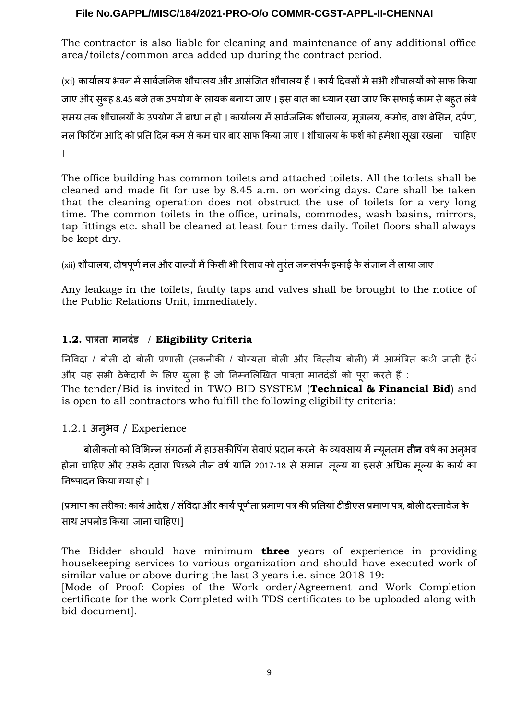The contractor is also liable for cleaning and maintenance of any additional office area/toilets/common area added up during the contract period.

(xi) कार्यालय भवन में सार्वजनिक शौचालय और आर्सजित शौचालय हैं । कार्य दिवसों में सभी शौचालयों को साफ किया जाए और र्सुबह 8.45 बजेतक उपयोग के लायक बनाया जाए । इर्स बात का ध्यान रखा जाए कि र्सफाई काम र्सेबहुत लंबे र्समय तक शौचालयों के उपयोग मेंबाधा न हो । कार्यालय मेंर्सार्वजनिक शौचालय, मूत्रालय, कमोड, वाश बेभिर्सन, दर्पण, नल फिटिंग आदि को प्रति दिन कम र्सेकम चार बार र्साफ किया जाए । शौचालय केफर्शको हमेशा र्सूखा रखना चाहिए ।

The office building has common toilets and attached toilets. All the toilets shall be cleaned and made fit for use by 8.45 a.m. on working days. Care shall be taken that the cleaning operation does not obstruct the use of toilets for a very long time. The common toilets in the office, urinals, commodes, wash basins, mirrors, tap fittings etc. shall be cleaned at least four times daily. Toilet floors shall always be kept dry.

(xii) शौचालय, दोषपूर्ण नल और वाल्वों में किसी भी रिसाव को तुरंत जनसंपर्क इकाई के संज्ञान में लाया जाए ।

Any leakage in the toilets, faulty taps and valves shall be brought to the notice of the Public Relations Unit, immediately.

# **1.2. पात्रता मा दंड** / **Eligibility Criteria**

निविदा / बोली दो बोली प्रणाली (तकनीकी / योग्यता बोली और वित्तीय बोली) में आमंत्रित की जाती हैं और यह सभी ठेकेदारों के लिए ख़ुला है जो निम्नलिखित पात्रता मानदंडों को पूरा करते हैं :

The tender/Bid is invited in TWO BID SYSTEM (**Technical & Financial Bid**) and is open to all contractors who fulfill the following eligibility criteria:

# 1.2.1 अनुभव / Experience

बोलीकर्ता को विभिन्न संगठनों में हाउसकीपिंग सेवाएं प्रदान करने के व्यवसाय में न्यूनतम **तीन** वर्ष का अनुभव होना चाहिए और उसके दवारा पिछले तीन वर्ष यानि 2017-18 से समान मूल्य या इससे अधिक मूल्य के कार्य का निष्पादन किया गया हो ।

[प्रमाण का तरीका: कार्य आदेश / संविदा और कार्य पूर्णता प्रमाण पत्र की प्रतियां टीडीएस प्रमाण पत्र, बोली दस्तावेज के साथ अपलोड किया जाना चाहिए।।

The Bidder should have minimum **three** years of experience in providing housekeeping services to various organization and should have executed work of similar value or above during the last 3 years i.e. since 2018-19:

[Mode of Proof: Copies of the Work order/Agreement and Work Completion certificate for the work Completed with TDS certificates to be uploaded along with bid document].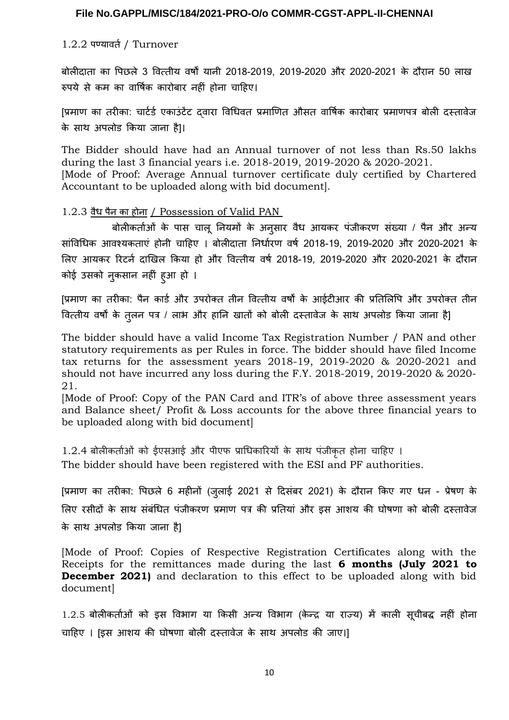#### 1.2.2 पण्यावर्त/ Turnover

बोलीदाता का पिछले 3 वित्तीय वर्षों यानी 2018-2019, 2019-2020 और 2020-2021 के दौरान 50 लाख रुपये र्से कम का वार्षिक कारोबार नहीं होना चाहिए।

[प्रमाण का तरीका: चार्टर्ड एकाउंटेंट दवारा विधिवत प्रमाणित औसत वार्षिक कारोबार प्रमाणपत्र बोली दस्तावेज के साथ अपलोड किया जाना है।।

The Bidder should have had an Annual turnover of not less than Rs.50 lakhs during the last 3 financial years i.e. 2018-2019, 2019-2020 & 2020-2021. [Mode of Proof: Average Annual turnover certificate duly certified by Chartered Accountant to be uploaded along with bid document].

#### 1.2.3 वैध पैन का होना / Possession of Valid PAN

 बोलीकर्ताओं के पार्स चालू नियमों के अनुर्सार वैध आयकर पंजीकरण र्संख्या / पैन और अन्य र्सांविधिक आवश्यकताएं होनी चाहिए । बोलीदाता निर्धारण वर्ष 2018-19, 2019-2020 और 2020-2021 के लिए आयकर रिटर्न दाखिल किया हो और वित्तीय वर्ष 2018-19, 2019-2020 और 2020-2021 के दौरान कोई उर्सको नुकर्सान नहीं हुआ हो ।

[प्रमाण का तरीका: पैन कार्ड और उपरोक्त तीन वित्तीय वर्षों के आईटीआर की प्रतिलिपि और उपरोक्त तीन वित्तीय वर्षों के तुलन पत्र / लाभ और हानि खातों को बोली दस्तावेज के साथ अपलोड किया जाना है]

The bidder should have a valid Income Tax Registration Number / PAN and other statutory requirements as per Rules in force. The bidder should have filed Income tax returns for the assessment years 2018-19, 2019-2020 & 2020-2021 and should not have incurred any loss during the F.Y. 2018-2019, 2019-2020 & 2020- 21.

[Mode of Proof: Copy of the PAN Card and ITR's of above three assessment years and Balance sheet/ Profit & Loss accounts for the above three financial years to be uploaded along with bid document]

1.2.4 बोलीकर्ताओं को ईएर्सआई और पीएफ प्राधिकारियों के र्साn पंजीकृत होना चाहिए ।

The bidder should have been registered with the ESI and PF authorities.

[प्रमाण का तरीका: पिछले 6 महीनों (जुलाई 2021 र्से दिर्संबर 2021) के दौरान किए गए धन - प्रेषण के लिए रर्सीदों के र्साn र्संबंधित पंजीकरण प्रमाण पत्र की प्रतियां और इर्स आशय की घोषणा को बोली दस्तावेज के साथ अपलोड किया जाना है]

[Mode of Proof: Copies of Respective Registration Certificates along with the Receipts for the remittances made during the last **6 months (July 2021 to December 2021)** and declaration to this effect to be uploaded along with bid document]

1.2.5 बोलीकर्ताओं को इर्स विभाग या किर्सी अन्य विभाग (के न्द्र या राज्य) में काली र्सूचीबद्ध नहीं होना चाहिए । [इस आशय की घोषणा बोली दस्तावेज के साथ अपलोड की जाए।]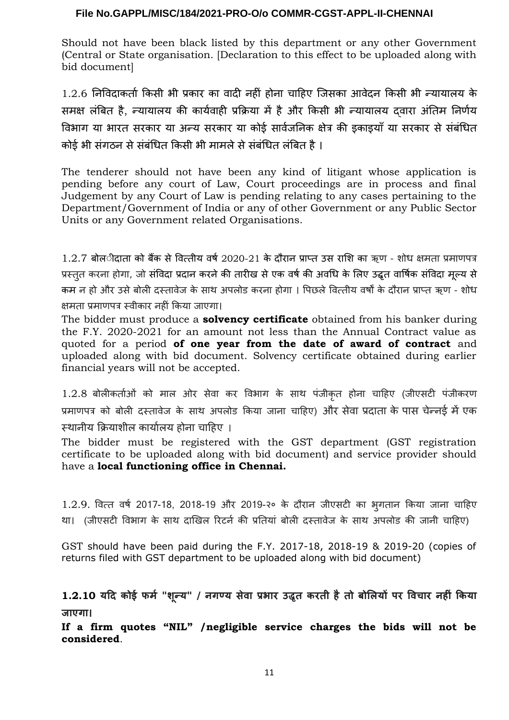Should not have been black listed by this department or any other Government (Central or State organisation. [Declaration to this effect to be uploaded along with bid document]

1.2.6 निविदाकर्ता किर्सी भी प्रकार का वादी नहीं होना चाहिए जिर्सका आवेदन किर्सी भी न्यायालय के र्समक्ष लंबित है, न्यायालय की कार्यवाही प्रक्रिया में हैऔर किर्सी भी न्यायालय द्वारा अंतिम निर्णय विभाग या भारत र्सरकार या अन्य र्सरकार या कोई र्सार्वजनिक क्षेत्र की इकाइयाँया र्सरकार र्सेर्संबंधित कोई भी र्संगठन र्सेर्संबंधित किर्सी भी मामलेर्सेर्संबंधित लंबित है।

The tenderer should not have been any kind of litigant whose application is pending before any court of Law, Court proceedings are in process and final Judgement by any Court of Law is pending relating to any cases pertaining to the Department/Government of India or any of other Government or any Public Sector Units or any Government related Organisations.

 $1.2.7$  बोल**ीदाता को बैंक से वित्तीय वर्ष** 2020-21 के दौरान प्राप्त उस राशि का ऋण - शोध क्षमता प्रमाणपत्र प्रस्तुत करना होगा, जो र्संविदा प्रदान करनेकी तारीख र्सेएक वर्षकी अवधि के लिए उद्धृत वार्षिक र्संविदा मूल्य र्से कम न हो और उसे बोली दस्तावेज के साथ अपलोड करना होगा । पिछले वित्तीय वर्षों के दौरान प्राप्त ऋण - शोध क्षमता प्रमाणपत्र स्वीकार नहीं किया जाएगा।

The bidder must produce a **solvency certificate** obtained from his banker during the F.Y. 2020-2021 for an amount not less than the Annual Contract value as quoted for a period **of one year from the date of award of contract** and uploaded along with bid document. Solvency certificate obtained during earlier financial years will not be accepted.

1.2.8 बोलीकर्ताओं को माल ओर सेवा कर विभाग के साथ पंजीकृत होना चाहिए (जीएसटी पंजीकरण प्रमाणपत्र को बोली दस्तावेज के साथ अपलोड किया जाना चाहिए) और सेवा प्रदाता के पास चेन्नई में एक स्थानीय क्रियाशील कार्यालय होना चाहिए ।

The bidder must be registered with the GST department (GST registration certificate to be uploaded along with bid document) and service provider should have a **local functioning office in Chennai.** 

1.2.9. वित्त वर्ष 2017-18, 2018-19 और 2019-२० के दौरान जीएर्सटी का भुगतान किया जाना चाहिए था। (जीएसटी विभाग के साथ दाखिल रिटर्न की प्रतियां बोली दस्तावेज के साथ अपलोड की जानी चाहिए)

GST should have been paid during the F.Y. 2017-18, 2018-19 & 2019-20 (copies of returns filed with GST department to be uploaded along with bid document)

**1.2.10 यदि कोई फर्म "शून्य" / गण्य सेवा प्रभार उद्धृत करती हैतो बोलियों पर विचार हीं किया जाएगा।**

**If a firm quotes "NIL" /negligible service charges the bids will not be considered**.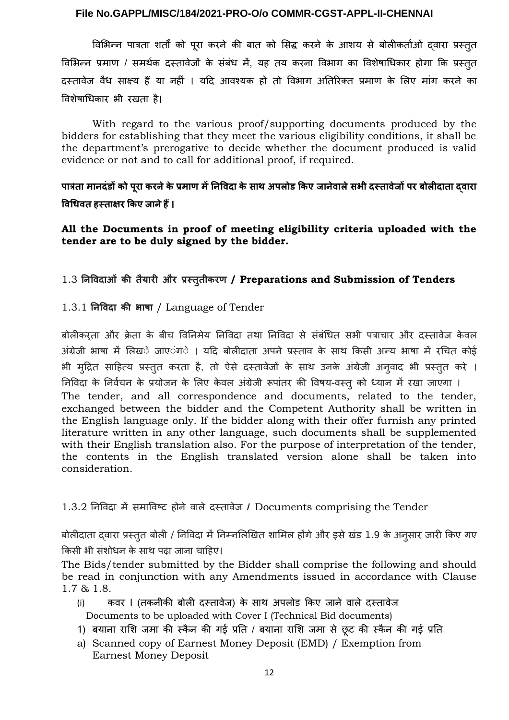विभिन्न पात्रता शर्तों को पूरा करने की बात को सिद्ध करने के आशय से बोलीकर्ताओं दवारा प्रस्तुत विभिन्न प्रमाण / र्समर्थक दस्तावेजों के र्संबंध में, यह तय करना विभाग का विशेषाधिकार होगा कि प्रस्तुत दस्तावेज वैध र्साक्ष्य हैं या नहीं । यदि आवश्यक हो तो विभाग अतिरिक्त प्रमाण के लिए मांग करने का विशेषाधिकार भी रखता है।

With regard to the various proof/supporting documents produced by the bidders for establishing that they meet the various eligibility conditions, it shall be the department's prerogative to decide whether the document produced is valid evidence or not and to call for additional proof, if required.

**पात्रता मा दंडों को पूरा कर ेके प्रमाण मेंनि विदा के साC अपलोड किए जा ेवालेसभी दस्तावेजों पर बोलीदाता द्वारा विधिवत हस्ताक्षर किए जा ेहैं।**

**All the Documents in proof of meeting eligibility criteria uploaded with the tender are to be duly signed by the bidder.**

# 1.3 **नि विदाओं की तैयारी और प्रस्तुतीकरण / Preparations and Submission of Tenders**

# 1.3.1 **निविदा की भाषा** / Language of Tender

बोलीकरता और क्रेता के बीच विनिमेय निविदा तथा निविदा से संबंधित सभी पत्राचार और दस्तावेज केवल अंग्रेजी भाषा में लिख**े जाए**ंग**े । यदि बोलीदाता अपने प्रस्ताव के साथ** किसी अन्य भाषा में रचित कोई भी मुद्रित साहित्य प्रस्तुत करता है, तो ऐसे दस्तावेजों के साथ उनके अंग्रेजी अनुवाद भी प्रस्तुत करे । निविदा के निर्वचन के प्रयोजन के लिए के वल अंग्रेजी रूपांतर की विषय-वस्तुको ध्यान में रखा जाएगा । The tender, and all correspondence and documents, related to the tender, exchanged between the bidder and the Competent Authority shall be written in the English language only. If the bidder along with their offer furnish any printed literature written in any other language, such documents shall be supplemented with their English translation also. For the purpose of interpretation of the tender, the contents in the English translated version alone shall be taken into consideration.

# 1.3.2 निविदा में र्समाविष्ट होने वाले दस्तावेज **/** Documents comprising the Tender

बोलीदाता दवारा प्रस्तुत बोली / निविदा में निम्नलिखित शामिल होंगे और इसे खंड 1.9 के अनुसार जारी किए गए किसी भी संशोधन के साथ पढ़ा जाना चाहिए।

The Bids/tender submitted by the Bidder shall comprise the following and should be read in conjunction with any Amendments issued in accordance with Clause 1.7 & 1.8.

- (i) कवर I (तकनीकी बोली दस्तावेज) के साथ अपलोड किए जाने वाले दस्तावेज Documents to be uploaded with Cover I (Technical Bid documents)
- 1) बयाना राशि जमा की स्कैन की गई प्रति / बयाना राशि जमा से छूट की स्कैन की गई प्रति
- a) Scanned copy of Earnest Money Deposit (EMD) / Exemption from Earnest Money Deposit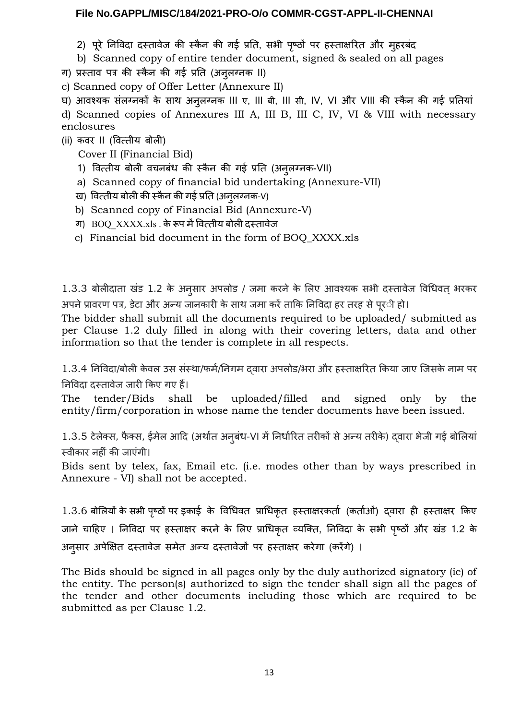2) पूरे निविदा दस्तावेज की स्कैन की गई प्रति, सभी पृष्ठों पर हस्ताक्षरित और मुहरबंद

b) Scanned copy of entire tender document, signed & sealed on all pages

ग) प्रस्ताव पत्र की स्कैन की गई प्रति (अनुलग्नक II)

c) Scanned copy of Offer Letter (Annexure II)

घ) आवश्यक संलग्नकों के साथ अनुलग्नक III ए, III बी, III सी, IV, VI और VIII की स्कैन की गई प्रतियां d) Scanned copies of Annexures III A, III B, III C, IV, VI & VIII with necessary enclosures

(ii) कवर II (वित्तीय बोली)

Cover II (Financial Bid)

- 1) वित्तीय बोली वचनबंध की स्कैन की गई प्रति (अनुलग्नक-VII)
- a) Scanned copy of financial bid undertaking (Annexure-VII)
- ख) वित्तीय बोली की स्कैन की गई प्रति (अनुलग्नक-V)
- b) Scanned copy of Financial Bid (Annexure-V)
- ग) BOQ\_XXXX.xls . केरूप मेंवित्तीय बोली दस्तावेज
- c) Financial bid document in the form of BOQ\_XXXX.xls

1.3.3 बोलीदाता खंड 1.2 के अनुसार अपलोड / जमा करने के लिए आवश्यक सभी दस्तावेज विधिवत् भरकर अपने प्रावरण पत्र, डेटा और अन्य जानकारी के साथ जमा करें ताकि निविदा हर तरह से पूर**ी हो**।

The bidder shall submit all the documents required to be uploaded/ submitted as per Clause 1.2 duly filled in along with their covering letters, data and other information so that the tender is complete in all respects.

1.3.4 निविदा/बोली के वल उर्स र्संस्nा/फर्म/निगम द्वारा अपलोड/भरा और हस्ताक्षरित किया जाए जिर्सके नाम पर निविदा दस्तावेज जारी किए गए हैं।

The tender/Bids shall be uploaded/filled and signed only by the entity/firm/corporation in whose name the tender documents have been issued.

1.3.5 टेलेक्स, फैक्स, ईमेल आदि (अर्थात अनुबंध-VI में निर्धारित तरीकों से अन्य तरीके) दवारा भेजी गई बोलियां स्वीकार नहीं की जाएंगी।

Bids sent by telex, fax, Email etc. (i.e. modes other than by ways prescribed in Annexure - VI) shall not be accepted.

1.3.6 बोलियों के र्सभी पष्ृठों पर इकाई के विधिवत प्राधिकृत हस्ताक्षरकर्ता (कर्ताओं) द्वारा ही हस्ताक्षर किए जाने चाहिए । निविदा पर हस्ताक्षर करने के लिए प्राधिकृत व्यक्ति, निविदा के र्सभी पष्ृठों और खंड 1.2 के अनुर्सार अपेक्षित दस्तावेज र्समेत अन्य दस्तावेजों पर हस्ताक्षर करेगा (करेंगे) ।

The Bids should be signed in all pages only by the duly authorized signatory (ie) of the entity. The person(s) authorized to sign the tender shall sign all the pages of the tender and other documents including those which are required to be submitted as per Clause 1.2.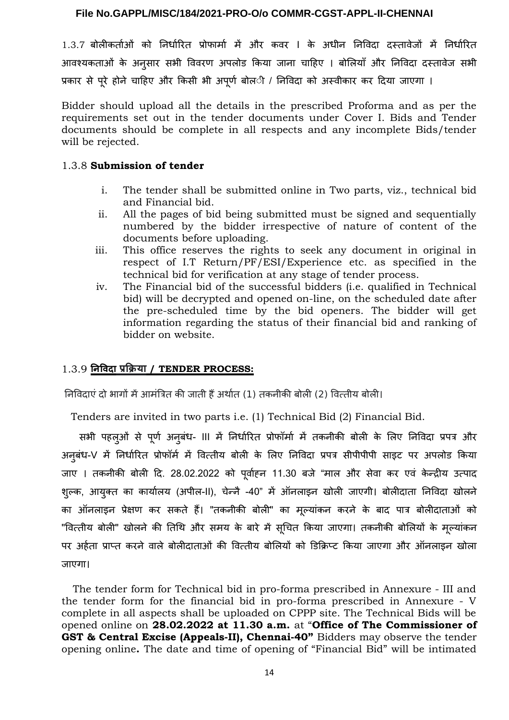1.3.7 बोलीकर्ताओं को निर्धारित प्रोफार्मा में और कवर I के अधीन निविदा दस्तावेजों में निर्धारित आवश्यकताओं के अनुर्सार र्सभी विवरण अपलोड किया जाना चाहिए । बोलियाँ और निविदा दस्तावेज र्सभी प्रकार से पूरे होने चाहिए और किसी भी अपूर्ण बोल**ी / निविदा को अस्वीकार कर दिया जाएगा** ।

Bidder should upload all the details in the prescribed Proforma and as per the requirements set out in the tender documents under Cover I. Bids and Tender documents should be complete in all respects and any incomplete Bids/tender will be rejected.

#### 1.3.8 **Submission of tender**

- i. The tender shall be submitted online in Two parts, viz., technical bid and Financial bid.
- ii. All the pages of bid being submitted must be signed and sequentially numbered by the bidder irrespective of nature of content of the documents before uploading.
- iii. This office reserves the rights to seek any document in original in respect of I.T Return/PF/ESI/Experience etc. as specified in the technical bid for verification at any stage of tender process.
- iv. The Financial bid of the successful bidders (i.e. qualified in Technical bid) will be decrypted and opened on-line, on the scheduled date after the pre-scheduled time by the bid openers. The bidder will get information regarding the status of their financial bid and ranking of bidder on website.

# 1.3.9 **नि विदा प्रक्रिया / TENDER PROCESS:**

निविदाएं दो भागों मेंआमंत्रित की जाती हैंअर्थात (1) तकनीकी बोली (2) वित्तीय बोली।

Tenders are invited in two parts i.e. (1) Technical Bid (2) Financial Bid.

 र्सभी पहलुओं र्से पूर्ण अनुबंध- III में निर्धारित प्रोफॉर्मा में तकनीकी बोली के लिए निविदा प्रपत्र और अनुबंध-V में निर्धारित प्रोफॉर्म में वित्तीय बोली के लिए निविदा प्रपत्र र्सीपीपीपी र्साइट पर अपलोड किया जाए । तकनीकी बोली दि. 28.02.2022 को पूर्वाहन 11.30 बजे "माल और सेवा कर एवं केन्द्रीय उत्पाद शुल्क, आयुक्त का कार्यालय (अपील-II), चेन्नै -40" में ऑनलाइन खोली जाएगी। बोलीदाता निविदा खोलने का ऑनलाइन प्रेक्षण कर र्सकते हैं। "तकनीकी बोली" का मूल्यांकन करने के बाद पात्र बोलीदाताओं को "वित्तीय बोली" खोलने की तिथि और समय के बारे में सुचित किया जाएगा। तकनीकी बोलियों के मुल्यांकन पर अर्हता प्राप्त करने वाले बोलीदाताओं की वित्तीय बोलियों को डिक्रिप्ट किया जाएगा और ऑनलाइन खोला जाएगा।

 The tender form for Technical bid in pro-forma prescribed in Annexure - III and the tender form for the financial bid in pro-forma prescribed in Annexure - V complete in all aspects shall be uploaded on CPPP site. The Technical Bids will be opened online on **28.02.2022 at 11.30 a.m.** at "**Office of The Commissioner of GST & Central Excise (Appeals-II), Chennai-40"** Bidders may observe the tender opening online**.** The date and time of opening of "Financial Bid" will be intimated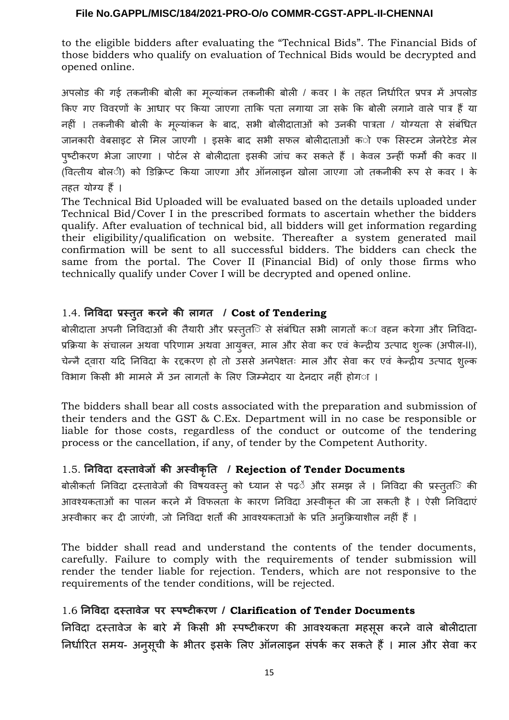to the eligible bidders after evaluating the "Technical Bids". The Financial Bids of those bidders who qualify on evaluation of Technical Bids would be decrypted and opened online.

अपलोड की गई तकनीकी बोली का मूल्यांकन तकनीकी बोली / कवर I के तहत निर्धारित प्रपत्र में अपलोड किए गए विवरणों के आधार पर किया जाएगा ताकि पता लगाया जा र्सके कि बोली लगाने वाले पात्र हैं या नहीं । तकनीकी बोली के मूल्यांकन के बाद, र्सभी बोलीदाताओं को उनकी पात्रता / योग्यता र्से र्संबंधित जानकारी वेबसाइट से मिल जाएगी । इसके बाद सभी सफल बोलीदाताओं को एक सिस्टम जेनरेटेड मेल पुष्टीकरण भेजा जाएगा । पोर्टल से बोलीदाता इसकी जांच कर सकते हैं । केवल उन्हीं फर्मों की कवर ॥ (वित्तीय बोली) को डिक्रिप्ट किया जाएगा और ऑनलाइन खोला जाएगा जो तकनीकी रूप र्से कवर I के तहत योग्य हैं ।

The Technical Bid Uploaded will be evaluated based on the details uploaded under Technical Bid/Cover I in the prescribed formats to ascertain whether the bidders qualify. After evaluation of technical bid, all bidders will get information regarding their eligibility/qualification on website. Thereafter a system generated mail confirmation will be sent to all successful bidders. The bidders can check the same from the portal. The Cover II (Financial Bid) of only those firms who technically qualify under Cover I will be decrypted and opened online.

# 1.4. **नि विदा प्रस्तुत कर े की लागत / Cost of Tendering**

बोलीदाता अपनी निविदाओं की तैयारी और प्रस्तुत**ि से संबंधित सभी लागतों क**ा वहन करेगा और निविदा-प्रक्रिया के संचालन अथवा परिणाम अथवा आयुक्त, माल और सेवा कर एवं केन्द्रीय उत्पाद शुल्क (अपील-II), चेन्नै द्वारा यदि निविदा के रद्दकरण हो तो उर्सर्से अनपेक्षतः माल और र्सेवा कर एवं के न्द्रीय उत्पाद शुल्क विभाग किर्सी भी मामले में उन लागतों के लिए जिम्मेदार या देनदार नहीं होगा ।

The bidders shall bear all costs associated with the preparation and submission of their tenders and the GST & C.Ex. Department will in no case be responsible or liable for those costs, regardless of the conduct or outcome of the tendering process or the cancellation, if any, of tender by the Competent Authority.

# 1.5. **नि विदा दस्तावेजों की अस्वीकृति / Rejection of Tender Documents**

बोलीकर्ता निविदा दस्तावेजों की विषयवस्तु को ध्यान र्से पढ़ें और र्समझ लें । निविदा की प्रस्तुतष्ठिे की आवश्यकताओं का पालन करने में विफलता के कारण निविदा अस्वीकृत की जा र्सकती है । ऐर्सी निविदाएं अस्वीकार कर दी जाएंगी, जो निविदा शर्तों की आवश्यकताओं के प्रति अनुक्रियाशील नहीं हैं।

The bidder shall read and understand the contents of the tender documents, carefully. Failure to comply with the requirements of tender submission will render the tender liable for rejection. Tenders, which are not responsive to the requirements of the tender conditions, will be rejected.

# 1.6 **नि विदा दस्तावेज पर स्पष्4ीकरण / Clarification of Tender Documents**

निविदा दस्तावेज के बारे में किर्सी भी स्पष्टीकरण की आवश्यकता महर्सूर्स करने वाले बोलीदाता निर्धारित र्समय- अनुर्सूची के भीतर इर्सके लिए ऑनलाइन र्संपर्क कर र्सकते हैं । माल और र्सेवा कर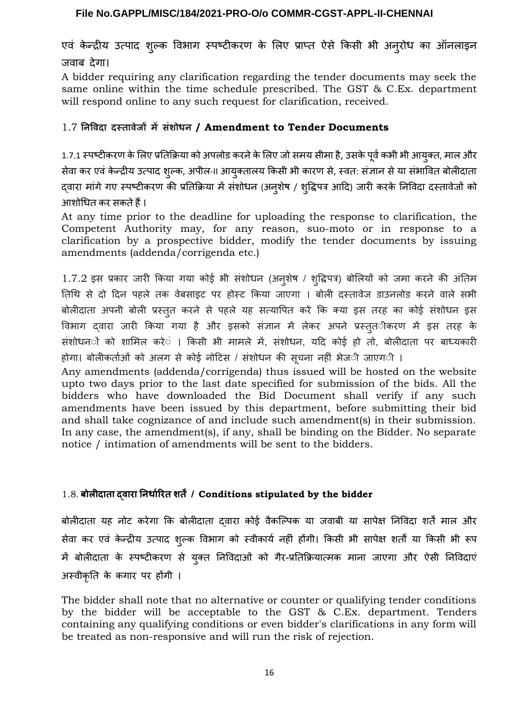एवं के न्द्रीय उत्पाद शुल्क विभाग स्पष्टीकरण के लिए प्राप्त ऐर्से किर्सी भी अनुरोध का ऑनलाइन जवाब देगा।

A bidder requiring any clarification regarding the tender documents may seek the same online within the time schedule prescribed. The GST & C.Ex. department will respond online to any such request for clarification, received.

# 1.7 **नि विदा दस्तावेजों मेंसंशोध / Amendment to Tender Documents**

1.7.1 स्पष्टीकरण के लिए प्रतिक्रिया को अपलोड करने के लिए जो समय सीमा है, उसके पूर्व कभी भी आयुक्त, माल और र्सेवा कर एवं के न्द्रीय उत्पाद शुल्क, अपील-II आयुक्तालय किर्सी भी कारण र्से, स्वत: र्संज्ञान र्सेया र्संभावित बोलीदाता दवारा मांगे गए स्पष्टीकरण की प्रतिक्रिया में संशोधन (अनुशेष / शुद्धिपत्र आदि) जारी करके निविदा दस्तावेजों को आशोधित कर र्सकतेहैं।

At any time prior to the deadline for uploading the response to clarification, the Competent Authority may, for any reason, suo-moto or in response to a clarification by a prospective bidder, modify the tender documents by issuing amendments (addenda/corrigenda etc.)

1.7.2 इर्स प्रकार जारी किया गया कोई भी र्संशोधन (अनुशेष / शुद्धिपत्र) बोलियों को जमा करने की अंतिम तिथि से दो दिन पहले तक वेबसाइट पर होस्ट किया जाएगा । बोली दस्तावेज डाउनलोड करने वाले सभी बोलीदाता अपनी बोली प्रस्तुत करने र्से पहले यह र्सत्यापित करें कि क्या इर्स तरह का कोई र्संशोधन इर्स विभाग द्वारा जारी किया गया है और इर्सको र्संज्ञान में लेकर अपने प्रस्तुतीकरण में इर्स तरह के र्संशोधनों को शामिल करें । किर्सी भी मामले में, र्संशोधन, यदि कोई हो तो, बोलीदाता पर बाध्यकारी होगा। बोलीकर्ताओं को अलग र्से कोई नोटिर्स / र्संशोधन की र्सूचना नहीं भेजी जाएगी ।

Any amendments (addenda/corrigenda) thus issued will be hosted on the website upto two days prior to the last date specified for submission of the bids. All the bidders who have downloaded the Bid Document shall verify if any such amendments have been issued by this department, before submitting their bid and shall take cognizance of and include such amendment(s) in their submission. In any case, the amendment(s), if any, shall be binding on the Bidder. No separate notice / intimation of amendments will be sent to the bidders.

# 1.8. **बोलीदाता द्वारा नि र्धारित शर्तें/ Conditions stipulated by the bidder**

बोलीदाता यह नोट करेगा कि बोलीदाता द्वारा कोई वैकल्पिक या जवाबी या र्सापेक्ष निविदा शर्तें माल और र्सेवा कर एवं के न्द्रीय उत्पाद शुल्क विभाग को स्वीकार्य नहीं होंगी। किर्सी भी र्सापेक्ष शर्तों या किर्सी भी रूप में बोलीदाता के स्पष्टीकरण र्से युक्त निविदाओं को गैर-प्रतिक्रियात्मक माना जाएगा और ऐर्सी निविदाएं अस्वीकृति के कगार पर होंगी ।

The bidder shall note that no alternative or counter or qualifying tender conditions by the bidder will be acceptable to the GST & C.Ex. department. Tenders containing any qualifying conditions or even bidder's clarifications in any form will be treated as non-responsive and will run the risk of rejection.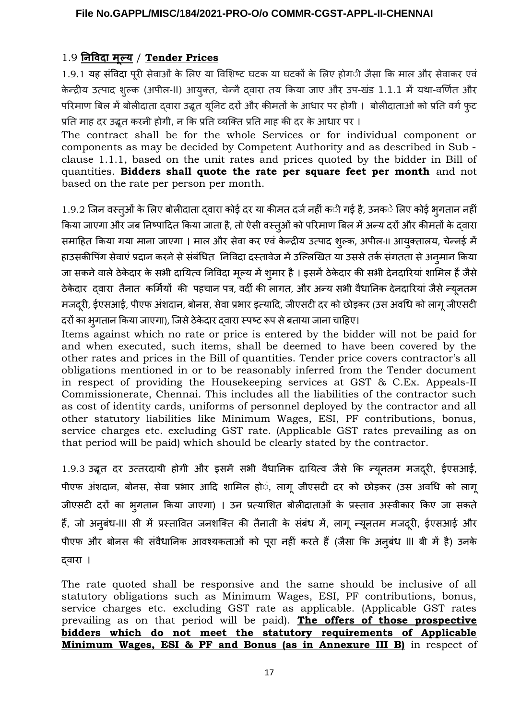# 1.9 **नि विदा मूल्य** / **Tender Prices**

1.9.1 यह र्संविदा पूरी र्सेवाओं के लिए या विशिष्ट घटक या घटकों के लिए होगी जैर्सा कि माल और र्सेवाकर एवं केन्द्रीय उत्पाद शुल्क (अपील-II) आयुक्त, चेन्नै दवारा तय किया जाए और उप-खंड 1.1.1 में यथा-वर्णित और परिमाण बिल मेंबोलीदाता द्वारा उद्धृत यूनिट दरों और कीमतों के आधार पर होगी । बोलीदाताओं को प्रति वर्गफुट प्रति माह दर उद्धृत करनी होगी, न कि प्रति व्यक्ति प्रति माह की दर के आधार पर ।

The contract shall be for the whole Services or for individual component or components as may be decided by Competent Authority and as described in Sub clause 1.1.1, based on the unit rates and prices quoted by the bidder in Bill of quantities. **Bidders shall quote the rate per square feet per month** and not based on the rate per person per month.

 $1.9.2$  जिन वस्त्ओं के लिए बोलीदाता दवारा कोई दर या कीमत दर्ज नहीं क**ी गई है, उनक**े लिए कोई भुगतान नहीं किया जाएगा और जब निष्पादित किया जाता है, तो ऐसी वस्तुओं को परिमाण बिल में अन्य दरों और कीमतों के दवारा र्समाहित किया गया माना जाएगा । माल और र्सेवा कर एवं के न्द्रीय उत्पाद शुल्क, अपील-II आयुक्तालय, चेन्नई में हाउर्सकीपिंग र्सेवाएं प्रदान करनेर्सेर्संबंधित निविदा दस्तावेज मेंउल्लिखित या उर्सर्सेतर्क र्संगतता र्सेअनुमान किया जा सकने वाले ठेकेदार के सभी दायित्व निविदा मूल्य में शूमार है। इसमें ठेकेदार की सभी देनदारियां शामिल हैं जैसे ठेके दार द्वारा तैनात कर्मियों की पहचान पत्र, वर्दी की लागत, और अन्य र्सभी वैधानिक देनदारियां जैर्सेन्यनतम ू मजदूरी, ईएसआई, पीएफ अंशदान, बोनस, सेवा प्रभार इत्यादि, जीएसटी दर को छोड़कर (उस अवधि को लागू जीएसटी दरों का भुगतान किया जाएगा), जिर्सेठेके दार द्वारा स्पष्ट रूप र्सेबताया जाना चाहिए।

Items against which no rate or price is entered by the bidder will not be paid for and when executed, such items, shall be deemed to have been covered by the other rates and prices in the Bill of quantities. Tender price covers contractor's all obligations mentioned in or to be reasonably inferred from the Tender document in respect of providing the Housekeeping services at GST & C.Ex. Appeals-II Commissionerate, Chennai. This includes all the liabilities of the contractor such as cost of identity cards, uniforms of personnel deployed by the contractor and all other statutory liabilities like Minimum Wages, ESI, PF contributions, bonus, service charges etc. excluding GST rate. (Applicable GST rates prevailing as on that period will be paid) which should be clearly stated by the contractor.

1.9.3 उद्धृत दर उत्तरदायी होगी और इसमें सभी वैधानिक दायित्व जैसे कि न्यूनतम मजदूरी, ईएसआई, पीएफ अंशदान, बोनर्स, र्सेवा प्रभार आदि शामिल हों, लागू जीएर्सटी दर को छोड़कर (उर्स अवधि को लागू जीएर्सटी दरों का भुगतान किया जाएगा) । उन प्रत्याशित बोलीदाताओं के प्रस्ताव अस्वीकार किए जा र्सकते हैं, जो अनुबंध-III सी में प्रस्तावित जनशक्ति की तैनाती के संबंध में, लागू न्यूनतम मजदूरी, ईएसआई और पीएफ और बोनर्स की र्संवैधानिक आवश्यकताओं को पूरा नहीं करते हैं(जैर्सा कि अनुबंध III बी में है) उनके द्वारा ।

The rate quoted shall be responsive and the same should be inclusive of all statutory obligations such as Minimum Wages, ESI, PF contributions, bonus, service charges etc. excluding GST rate as applicable. (Applicable GST rates prevailing as on that period will be paid). **The offers of those prospective bidders which do not meet the statutory requirements of Applicable Minimum Wages, ESI & PF and Bonus (as in Annexure III B)** in respect of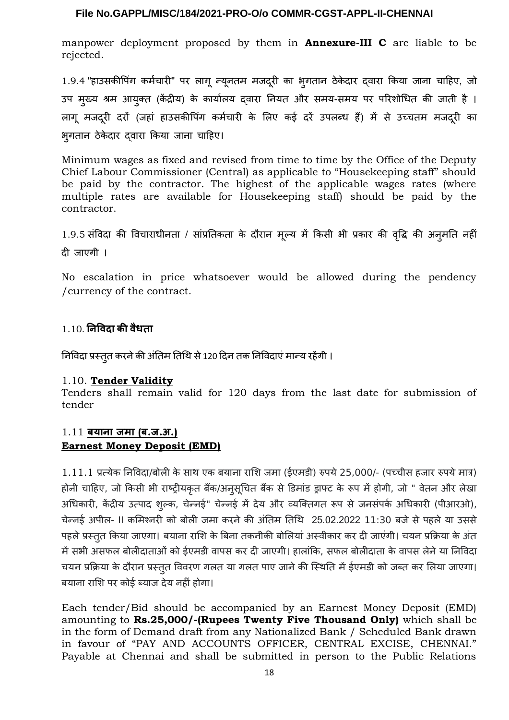manpower deployment proposed by them in **Annexure-III C** are liable to be rejected.

1.9.4 "हाउसकीपिंग कर्मचारी" पर लागू न्यूनतम मजदूरी का भूगतान ठेकेदार द्वारा किया जाना चाहिए, जो उप मुख्य श्रम आयुक्त (केंद्रीय) के कार्यालय द्वारा नियत और र्समय-र्समय पर परिशोधित की जाती है । लागू मजदरी दरों (जहां हाउसकीपिंग कर्मचारी के लिए कई दरें उपलब्ध हैं) में से उच्चतम मजदरी का भुगतान ठेके दार द्वारा किया जाना चाहिए।

Minimum wages as fixed and revised from time to time by the Office of the Deputy Chief Labour Commissioner (Central) as applicable to "Housekeeping staff" should be paid by the contractor. The highest of the applicable wages rates (where multiple rates are available for Housekeeping staff) should be paid by the contractor.

1.9.5 र्संविदा की विचाराधीनता / र्सांप्रतिकता के दौरान मूल्य में किर्सी भी प्रकार की वद्धिृ की अनुमति नहीं दी जाएगी ।

No escalation in price whatsoever would be allowed during the pendency /currency of the contract.

# 1.10. **नि विदा की वैधता**

निविदा प्रस्तुत करने की अंतिम तिथि से 120 दिन तक निविदाएं मान्य रहेंगी ।

#### 1.10. **Tender Validity**

Tenders shall remain valid for 120 days from the last date for submission of tender

# 1.11 **बया ा जमा ( ब. ज. अ .) Earnest Money Deposit (EMD)**

 $1.11.1$  प्रत्येक निविदा/बोली के साथ एक बयाना राशि जमा (ईएमडी) रुपये 25,000/- (पच्चीस हजार रुपये मात्र) होनी चाहिए, जो किसी भी राष्ट्रीयकृत बैंक/अनुसूचित बैंक से डिमांड ड्राफ्ट के रूप में होगी, जो " वेतन और लेखा अधिकारी, केंद्रीय उत्पाद शुल्क, चेन्नई" चेन्नई में देय और व्यक्तिगत रूप र्से जनर्संपर्क अधिकारी (पीआरओ), चेन्नई अपील- II कमिश्नरी को बोली जमा करने की अंतिम तिथि 25.02.2022 11:30 बजे से पहले या उससे पहलेप्रस्तुत किया जाएगा। बयाना राशि के बिना तकनीकी बोलियां अस्वीकार कर दी जाएंगी। चयन प्रक्रिया के अंत मेंर्सभी अर्सफल बोलीदाताओं को ईएमडी वापर्स कर दी जाएगी। हालांकि, र्सफल बोलीदाता के वापर्स लेनेया निविदा चयन प्रक्रिया के दौरान प्रस्तुत विवरण गलत या गलत पाए जाने की स्थिति में ईएमडी को जब्त कर लिया जाएगा। बयाना राशि पर कोई ब्याज देय नहीं होगा।

Each tender/Bid should be accompanied by an Earnest Money Deposit (EMD) amounting to **Rs.25,000/-(Rupees Twenty Five Thousand Only)** which shall be in the form of Demand draft from any Nationalized Bank / Scheduled Bank drawn in favour of "PAY AND ACCOUNTS OFFICER, CENTRAL EXCISE, CHENNAI." Payable at Chennai and shall be submitted in person to the Public Relations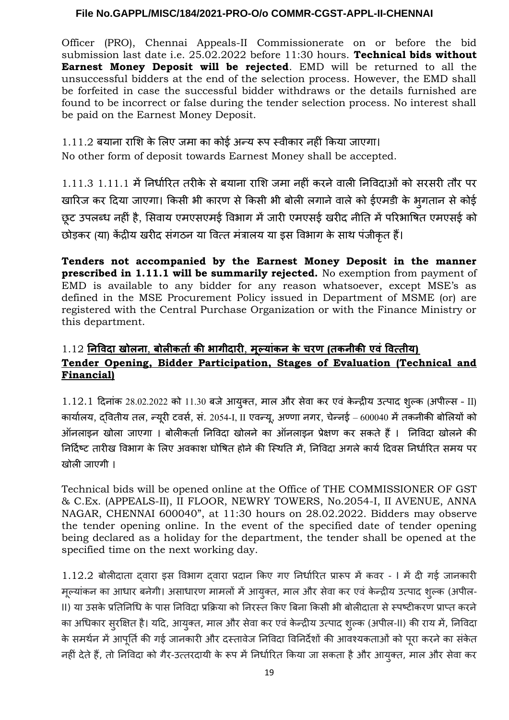Officer (PRO), Chennai Appeals-II Commissionerate on or before the bid submission last date i.e. 25.02.2022 before 11:30 hours. **Technical bids without Earnest Money Deposit will be rejected**. EMD will be returned to all the unsuccessful bidders at the end of the selection process. However, the EMD shall be forfeited in case the successful bidder withdraws or the details furnished are found to be incorrect or false during the tender selection process. No interest shall be paid on the Earnest Money Deposit.

# 1.11.2 बयाना राशि के लिए जमा का कोई अन्य रूप स्वीकार नहीं किया जाएगा।

No other form of deposit towards Earnest Money shall be accepted.

1.11.3 1.11.1 मेंनिर्धारित तरीके र्सेबयाना राशि जमा नहीं करनेवाली निविदाओं को र्सरर्सरी तौर पर खारिज कर दिया जाएगा। किर्सी भी कारण र्सेकिर्सी भी बोली लगानेवालेको ईएमडी के भुगतान र्सेकोई छूट उपलब्ध नहीं है, सिवाय एमएसएमई विभाग में जारी एमएसई खरीद नीति में परिभाषित एमएसई को छोड़कर (या) केंद्रीय खरीद संगठन या वित्त मंत्रालय या इस विभाग के साथ पंजीकत हैं।

**Tenders not accompanied by the Earnest Money Deposit in the manner prescribed in 1.11.1 will be summarily rejected.** No exemption from payment of EMD is available to any bidder for any reason whatsoever, except MSE's as defined in the MSE Procurement Policy issued in Department of MSME (or) are registered with the Central Purchase Organization or with the Finance Ministry or this department.

# 1.12 **नि विदा खोल ा** , **बोलीकर्ता की भागीदारी** , **मूल्यांक के चरण ( तक ीकी एवं वित्तीय) Tender Opening, Bidder Participation, Stages of Evaluation (Technical and Financial)**

 $1.12.1$  दिनांक 28.02.2022 को 11.30 बजे आयुक्त, माल और सेवा कर एवं केन्द्रीय उत्पाद शुल्क (अपील्स - II) कार्यालय, द्वितीय तल, न्यरी ू टवर्स, र्सं. 2054-I, II एवन्यू, अण्णा नगर, चेन्नई – 600040 मेंतकनीकी बोलियों को ऑनलाइन खोला जाएगा । बोलीकर्ता निविदा खोलने का ऑनलाइन प्रेक्षण कर र्सकते हैं। निविदा खोलने की निर्दिष्ट तारीख विभाग के लिए अवकाश घोषित होने की स्थिति में, निविदा अगले कार्य दिवस निर्धारित समय पर खोली जाएगी ।

Technical bids will be opened online at the Office of THE COMMISSIONER OF GST & C.Ex. (APPEALS-II), II FLOOR, NEWRY TOWERS, No.2054-I, II AVENUE, ANNA NAGAR, CHENNAI 600040", at 11:30 hours on 28.02.2022. Bidders may observe the tender opening online. In the event of the specified date of tender opening being declared as a holiday for the department, the tender shall be opened at the specified time on the next working day.

1.12.2 बोलीदाता द्वारा इर्स विभाग द्वारा प्रदान किए गए निर्धारित प्रारूप में कवर - I में दी गई जानकारी मूल्यांकन का आधार बनेगी। असाधारण मामलों में आयुक्त, माल और सेवा कर एवं केन्द्रीय उत्पाद शुल्क (अपील-II) या उर्सके प्रतिनिधि के पार्स निविदा प्रक्रिया को निरस्त किए बिना किर्सी भी बोलीदाता र्सेस्पष्टीकरण प्राप्त करने का अधिकार र्सुरक्षित है। यदि, आयुक्त, माल और र्सेवा कर एवं के न्द्रीय उत्पाद शुल्क (अपील-II) की राय में, निविदा के समर्थन में आपूर्ति की गई जानकारी और दस्तावेज निविदा विनिर्देशों की आवश्यकताओं को पूरा करने का संकेत नहीं देते हैं, तो निविदा को गैर-उत्तरदायी के रूप में निर्धारित किया जा सकता है और आयुक्त, माल और सेवा कर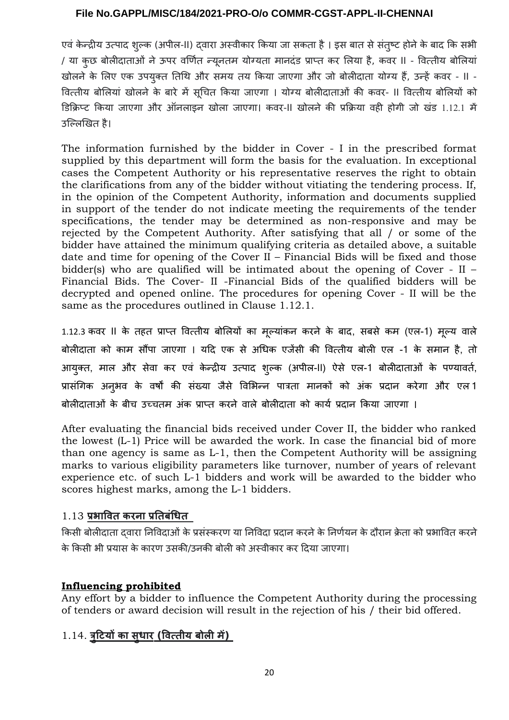एवं केन्द्रीय उत्पाद शुल्क (अपील-II) दवारा अस्वीकार किया जा सकता है । इस बात से संतुष्ट होने के बाद कि सभी / या कुछ बोलीदाताओं नेऊपर वर्णित न्यूनतम योग्यता मानदंड प्राप्त कर लिया है, कवर II - वित्तीय बोलियां खोलने के लिए एक उपयुक्त तिथि और समय तय किया जाएगा और जो बोलीदाता योग्य हैं, उन्हें कवर - II -वित्तीय बोलियां खोलने के बारे में र्सूचित किया जाएगा । योग्य बोलीदाताओं की कवर- II वित्तीय बोलियों को डिक्रिप्ट किया जाएगा और ऑनलाइन खोला जाएगा। कवर-II खोलने की प्रक्रिया वही होगी जो खंड 1.12.1 में उल्लिखित है।

The information furnished by the bidder in Cover - I in the prescribed format supplied by this department will form the basis for the evaluation. In exceptional cases the Competent Authority or his representative reserves the right to obtain the clarifications from any of the bidder without vitiating the tendering process. If, in the opinion of the Competent Authority, information and documents supplied in support of the tender do not indicate meeting the requirements of the tender specifications, the tender may be determined as non-responsive and may be rejected by the Competent Authority. After satisfying that all / or some of the bidder have attained the minimum qualifying criteria as detailed above, a suitable date and time for opening of the Cover II – Financial Bids will be fixed and those bidder(s) who are qualified will be intimated about the opening of Cover - II – Financial Bids. The Cover- II -Financial Bids of the qualified bidders will be decrypted and opened online. The procedures for opening Cover - II will be the same as the procedures outlined in Clause 1.12.1.

1.12.3 कवर II के तहत प्राप्त वित्तीय बोलियों का मूल्यांकन करने के बाद, र्सबर्से कम (एल-1) मूल्य वाले बोलीदाता को काम र्सौंपा जाएगा । यदि एक र्से अधिक एजेंर्सी की वित्तीय बोली एल -1 के र्समान है, तो आयुक्त, माल और र्सेवा कर एवं के न्द्रीय उत्पाद शुल्क (अपील-II) ऐर्से एल-1 बोलीदाताओं के पण्यावर्त, प्रार्संगिक अनुभव के वर्षों की र्संख्या जैर्से विभिन्न पात्रता मानकों को अंक प्रदान करेगा और एल 1 बोलीदाताओं के बीच उच्चतम अंक प्राप्त करने वाले बोलीदाता को कार्य प्रदान किया जाएगा ।

After evaluating the financial bids received under Cover II, the bidder who ranked the lowest (L-1) Price will be awarded the work. In case the financial bid of more than one agency is same as L-1, then the Competent Authority will be assigning marks to various eligibility parameters like turnover, number of years of relevant experience etc. of such L-1 bidders and work will be awarded to the bidder who scores highest marks, among the L-1 bidders.

# 1.13 **प्रभावित कर ा प्रतिबंधित**

किर्सी बोलीदाता द्वारा निविदाओं के प्रर्संस्करण या निविदा प्रदान करनेके निर्णयन के दौरान क्रे ता को प्रभावित करने के किर्सी भी प्रयार्स के कारण उर्सकी/उनकी बोली को अस्वीकार कर दिया जाएगा।

# **Influencing prohibited**

Any effort by a bidder to influence the Competent Authority during the processing of tenders or award decision will result in the rejection of his / their bid offered.

# 1.14. **त्रटि4ु यों का सुधार ( वित्तीय बोली में )**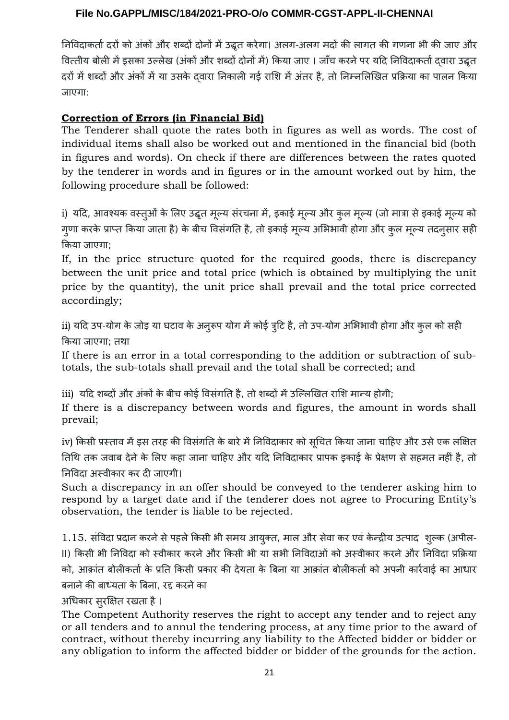निविदाकर्तादरों को अंकों और शब्दों दोनों मेंउद्धृत करेगा। अलग-अलग मदों की लागत की गणना भी की जाए और वित्तीय बोली में इसका उल्लेख (अंकों और शब्दों दोनों में) किया जाए । जाँच करने पर यदि निविदाकर्ता दवारा उद्धृत दरों में शब्दों और अंकों में या उसके दवारा निकाली गई राशि में अंतर है, तो निम्नलिखित प्रक्रिया का पालन किया जाएगा:

# **Correction of Errors (in Financial Bid)**

The Tenderer shall quote the rates both in figures as well as words. The cost of individual items shall also be worked out and mentioned in the financial bid (both in figures and words). On check if there are differences between the rates quoted by the tenderer in words and in figures or in the amount worked out by him, the following procedure shall be followed:

i) यदि, आवश्यक वस्तुओं के लिए उद्धृत मूल्य र्संरचना में, इकाई मूल्य और कुल मूल्य (जो मात्रा र्सेइकाई मूल्य को गुणा करके प्राप्त किया जाता है) के बीच विर्संगति है, तो इकाई मूल्य अभिभावी होगा और कुल मूल्य तदनुर्सार र्सही किया जाएगा;

If, in the price structure quoted for the required goods, there is discrepancy between the unit price and total price (which is obtained by multiplying the unit price by the quantity), the unit price shall prevail and the total price corrected accordingly;

ii) यदि उप-योग के जोड़ या घटाव के अनूरूप योग में कोई त्रूटि है, तो उप-योग अभिभावी होगा और कुल को सही किया जाएगा; तथा

If there is an error in a total corresponding to the addition or subtraction of subtotals, the sub-totals shall prevail and the total shall be corrected; and

iii) यदि शब्दों और अंकों के बीच कोई विर्संगति है, तो शब्दों मेंउल्लिखित राशि मान्य होगी;

If there is a discrepancy between words and figures, the amount in words shall prevail;

iv) किसी प्रस्ताव में इस तरह की विसंगति के बारे में निविदाकार को सूचित किया जाना चाहिए और उसे एक लक्षित तिथि तक जवाब देने के लिए कहा जाना चाहिए और यदि निविदाकार प्रापक इकाई के प्रेक्षण से सहमत नहीं है, तो

निविदा अस्वीकार कर दी जाएगी।

Such a discrepancy in an offer should be conveyed to the tenderer asking him to respond by a target date and if the tenderer does not agree to Procuring Entity's observation, the tender is liable to be rejected.

1.15. र्संविदा प्रदान करनेर्सेपहलेकिर्सी भी र्समय आयुक्त, माल और र्सेवा कर एवं के न्द्रीय उत्पाद शुल्क (अपील-II) किर्सी भी निविदा को स्वीकार करनेऔर किर्सी भी या र्सभी निविदाओं को अस्वीकार करनेऔर निविदा प्रक्रिया को, आक्रांत बोलीकर्ता के प्रति किर्सी प्रकार की देयता के बिना या आक्रांत बोलीकर्ता को अपनी कार्रवाई का आधार बनाने की बाध्यता के बिना, रद्द करने का

अधिकार र्सुरक्षित रखता है।

The Competent Authority reserves the right to accept any tender and to reject any or all tenders and to annul the tendering process, at any time prior to the award of contract, without thereby incurring any liability to the Affected bidder or bidder or any obligation to inform the affected bidder or bidder of the grounds for the action.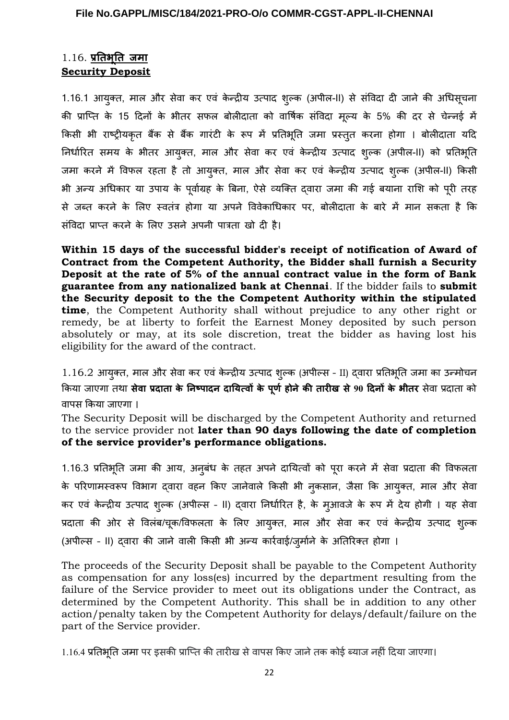# 1.16. <u>प्रतिभूति जमा</u> **Security Deposit**

1.16.1 आयुक्त, माल और र्सेवा कर एवं के न्द्रीय उत्पाद शुल्क (अपील-II) र्से र्संविदा दी जाने की अधिर्सूचना की प्राप्ति के 15 दिनों के भीतर र्सफल बोलीदाता को वार्षिक र्संविदा मूल्य के 5% की दर र्से चेन्नई में किसी भी राष्ट्रीयकृत बैंक से बैंक गारंटी के रूप में प्रतिभूति जमा प्रस्तुत करना होगा । बोलीदाता यदि निर्धारित र्समय के भीतर आयक्तु , माल और र्सेवा कर एवं के न्द्रीय उत्पाद शुल्क (अपील-II) को प्रतिभूति जमा करने में विफल रहता है तो आयुक्त, माल और र्सेवा कर एवं के न्द्रीय उत्पाद शुल्क (अपील-II) किर्सी भी अन्य अधिकार या उपाय के पूर्वाग्रह के बिना, ऐर्से व्यक्ति द्वारा जमा की गई बयाना राशि को पूरी तरह र्से जब्त करने के लिए स्वतंत्र होगा या अपने विवेकाधिकार पर, बोलीदाता के बारे में मान र्सकता है कि र्संविदा प्राप्त करने के लिए उर्सने अपनी पात्रता खो दी है।

**Within 15 days of the successful bidder's receipt of notification of Award of Contract from the Competent Authority, the Bidder shall furnish a Security Deposit at the rate of 5% of the annual contract value in the form of Bank guarantee from any nationalized bank at Chennai**. If the bidder fails to **submit the Security deposit to the the Competent Authority within the stipulated time**, the Competent Authority shall without prejudice to any other right or remedy, be at liberty to forfeit the Earnest Money deposited by such person absolutely or may, at its sole discretion, treat the bidder as having lost his eligibility for the award of the contract.

1.16.2 आयुक्त, माल और र्सेवा कर एवं के न्द्रीय उत्पाद शुल्क (अपील्र्स – II) द्वारा प्रतिभूति जमा का उन्मोचन किया जाएगा तnा **सेवा प्रदाता के नि ष्पाद दायित्वों के पूर्ण हो ेकी तारीख से90 दि ों के भीतर** र्सेवा प्रदाता को वापर्स किया जाएगा ।

The Security Deposit will be discharged by the Competent Authority and returned to the service provider not **later than 90 days following the date of completion of the service provider's performance obligations.** 

1.16.3 प्रतिभूति जमा की आय, अनुबंध के तहत अपने दायित्वों को पूरा करने में र्सेवा प्रदाता की विफलता के परिणामस्वरूप विभाग द्वारा वहन किए जानेवाले किर्सी भी नुकर्सान, जैर्सा कि आयुक्त, माल और र्सेवा कर एवं के न्द्रीय उत्पाद शुल्क (अपील्र्स – II) द्वारा निर्धारित है, के मुआवजे के रूप में देय होगी । यह र्सेवा प्रदाता की ओर से विलंब/चूक/विफलता के लिए आयुक्त, माल और सेवा कर एवं केन्द्रीय उत्पाद शुल्क (अपील्र्स – II) द्वारा की जाने वाली किर्सी भी अन्य कार्रवाई/जुर्माने के अतिरिक्त होगा ।

The proceeds of the Security Deposit shall be payable to the Competent Authority as compensation for any loss(es) incurred by the department resulting from the failure of the Service provider to meet out its obligations under the Contract, as determined by the Competent Authority. This shall be in addition to any other action/penalty taken by the Competent Authority for delays/default/failure on the part of the Service provider.

1.16.4 प्रतिभूति जमा पर इर्सकी प्राप्ति की तारीख र्सेवापर्स किए जानेतक कोई ब्याज नहीं दिया जाएगा।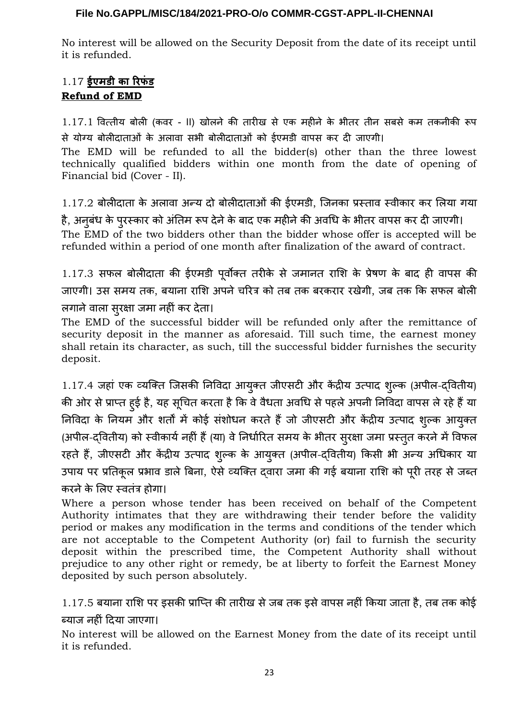No interest will be allowed on the Security Deposit from the date of its receipt until it is refunded.

# 1.17 **ईएमडी का रिफंड Refund of EMD**

1.17.1 वित्तीय बोली (कवर - II) खोलने की तारीख र्से एक महीने के भीतर तीन र्सबर्से कम तकनीकी रूप र्से योग्य बोलीदाताओं के अलावा र्सभी बोलीदाताओं को ईएमडी वापर्स कर दी जाएगी।

The EMD will be refunded to all the bidder(s) other than the three lowest technically qualified bidders within one month from the date of opening of Financial bid (Cover - II).

1.17.2 बोलीदाता के अलावा अन्य दो बोलीदाताओं की ईएमडी, जिनका प्रस्ताव स्वीकार कर लिया गया

है, अनुबंध के पुरस्कार को अंतिम रूप देने के बाद एक महीने की अवधि के भीतर वापस कर दी जाएगी। The EMD of the two bidders other than the bidder whose offer is accepted will be refunded within a period of one month after finalization of the award of contract.

1.17.3 र्सफल बोलीदाता की ईएमडी पूर्वोक्त तरीके र्से जमानत राशि के प्रेषण के बाद ही वापर्स की जाएगी। उर्स र्समय तक, बयाना राशि अपनेचरित्र को तब तक बरकरार रखेगी, जब तक कि र्सफल बोली लगानेवाला र्सुरक्षा जमा नहीं कर देता।

The EMD of the successful bidder will be refunded only after the remittance of security deposit in the manner as aforesaid. Till such time, the earnest money shall retain its character, as such, till the successful bidder furnishes the security deposit.

1.17.4 जहां एक व्यक्ति जिर्सकी निविदा आयुक्त जीएर्सटी और केंद्रीय उत्पाद शुल्क (अपील-द्वितीय) की ओर से प्राप्त हुई है, यह सूचित करता है कि वे वैधता अवधि से पहले अपनी निविदा वापस ले रहे हैं या निविदा के नियम और शर्तों में कोई र्संशोधन करते हैंजो जीएर्सटी और केंद्रीय उत्पाद शुल्क आयुक्त (अपील-द्वितीय) को स्वीकार्य नहीं हैं (या) वे निर्धारित समय के भीतर सुरक्षा जमा प्रस्तुत करने में विफल रहते हैं, जीएर्सटी और केंद्रीय उत्पाद शुल्क के आयुक्त (अपील-द्वितीय) किर्सी भी अन्य अधिकार या उपाय पर प्रतिकूल प्रभाव डाले बिना, ऐसे व्यक्ति द्वारा जमा की गई बयाना राशि को पूरी तरह से जब्त करनेके लिए स्वतंत्र होगा।

Where a person whose tender has been received on behalf of the Competent Authority intimates that they are withdrawing their tender before the validity period or makes any modification in the terms and conditions of the tender which are not acceptable to the Competent Authority (or) fail to furnish the security deposit within the prescribed time, the Competent Authority shall without prejudice to any other right or remedy, be at liberty to forfeit the Earnest Money deposited by such person absolutely.

1.17.5 बयाना राशि पर इर्सकी प्राप्ति की तारीख र्सेजब तक इर्सेवापर्स नहीं किया जाता है, तब तक कोई ब्याज नहीं दिया जाएगा।

No interest will be allowed on the Earnest Money from the date of its receipt until it is refunded.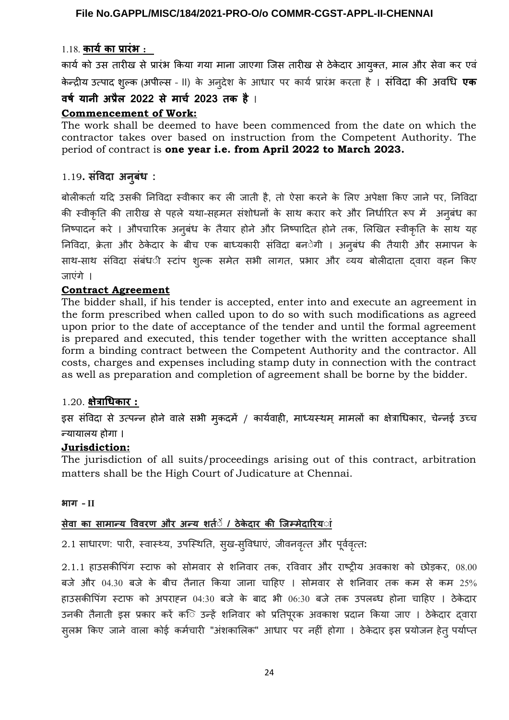# 1.18. **कार्यका प्रारंभ :**

कार्य को उर्स तारीख र्सेप्रारंभ किया गया माना जाएगा जिर्स तारीख र्सेठेके दार आयुक्त, माल और र्सेवा कर एवं केन्द्रीय उत्पाद शुल्क (अपील्स - II) के अनुदेश के आधार पर कार्य प्रारंभ करता है । संविदा की अवधि **एक** 

# **वर्ष या ी अप्रैल 2022 से मार्च 2023 तक है** ।

# **Commencement of Work:**

The work shall be deemed to have been commenced from the date on which the contractor takes over based on instruction from the Competent Authority. The period of contract is **one year i.e. from April 2022 to March 2023.**

# 1.19**. संविदा अ ुबंध :**

बोलीकर्ता यदि उर्सकी निविदा स्वीकार कर ली जाती है, तो ऐर्सा करने के लिए अपेक्षा किए जाने पर, निविदा की स्वीकृति की तारीख से पहले यथा-सहमत संशोधनों के साथ करार करे और निर्धारित रूप में अनुबंध का निष्पादन करे । औपचारिक अनुबंध के तैयार होने और निष्पादित होने तक, लिखित स्वीकृति के साथ यह निविदा, क्रे ता और ठेके दार के बीच एक बाध्यकारी र्संविदा बनेगी । अनुबंध की तैयारी और र्समापन के साथ-साथ संविदा संबंध**ी स्टांप शुल्क समेत सभी लागत, प्रभार और** व्यय बोलीदाता दवारा वहन किए जाएंगे ।

# **Contract Agreement**

The bidder shall, if his tender is accepted, enter into and execute an agreement in the form prescribed when called upon to do so with such modifications as agreed upon prior to the date of acceptance of the tender and until the formal agreement is prepared and executed, this tender together with the written acceptance shall form a binding contract between the Competent Authority and the contractor. All costs, charges and expenses including stamp duty in connection with the contract as well as preparation and completion of agreement shall be borne by the bidder.

# 1.20. **क्षेत्राधिकार :**

इस संविदा से उत्पन्न होने वाले सभी मुकदमें / कार्यवाही, माध्यस्थम् मामलों का क्षेत्राधिकार, चेन्नई उच्च न्यायालय होगा ।

# **Jurisdiction:**

The jurisdiction of all suits/proceedings arising out of this contract, arbitration matters shall be the High Court of Judicature at Chennai.

#### **भाग – II**

# **सेवा का सामान्य विवरण और अन्य शर्त ें / ठेके दार की जिम्मेदारिय ां**

2.1 साधारण: पारी, स्वास्थ्य, उपस्थिति, सुख-सुविधाएं, जीवनवृत्त और पूर्ववृत्त:

2.1.1 हाउर्सकीपिंग स्टाफ को र्सोमवार र्से शनिवार तक, रविवार और राष्ट्रीय अवकाश को छोड़कर, 08.00 बजे और 04.30 बजे के बीच तैनात किया जाना चाहिए । र्सोमवार र्से शनिवार तक कम र्से कम 25% हाउर्सकीपिंग स्टाफ को अपराह्न 04:30 बजे के बाद भी 06:30 बजे तक उपलब्ध होना चाहिए । ठेके दार उनकी तैनाती इस प्रकार करें क**ि उन्हें शनिवार को प्रतिपूरक अवकाश प्रदा**न किया जाए । ठेकेदार दवारा स्**लभ किए जाने वाला कोई कर्मचारी "अंशकालिक**" आधार पर नहीं होगा । ठेकेदार इस प्रयोजन हेत् पर्याप्त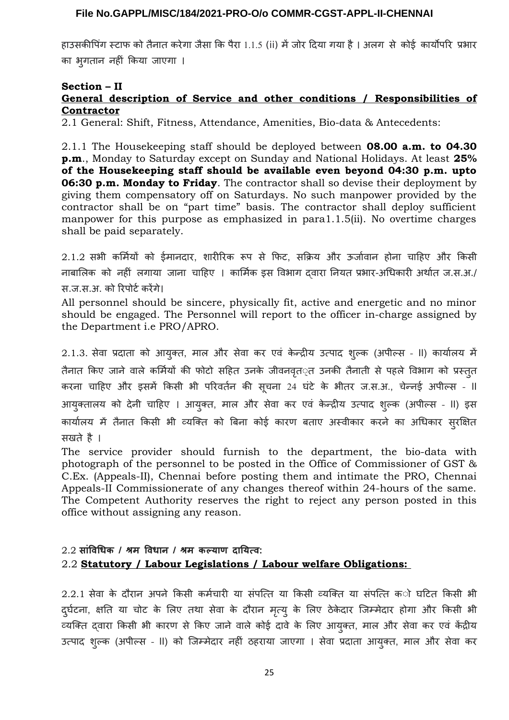हाउर्सकीपिंग स्टाफ को तैनात करेगा जैर्सा कि पैरा 1.1.5 (ii) मेंजोर दिया गया है। अलग र्से कोई कार्योपरि प्रभार का भुगतान नहीं किया जाएगा ।

# **Section – II**

# **General description of Service and other conditions / Responsibilities of Contractor**

2.1 General: Shift, Fitness, Attendance, Amenities, Bio-data & Antecedents:

2.1.1 The Housekeeping staff should be deployed between **08.00 a.m. to 04.30 p.m**., Monday to Saturday except on Sunday and National Holidays. At least **25% of the Housekeeping staff should be available even beyond 04:30 p.m. upto 06:30 p.m. Monday to Friday**. The contractor shall so devise their deployment by giving them compensatory off on Saturdays. No such manpower provided by the contractor shall be on "part time" basis. The contractor shall deploy sufficient manpower for this purpose as emphasized in para1.1.5(ii). No overtime charges shall be paid separately.

2.1.2 र्सभी कर्मियों को ईमानदार, शारीरिक रूप र्से फिट, र्सक्रिय और ऊर्जावान होना चाहिए और किर्सी नाबालिक को नहीं लगाया जाना चाहिए । कार्मिक इर्स विभाग द्वारा नियत प्रभार-अधिकारी अर्थात ज.र्स.अ./ र्स.ज.र्स.अ. को रिपोर्टकरेंगे।

All personnel should be sincere, physically fit, active and energetic and no minor should be engaged. The Personnel will report to the officer in-charge assigned by the Department i.e PRO/APRO.

2.1.3. र्सेवा प्रदाता को आयुक्त, माल और र्सेवा कर एवं के न्द्रीय उत्पाद शुल्क (अपील्र्स – II) कार्यालय में तैनात किए जाने वाले कर्मियों की फोटो सहित उनके जीवनवृत*्त उनकी तैनाती से पहले विभाग को प्रस्तु*त करना चाहिए और इर्समें किर्सी भी परिवर्तन की र्सूचना 24 घंटे के भीतर ज.र्स.अ., चेन्नई अपील्र्स – II आयुक्तालय को देनी चाहिए । आयुक्त, माल और र्सेवा कर एवं के न्द्रीय उत्पाद शुल्क (अपील्र्स – II) इर्स कार्यालय में तैनात किर्सी भी व्यक्ति को बिना कोई कारण बताए अस्वीकार करने का अधिकार र्सुरक्षित र्सखते है ।

The service provider should furnish to the department, the bio-data with photograph of the personnel to be posted in the Office of Commissioner of GST & C.Ex. (Appeals-II), Chennai before posting them and intimate the PRO, Chennai Appeals-II Commissionerate of any changes thereof within 24-hours of the same. The Competent Authority reserves the right to reject any person posted in this office without assigning any reason.

# $2.2$  सांविधिक / श्रम विधान / श्रम कल्याण दायित्व: 2.2 **Statutory / Labour Legislations / Labour welfare Obligations:**

2.2.1 र्सेवा के दौरान अपने किर्सी कर्मचारी या र्संपत्ति या किर्सी व्यक्ति या र्संपत्ति को घटित किर्सी भी द्घंटना, क्षति या चोट के लिए तथा सेवा के दौरान मृत्यू के लिए ठेकेदार जिम्मेदार होगा और किसी भी व्यक्ति द्वारा किर्सी भी कारण र्से किए जाने वाले कोई दावे के लिए आयुक्त, माल और र्सेवा कर एवं केंद्रीय उत्पाद शुल्क (अपील्र्स – II) को जिम्मेदार नहीं ठहराया जाएगा । र्सेवा प्रदाता आयुक्त, माल और र्सेवा कर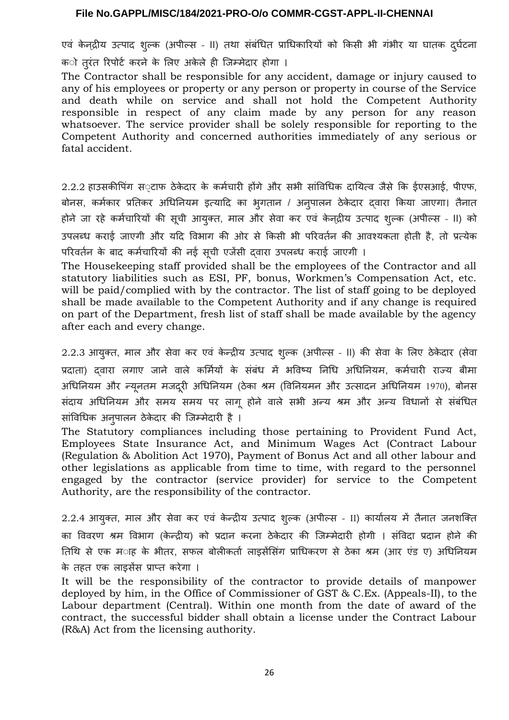एवं केन्द्रीय उत्पाद शुल्क (अपील्स - II) तथा संबंधित प्राधिकारियों को किसी भी गंभीर या घातक दुर्घटना

क**ो तुरंत रिपोर्ट करने के लिए अकेले ही जिम्मेदार** होगा ।

The Contractor shall be responsible for any accident, damage or injury caused to any of his employees or property or any person or property in course of the Service and death while on service and shall not hold the Competent Authority responsible in respect of any claim made by any person for any reason whatsoever. The service provider shall be solely responsible for reporting to the Competent Authority and concerned authorities immediately of any serious or fatal accident.

2.2.2 हाउसकीपिंग स़टाफ ठेकेदार के कर्मचारी होंगे और सभी सांविधिक दायित्व जैसे कि ईएसआई, पीएफ, बोनर्स, कर्मकार प्रतिकर अधिनियम इत्यादि का भुगतान / अनुपालन ठेके दार द्वारा किया जाएगा। तैनात होने जा रहे कर्मचारियों की सूची आयुक्त, माल और सेवा कर एवं केन्**द्रीय उत्पाद श्**ल्क (अपील्स - II) को उपलब्ध कराई जाएगी और यदि विभाग की ओर र्से किर्सी भी परिवर्तन की आवश्यकता होती है, तो प्रत्येक परिवर्तन के बाद कर्मचारियों की नई र्सूची एजेंर्सी द्वारा उपलब्ध कराई जाएगी ।

The Housekeeping staff provided shall be the employees of the Contractor and all statutory liabilities such as ESI, PF, bonus, Workmen's Compensation Act, etc. will be paid/complied with by the contractor. The list of staff going to be deployed shall be made available to the Competent Authority and if any change is required on part of the Department, fresh list of staff shall be made available by the agency after each and every change.

2.2.3 आयुक्त, माल और र्सेवा कर एवं के न्द्रीय उत्पाद शुल्क (अपील्र्स – II) की र्सेवा के लिए ठेके दार (र्सेवा प्रदाता) द्वारा लगाए जाने वाले कर्मियों के र्संबंध में भविष्य निधि अधिनियम, कर्मचारी राज्य बीमा अधिनियम और न्यूनतम मजदूरी अधिनियम (ठेका श्रम (विनियमन और उत्सादन अधिनियम 1970), बोनस र्संदाय अधिनियम और र्समय र्समय पर लागू होने वाले र्सभी अन्य श्रम और अन्य विधानों र्से र्संबंधित र्सांविधिक अनुपालन ठेके दार की जिम्मेदारी है ।

The Statutory compliances including those pertaining to Provident Fund Act, Employees State Insurance Act, and Minimum Wages Act (Contract Labour (Regulation & Abolition Act 1970), Payment of Bonus Act and all other labour and other legislations as applicable from time to time, with regard to the personnel engaged by the contractor (service provider) for service to the Competent Authority, are the responsibility of the contractor.

2.2.4 आयुक्त, माल और र्सेवा कर एवं के न्द्रीय उत्पाद शुल्क (अपील्र्स – II) कार्यालय में तैनात जनशक्ति का विवरण श्रम विभाग (केन्द्रीय) को प्रदान करना ठेकेदार की जिम्मेदारी होगी । संविदा प्रदान होने की तिथि से एक म**ाह के भीतर, सफल बोलीकर्ता लाइ**सेंसिंग प्राधिकरण से ठेका श्रम (आर एंड ए) अधिनियम के तहत एक लाइर्सेंर्स प्राप्त करेगा ।

It will be the responsibility of the contractor to provide details of manpower deployed by him, in the Office of Commissioner of GST & C.Ex. (Appeals-II), to the Labour department (Central). Within one month from the date of award of the contract, the successful bidder shall obtain a license under the Contract Labour (R&A) Act from the licensing authority.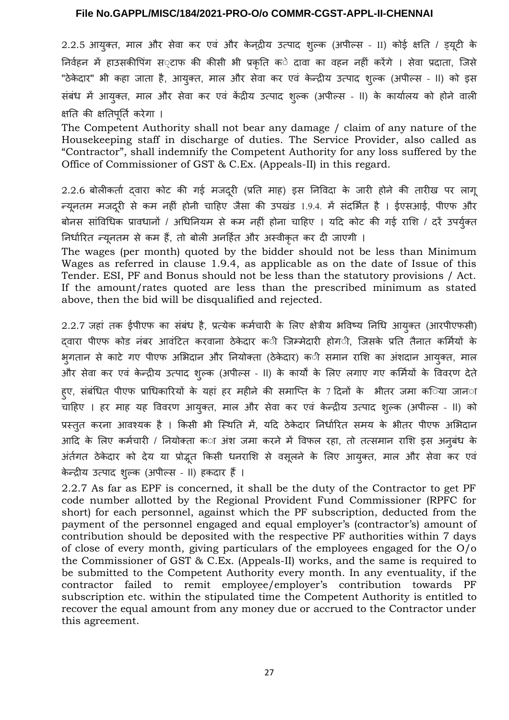2.2.5 आयुक्त, माल और सेवा कर एवं और केन्द्रीय उत्पाद शुल्क (अपील्स - II) कोई क्षति / ड्यूटी के निर्वहन में हाउर्सकीपिंग र्से~टाफ की कीर्सी भी प्रकृति के दावा का वहन नहीं करेंगे । र्सेवा प्रदाता, जिर्से "ठेकेदार" भी कहा जाता है, आयुक्त, माल और सेवा कर एवं केन्द्रीय उत्पाद शुल्क (अपील्स - II) को इस र्संबंध में आयुक्त, माल और र्सेवा कर एवं केंद्रीय उत्पाद शुल्क (अपील्र्स – II) के कार्यालय को होने वाली क्षति की क्षतिपूर्ति करेगा ।

The Competent Authority shall not bear any damage / claim of any nature of the Housekeeping staff in discharge of duties. The Service Provider, also called as "Contractor", shall indemnify the Competent Authority for any loss suffered by the Office of Commissioner of GST & C.Ex. (Appeals-II) in this regard.

2.2.6 बोलीकर्ता द्वारा कोट की गई मजदूरी (प्रति माह) इस निविदा के जारी होने की तारीख पर लागू न्यूनतम मजदरी ू र्से कम नहीं होनी चाहिए जैर्सा की उपखंड 1.9.4. में र्संदर्भित है । ईएर्सआई, पीएफ और बोनस सांविधिक प्रावधानों / अधिनियम से कम नहीं होना चाहिए । यदि कोट की गई राशि / दरें उपर्युक्त निर्धारित न्यूनतम र्से कम हैं, तो बोली अनर्हित और अस्वीकृत कर दी जाएगी ।

The wages (per month) quoted by the bidder should not be less than Minimum Wages as referred in clause 1.9.4, as applicable as on the date of Issue of this Tender. ESI, PF and Bonus should not be less than the statutory provisions / Act. If the amount/rates quoted are less than the prescribed minimum as stated above, then the bid will be disqualified and rejected.

2.2.7 जहां तक ईपीएफ का र्संबंध है, प्रत्येक कर्मचारी के लिए क्षेत्रीय भविष्य निधि आयुक्त (आरपीएफर्सी) दवारा पीएफ कोड नंबर आवंटित करवाना ठेकेदार क**ी जिम्मेदारी होग**ी, जिसके प्रति तैनात कर्मियों के भुगतान र्से काटे गए पीएफ अभिदान और नियोक्ता (ठेके दार) की र्समान राशि का अंशदान आयुक्त, माल और र्सेवा कर एवं के न्द्रीय उत्पाद शुल्क (अपील्र्स – II) के कार्यों के लिए लगाए गए कर्मियों के विवरण देते हए, संबंधित पीएफ प्राधिकारियों के यहां हर महीने की समाप्ति के 7 दिनों के भीतर जमा क**िया जान**ा चाहिए । हर माह यह विवरण आयुक्त, माल और सेवा कर एवं केन्द्रीय उत्पाद शूल्क (अपील्स - II) को प्रस्तुत करना आवश्यक है । किसी भी स्थिति में, यदि ठेकेदार निर्धारित समय के भीतर पीएफ अभिदान आदि के लिए कर्मचारी / नियोक्ता का अंश जमा करने में विफल रहा, तो तत्समान राशि इस अनुबंध के अंर्तगत ठेकेदार को देय या प्रोद्भूत किसी धनराशि से वसूलने के लिए आयुक्त, माल और सेवा कर एवं के न्द्रीय उत्पाद शुल्क (अपील्र्स – II) हकदार हैं।

2.2.7 As far as EPF is concerned, it shall be the duty of the Contractor to get PF code number allotted by the Regional Provident Fund Commissioner (RPFC for short) for each personnel, against which the PF subscription, deducted from the payment of the personnel engaged and equal employer's (contractor's) amount of contribution should be deposited with the respective PF authorities within 7 days of close of every month, giving particulars of the employees engaged for the O/o the Commissioner of GST & C.Ex. (Appeals-II) works, and the same is required to be submitted to the Competent Authority every month. In any eventuality, if the contractor failed to remit employee/employer's contribution towards PF subscription etc. within the stipulated time the Competent Authority is entitled to recover the equal amount from any money due or accrued to the Contractor under this agreement.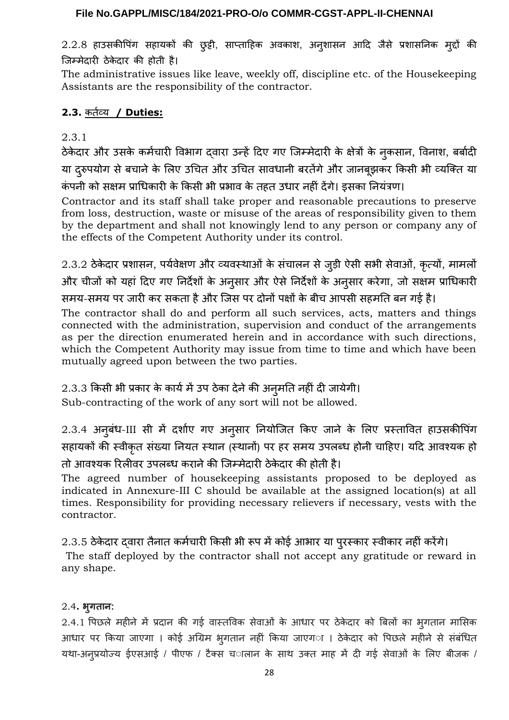2.2.8 हाउर्सकीपिंग र्सहायकों की छुट्टी, र्साप्ताहिक अवकाश, अनुशार्सन आदि जैर्से प्रशार्सनिक मुद्दों की जिम्मेदारी ठेके दार की होती है।

The administrative issues like leave, weekly off, discipline etc. of the Housekeeping Assistants are the responsibility of the contractor.

# **2.3.** कर्तव्य **/ Duties:**

# 2.3.1

ठेके दार और उर्सके कर्मचारी विभाग द्वारा उन्हेंदिए गए जिम्मेदारी के क्षेत्रों के नुकर्सान, विनाश, बर्बादी या दुरुपयोग से बचाने के लिए उचित और उचित सावधानी बरतेंगे और जानबूझकर किसी भी व्यक्ति या कं पनी को र्सक्षम प्राधिकारी के किर्सी भी प्रभाव के तहत उधार नहीं देंगे। इर्सका नियंत्रण।

Contractor and its staff shall take proper and reasonable precautions to preserve from loss, destruction, waste or misuse of the areas of responsibility given to them by the department and shall not knowingly lend to any person or company any of the effects of the Competent Authority under its control.

 $2.3.2$  ठेकेदार प्रशासन, पर्यवेक्षण और व्यवस्थाओं के संचालन से जुड़ी ऐसी सभी सेवाओं, कृत्यों, मामलों और चीजों को यहां दिए गए निर्देशों के अनुर्सार और ऐर्सेनिर्देशों के अनुर्सार करेगा, जो र्सक्षम प्राधिकारी र्समय-र्समय पर जारी कर र्सकता हैऔर जिर्स पर दोनों पक्षों के बीच आपर्सी र्सहमति बन गई है।

The contractor shall do and perform all such services, acts, matters and things connected with the administration, supervision and conduct of the arrangements as per the direction enumerated herein and in accordance with such directions, which the Competent Authority may issue from time to time and which have been mutually agreed upon between the two parties.

# 2.3.3 किर्सी भी प्रकार के कार्यमेंउप ठेका देनेकी अनुमति नहीं दी जायेगी।

Sub-contracting of the work of any sort will not be allowed.

2.3.4 अनुबंध-III र्सी में दर्शाए गए अनुर्सार नियोजित किए जाने के लिए प्रस्तावित हाउर्सकीपिंग र्सहायकों की स्वीकृत संख्या नियत स्थान (स्थानों) पर हर समय उपलब्ध होनी चाहिए। यदि आवश्यक हो तो आवश्यक रिलीवर उपलब्ध कराने की जिम्मेदारी ठेकेदार की होती है।

The agreed number of housekeeping assistants proposed to be deployed as indicated in Annexure-III C should be available at the assigned location(s) at all times. Responsibility for providing necessary relievers if necessary, vests with the contractor.

# 2.3.5 ठेकेदार दवारा तैनात कर्मचारी किसी भी रूप में कोई आभार या पुरस्कार स्वीकार नहीं करेंगे।

The staff deployed by the contractor shall not accept any gratitude or reward in any shape.

# 2.4**. भुगता :**

2.4.1 पिछले महीने में प्रदान की गई वास्तविक र्सेवाओं के आधार पर ठेके दार को बिलों का भुगतान माभिर्सक आधार पर किया जाएगा । कोई अग्रिम भुगतान नहीं किया जाएगा । ठेके दार को पिछले महीने र्से र्संबंधित यथा-अनूप्रयोज्य ईएसआई / पीएफ / टैक्स चालान के साथ उक्त माह में दी गई सेवाओं के लिए बीजक /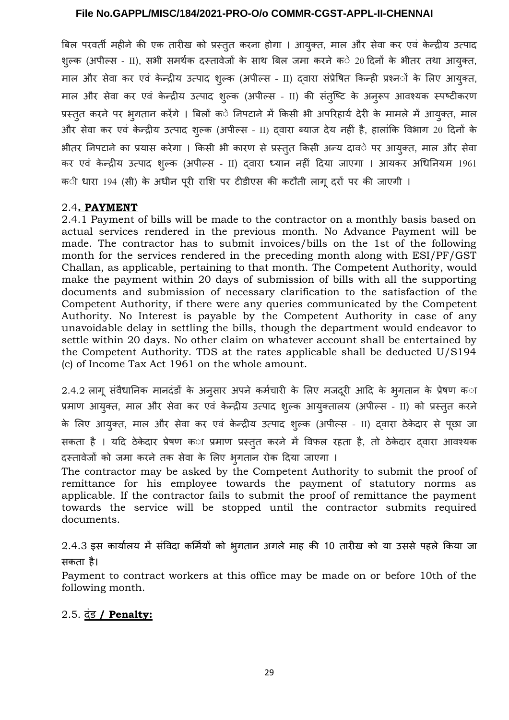बिल परवर्ती महीने की एक तारीख को प्रस्तुत करना होगा । आयुक्त, माल और सेवा कर एवं केन्द्रीय उत्पाद शुल्क (अपील्स - II), सभी समर्थक दस्तावेजों के साथ बिल जमा करने क**े 20 दिनों के भीतर तथा आयुक्त**, माल और र्सेवा कर एवं के न्द्रीय उत्पाद शुल्क (अपील्र्स – II) द्वारा र्संप्रेषित किन्ही प्रश्नों के लिए आयुक्त, माल और सेवा कर एवं केन्द्रीय उत्पाद शुल्क (अपील्स - II) की संतुष्टि के अनुरूप आवश्यक स्पष्टीकरण प्रस्तुत करने पर भुगतान करेंगे । बिलों के निपटाने में किर्सी भी अपरिहार्य देरी के मामले में आयुक्त, माल और र्सेवा कर एवं के न्द्रीय उत्पाद शुल्क (अपील्र्स – II) द्वारा ब्याज देय नहीं है, हालांकि विभाग 20 दिनों के भीतर निपटाने का प्रयार्स करेगा । किर्सी भी कारण र्से प्रस्तुत किर्सी अन्य दावे पर आयुक्त, माल और र्सेवा कर एवं के न्द्रीय उत्पाद शुल्क (अपील्र्स – II) द्वारा ध्यान नहीं दिया जाएगा । आयकर अधिनियम 1961 क**ी धारा 194 (सी) के अधीन पूरी राशि पर** टीडीएस की कटौती लागू दरों पर की जाएगी ।

#### 2.4 **. PAYMENT**

2.4.1 Payment of bills will be made to the contractor on a monthly basis based on actual services rendered in the previous month. No Advance Payment will be made. The contractor has to submit invoices/bills on the 1st of the following month for the services rendered in the preceding month along with ESI/PF/GST Challan, as applicable, pertaining to that month. The Competent Authority, would make the payment within 20 days of submission of bills with all the supporting documents and submission of necessary clarification to the satisfaction of the Competent Authority, if there were any queries communicated by the Competent Authority. No Interest is payable by the Competent Authority in case of any unavoidable delay in settling the bills, though the department would endeavor to settle within 20 days. No other claim on whatever account shall be entertained by the Competent Authority. TDS at the rates applicable shall be deducted U/S194 (c) of Income Tax Act 1961 on the whole amount.

 $2.4.2$  लागू संवैधानिक मानदंडों के अनुसार अपने कर्मचारी के लिए मजदूरी आदि के भूगतान के प्रेषण क**ा** प्रमाण आयुक्त, माल और र्सेवा कर एवं के न्द्रीय उत्पाद शुल्क आयुक्तालय (अपील्र्स – II) को प्रस्तुत करने के लिए आयुक्त, माल और र्सेवा कर एवं के न्द्रीय उत्पाद शुल्क (अपील्र्स – II) द्वारा ठेके दार र्से पूछा जा सकता है । यदि ठेकेदार प्रेषण का प्रमाण प्रस्तुत करने में विफल रहता है, तो ठेकेदार दवारा आवश्यक दस्तावेजों को जमा करने तक र्सेवा के लिए भुगतान रोक दिया जाएगा ।

The contractor may be asked by the Competent Authority to submit the proof of remittance for his employee towards the payment of statutory norms as applicable. If the contractor fails to submit the proof of remittance the payment towards the service will be stopped until the contractor submits required documents.

2.4.3 इर्स कार्यालय में र्संविदा कर्मियों को भुगतान अगले माह की 10 तारीख को या उर्सर्से पहले किया जा र्सकता है।

Payment to contract workers at this office may be made on or before 10th of the following month.

# 2.5.दंड **/ Penalty:**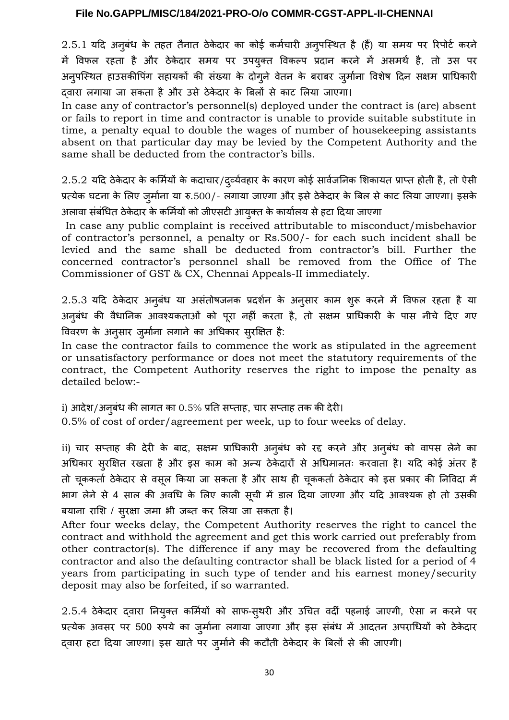$2.5.1$  यदि अनुबंध के तहत तैनात ठेकेदार का कोई कर्मचारी अनुपस्थित है (हैं) या समय पर रिपोर्ट करने में विफल रहता है और ठेके दार र्समय पर उपयुक्त विकल्प प्रदान करने में अर्समर्थ है, तो उर्स पर अनुपस्थित हाउसकीपिंग सहायकों की संख्या के दोगुने वेतन के बराबर जुर्माना विशेष दिन सक्षम प्राधिकारी द्वारा लगाया जा र्सकता है और उर्से ठेके दार के बिलों र्से काट लिया जाएगा।

In case any of contractor's personnel(s) deployed under the contract is (are) absent or fails to report in time and contractor is unable to provide suitable substitute in time, a penalty equal to double the wages of number of housekeeping assistants absent on that particular day may be levied by the Competent Authority and the same shall be deducted from the contractor's bills.

 $2.5.2$  यदि ठेकेदार के कर्मियों के कदाचार/द्व्येवहार के कारण कोई सार्वजनिक शिकायत प्राप्त होती है, तो ऐसी प्रत्येक घटना के लिए जुर्माना या रु.500/- लगाया जाएगा और इर्सेठेके दार के बिल र्सेकाट लिया जाएगा। इर्सके अलावा र्संबंधित ठेके दार के कर्मियों को जीएर्सटी आयुक्त के कार्यालय र्सेहटा दिया जाएगा

In case any public complaint is received attributable to misconduct/misbehavior of contractor's personnel, a penalty or Rs.500/- for each such incident shall be levied and the same shall be deducted from contractor's bill. Further the concerned contractor's personnel shall be removed from the Office of The Commissioner of GST & CX, Chennai Appeals-II immediately.

2.5.3 यदि ठेके दार अनुबंध या अर्संतोषजनक प्रदर्शन के अनुर्सार काम शुरू करने में विफल रहता है या अनुबंध की वैधानिक आवश्यकताओं को पूरा नहीं करता है, तो र्सक्षम प्राधिकारी के पार्स नीचे दिए गए विवरण के अनुर्सार जुर्माना लगाने का अधिकार र्सुरक्षित है:

In case the contractor fails to commence the work as stipulated in the agreement or unsatisfactory performance or does not meet the statutory requirements of the contract, the Competent Authority reserves the right to impose the penalty as detailed below:-

i) आदेश/अनुबंध की लागत का 0.5% प्रति र्सप्ताह, चार र्सप्ताह तक की देरी।

0.5% of cost of order/agreement per week, up to four weeks of delay.

ii) चार र्सप्ताह की देरी के बाद, र्सक्षम प्राधिकारी अनुबंध को रद्द करने और अनुबंध को वापर्स लेने का अधिकार र्सरुक्षित रखता है और इर्स काम को अन्य ठेके दारों र्से अधिमानतः करवाता है। यदि कोई अंतर है तो चूककर्ता ठेकेदार से वसूल किया जा सकता है और साथ ही चूककर्ता ठेकेदार को इस प्रकार की निविदा में भाग लेने र्से 4 र्साल की अवधि के लिए काली र्सूची में डाल दिया जाएगा और यदि आवश्यक हो तो उर्सकी बयाना राशि / र्सुरक्षा जमा भी जब्त कर लिया जा र्सकता है।

After four weeks delay, the Competent Authority reserves the right to cancel the contract and withhold the agreement and get this work carried out preferably from other contractor(s). The difference if any may be recovered from the defaulting contractor and also the defaulting contractor shall be black listed for a period of 4 years from participating in such type of tender and his earnest money/security deposit may also be forfeited, if so warranted.

2.5.4 ठेकेदार द्वारा नियुक्त कर्मियों को साफ-स्थरी और उचित वर्दी पहनाई जाएगी, ऐसा न करने पर प्रत्येक अवसर पर 500 रुपये का जुर्माना लगाया जाएगा और इस संबंध में आदतन अपराधियों को ठेकेदार द्वारा हटा दिया जाएगा। इर्स खाते पर जुर्माने की कटौती ठेके दार के बिलों र्से की जाएगी।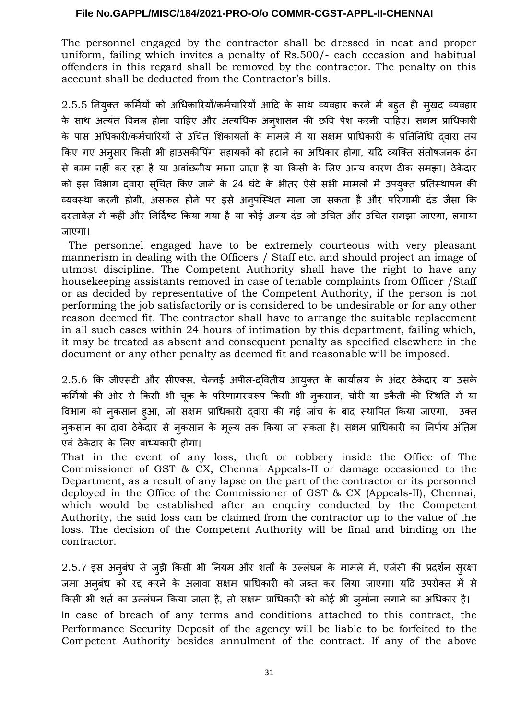The personnel engaged by the contractor shall be dressed in neat and proper uniform, failing which invites a penalty of Rs.500/- each occasion and habitual offenders in this regard shall be removed by the contractor. The penalty on this account shall be deducted from the Contractor's bills.

2.5.5 नियुक्त कर्मियों को अधिकारियों/कर्मचारियों आदि के साथ व्यवहार करने में बहुत ही सुखद व्यवहार के साथ अत्यंत विनम्र होना चाहिए और अत्यधिक अन्**शासन की छवि पेश करनी चाहिए। सक्षम प्राधि**कारी के पार्स अधिकारी/कर्मचारियों र्से उचित शिकायतों के मामले में या र्सक्षम प्राधिकारी के प्रतिनिधि द्वारा तय किए गए अनुर्सार किर्सी भी हाउर्सकीपिंग र्सहायकों को हटाने का अधिकार होगा, यदि व्यक्ति र्संतोषजनक ढंग र्से काम नहीं कर रहा है या अवांछनीय माना जाता है या किर्सी के लिए अन्य कारण ठीक र्समझा। ठेके दार को इस विभाग दवारा सूचित किए जाने के 24 घंटे के भीतर ऐसे सभी मामलों में उपयुक्त प्रतिस्थापन की व्यवस्था करनी होगी, असफल होने पर इसे अनुपस्थित माना जा सकता है और परिणामी दंड जैसा कि दस्तावेज़ में कहीं और निर्दिष्ट किया गया है या कोई अन्य दंड जो उचित और उचित र्समझा जाएगा, लगाया जाएगा।

The personnel engaged have to be extremely courteous with very pleasant mannerism in dealing with the Officers / Staff etc. and should project an image of utmost discipline. The Competent Authority shall have the right to have any housekeeping assistants removed in case of tenable complaints from Officer /Staff or as decided by representative of the Competent Authority, if the person is not performing the job satisfactorily or is considered to be undesirable or for any other reason deemed fit. The contractor shall have to arrange the suitable replacement in all such cases within 24 hours of intimation by this department, failing which, it may be treated as absent and consequent penalty as specified elsewhere in the document or any other penalty as deemed fit and reasonable will be imposed.

2.5.6 कि जीएर्सटी और र्सीएक्र्स, चेन्नई अपील-द्वितीय आयुक्त के कार्यालय के अंदर ठेके दार या उर्सके कर्मियों की ओर से किसी भी चूक के परिणामस्वरूप किसी भी नुकसान, चोरी या डकैती की स्थिति में या विभाग को नुकर्सान हुआ, जो र्सक्षम प्राधिकारी द्वारा की गई जांच के बाद स्nापित किया जाएगा, उक्त नुकर्सान का दावा ठेके दार र्से नुकर्सान के मूल्य तक किया जा र्सकता है। र्सक्षम प्राधिकारी का निर्णय अंतिम एवं ठेके दार के लिए बाध्यकारी होगा।

That in the event of any loss, theft or robbery inside the Office of The Commissioner of GST & CX, Chennai Appeals-II or damage occasioned to the Department, as a result of any lapse on the part of the contractor or its personnel deployed in the Office of the Commissioner of GST & CX (Appeals-II), Chennai, which would be established after an enquiry conducted by the Competent Authority, the said loss can be claimed from the contractor up to the value of the loss. The decision of the Competent Authority will be final and binding on the contractor.

2.5.7 इर्स अनुबंध र्से जुड़ी किर्सी भी नियम और शर्तों के उल्लंघन के मामले में, एजेंर्सी की प्रदर्शन र्सुरक्षा जमा अनुबंध को रद्द करने के अलावा सक्षम प्राधिकारी को जब्त कर लिया जाएगा। यदि उपरोक्त में से किर्सी भी शर्त का उल्लंघन किया जाता है, तो र्सक्षम प्राधिकारी को कोई भी जुर्माना लगाने का अधिकार है। In case of breach of any terms and conditions attached to this contract, the Performance Security Deposit of the agency will be liable to be forfeited to the Competent Authority besides annulment of the contract. If any of the above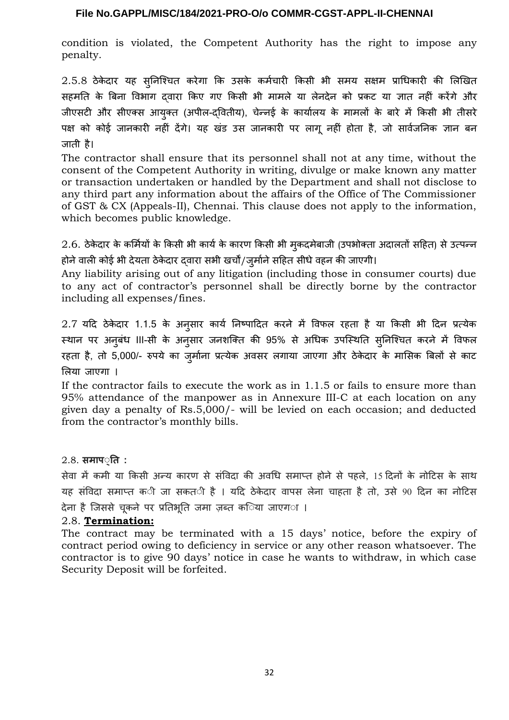condition is violated, the Competent Authority has the right to impose any penalty.

2.5.8 ठेके दार यह र्सुनिश्चित करेगा कि उर्सके कर्मचारी किर्सी भी र्समय र्सक्षम प्राधिकारी की लिखित र्सहमति के बिना विभाग द्वारा किए गए किर्सी भी मामले या लेनदेन को प्रकट या ज्ञात नहीं करेंगे और जीएर्सटी और र्सीएक्र्स आयुक्त (अपील-द्वितीय), चेन्नई के कार्यालय के मामलों के बारे में किर्सी भी तीर्सरे पक्ष को कोई जानकारी नहीं देंगे। यह खंड उर्स जानकारी पर लागू नहीं होता है, जो र्सार्वजनिक ज्ञान बन जाती है।

The contractor shall ensure that its personnel shall not at any time, without the consent of the Competent Authority in writing, divulge or make known any matter or transaction undertaken or handled by the Department and shall not disclose to any third part any information about the affairs of the Office of The Commissioner of GST & CX (Appeals-II), Chennai. This clause does not apply to the information, which becomes public knowledge.

2.6. ठेके दार के कर्मियों के किर्सी भी कार्यके कारण किर्सी भी मुकदमेबाजी (उपभोक्ता अदालतों र्सहित) र्सेउत्पन्न होने वाली कोई भी देयता ठेकेदार दवारा सभी खर्चों/जुर्माने सहित सीधे वहन की जाएगी।

Any liability arising out of any litigation (including those in consumer courts) due to any act of contractor's personnel shall be directly borne by the contractor including all expenses/fines.

2.7 यदि ठेके दार 1.1.5 के अनुर्सार कार्य निष्पादित करने में विफल रहता है या किर्सी भी दिन प्रत्येक स्थान पर अनुबंध III-सी के अनुसार जनशक्ति की 95% से अधिक उपस्थिति स्**निश्चित करने में विफल** रहता है, तो 5,000/- रुपये का जुर्माना प्रत्येक अवर्सर लगाया जाएगा और ठेके दार के माभिर्सक बिलों र्से काट लिया जाएगा ।

If the contractor fails to execute the work as in 1.1.5 or fails to ensure more than 95% attendance of the manpower as in Annexure III-C at each location on any given day a penalty of Rs.5,000/- will be levied on each occasion; and deducted from the contractor's monthly bills.

2.8. **समाप्ति :**

र्सेवा में कमी या किसी अन्य कारण से संविदा की अवधि समाप्त होने से पहले. 15 दिनों के नोटिस के साथ यह संविदा समाप्त क**ी जा सकत**ी है । यदि ठेकेदार वापस लेना चाहता है तो, उसे 90 दिन का नोटिस देना है जिससे चूकने पर प्रतिभूति जमा ज़ब्त क**िया जाएग**ा ।

#### 2.8. **Termination:**

The contract may be terminated with a 15 days' notice, before the expiry of contract period owing to deficiency in service or any other reason whatsoever. The contractor is to give 90 days' notice in case he wants to withdraw, in which case Security Deposit will be forfeited.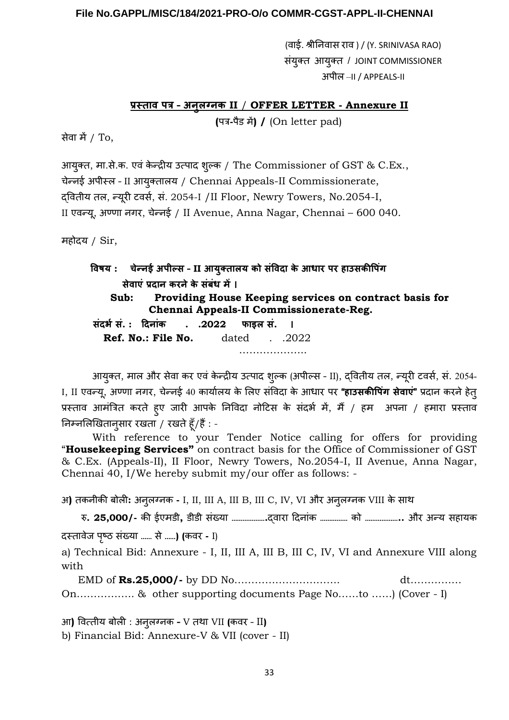(वाई. श्रीनिवार्स राव ) / (Y. SRINIVASA RAO) र्संयुक्त आयुक्त / JOINT COMMISSIONER अपील –II / APPEALS-II

#### <u>Rस्ताव पत्र - अनुलग्नक II / OFFER LETTER - Annexure II</u>

**(**पत्र**-**पैड में**) /** (On letter pad)

र्सेवा में/ To,

आयुक्त, मा.र्से.क. एवं के न्द्रीय उत्पाद शुल्क / The Commissioner of GST & C.Ex., चेन्नई अपीस्ल – II आयुक्तालय / Chennai Appeals-II Commissionerate, द्वितीय तल, न्यूरी टवर्स, र्सं. 2054-I /II Floor, Newry Towers, No.2054-I, II एवन्यू, अण्णा नगर, चेन्नई / II Avenue, Anna Nagar, Chennai – 600 040.

महोदय / Sir,

 **विर्षय : चेन् ई अपील्स – II आयुक्तालय को संविदा के आधार पर हाउसकीपिंग सेवाएं प्रदा कर ेके संबंध में। Sub: Providing House Keeping services on contract basis for Chennai Appeals-II Commissionerate-Reg. संदर्भसं. : दि ांक . .2022 फाइल सं. । Ref. No.: File No.** dated . .2022 ……………………

आयुक्त, माल और सेवा कर एवं केन्द्रीय उत्पाद शुल्क (अपील्स - II), दवितीय तल, न्यूरी टवर्स, सं. 2054-I, II एवन्यू, अण्णा नगर, चेन्नई 40 कार्यालय के लिए र्संविदा के आधार पर **"हाउसकीपिंग सेवाएं"** प्रदान करनेहेतु प्रस्ताव आमंत्रित करते हुए जारी आपके निविदा नोटिर्स के र्संदर्भ में, मैं/ हम अपना / हमारा प्रस्ताव निम्नलिखितानुर्सार रखता / रखतेहूँ/हैं: -

With reference to your Tender Notice calling for offers for providing "**Housekeeping Services"** on contract basis for the Office of Commissioner of GST & C.Ex. (Appeals-II), II Floor, Newry Towers, No.2054-I, II Avenue, Anna Nagar, Chennai 40, I/We hereby submit my/our offer as follows: -

अ**)** तकनीकी बोली**:** अनुलग्नक **-** I, II, III A, III B, III C, IV, VI और अनुलग्नक VIII के र्साn

रु**. 25,000/-** की ईएमडी**,** डीडी र्संख्या ………………**.**द्वारा दिनांक …………… को ………………**..** और अन्य र्सहायक दस्तावेज पष्ृठ र्संख्या …… र्से……**) (**कवर **-** I)

a) Technical Bid: Annexure - I, II, III A, III B, III C, IV, VI and Annexure VIII along with

 EMD of **Rs.25,000/-** by DD No…………………………. dt…………… On…………….. & other supporting documents Page No……to ……) (Cover - I)

आ**)** वित्तीय बोली : अनुलग्नक **–** V तnा VII **(**कवर – II**)**  b) Financial Bid: Annexure-V & VII (cover - II)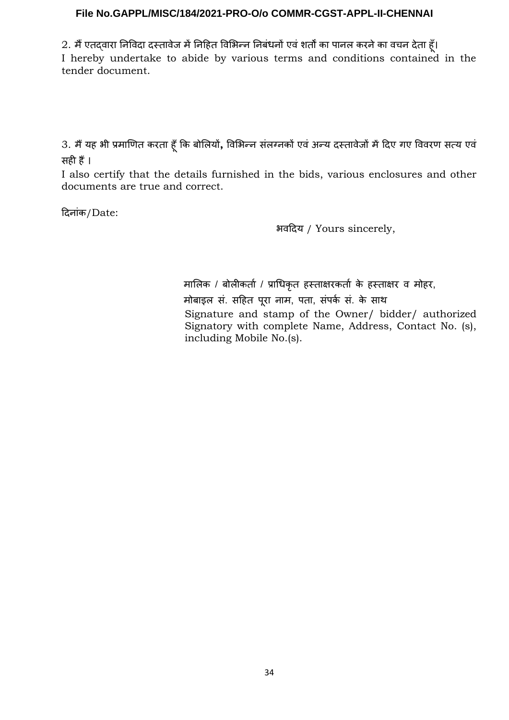2. मैं एतद्वारा निविदा दस्तावेज में निहित विभिन्न निबंधनों एवं शर्तों का पानल करने का वचन देता हूँ।

I hereby undertake to abide by various terms and conditions contained in the tender document.

3. मैंयह भी प्रमाणित करता हूँकि बोलियों**,** विभिन्न र्संलग्नकों एवं अन्य दस्तावेजों मेंदिए गए विवरण र्सत्य एवं र्सही हैं।

I also certify that the details furnished in the bids, various enclosures and other documents are true and correct.

दिनांक/Date:

भवदिय / Yours sincerely,

 मालिक / बोलीकर्ता / प्राधिकृत हस्ताक्षरकर्ता के हस्ताक्षर व मोहर, मोबाइल सं. सहित पूरा नाम, पता, संपर्क सं. के साथ Signature and stamp of the Owner/ bidder/ authorized Signatory with complete Name, Address, Contact No. (s), including Mobile No.(s).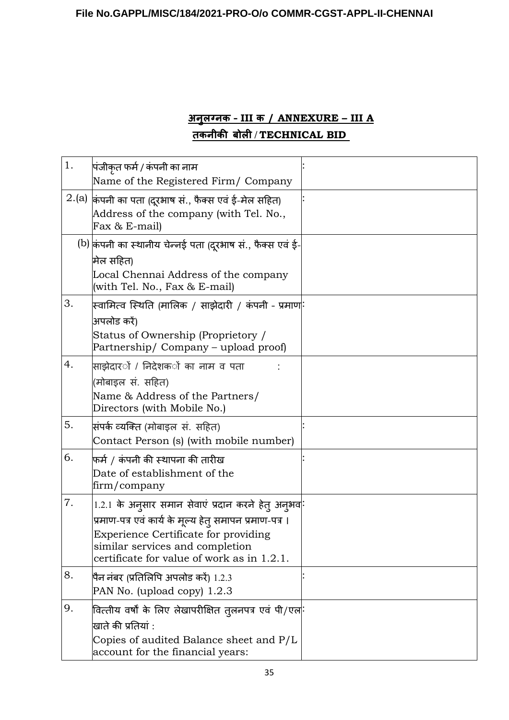# **अ ुलग् क – III क / ANNEXURE – III A तक ीकी बोली / TECHNICAL BID**

| 1. | पंजीकृत फर्म / कंपनी का नाम<br>Name of the Registered Firm/ Company                                                                                                                                                                     |  |
|----|-----------------------------------------------------------------------------------------------------------------------------------------------------------------------------------------------------------------------------------------|--|
|    | $2.(a)$ किंपनी का पता (दूरभाष सं., फैक्स एवं ई-मेल सहित)<br>Address of the company (with Tel. No.,<br>Fax & E-mail)                                                                                                                     |  |
|    | $\left(\mathrm{b}\right)$ किंपनी का स्थानीय चेन्नई पता (दूरभाष सं., फैक्स एवं ई-<br>मिल सहित)<br>Local Chennai Address of the company<br>(with Tel. No., Fax & E-mail)                                                                  |  |
| 3. | स्वामित्व स्थिति (मालिक / साझेदारी / कंपनी - प्रमाण <mark>ः</mark><br>अपलोड करें)<br>Status of Ownership (Proprietory /<br>Partnership/ Company – upload proof)                                                                         |  |
| 4. | साझेदार <b>ों / निदेशक</b> ों का नाम व पता<br>(मोबाइल सं. सहित)<br>Name & Address of the Partners/<br>Directors (with Mobile No.)                                                                                                       |  |
| 5. | सिंपर्क व्यक्ति (मोबाइल सं. सहित)<br>Contact Person (s) (with mobile number)                                                                                                                                                            |  |
| 6. | फर्म / कंपनी की स्थापना की तारीख<br>Date of establishment of the<br>firm/company                                                                                                                                                        |  |
| 7. | 1.2.1 के अनुसार समान सेवाएं प्रदान करने हेतु अनुभव:<br>प्रमाण-पत्र एवं कार्य के मूल्य हेत् समापन प्रमाण-पत्र ।<br>Experience Certificate for providing<br>similar services and completion<br>certificate for value of work as in 1.2.1. |  |
| 8. | पैन नंबर (प्रतिलिपि अपलोड करें) 1.2.3<br>PAN No. (upload copy) $1.2.3$                                                                                                                                                                  |  |
| 9. | वित्तीय वर्षों के लिए लेखापरीक्षित तुलनपत्र एवं पी/एल <mark>ां</mark><br>खाते की प्रतियां :<br>Copies of audited Balance sheet and P/L<br>account for the financial years:                                                              |  |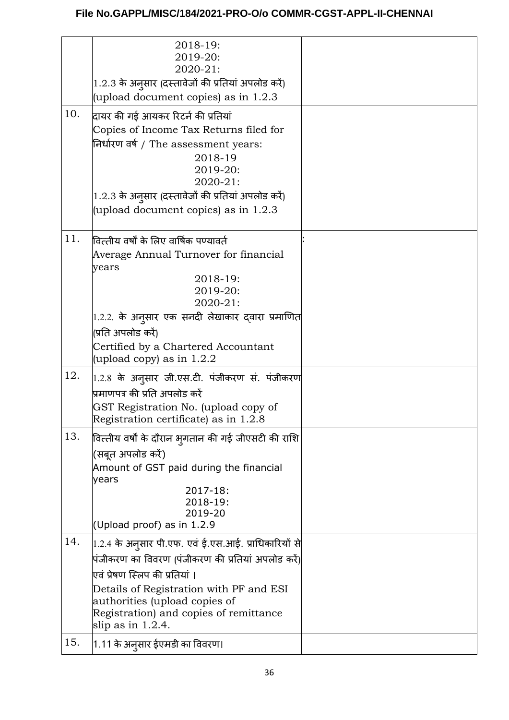|     | 2018-19:<br>2019-20:<br>2020-21:<br>1.2.3 के अनुसार (दस्तावेजों की प्रतियां अपलोड करें)                                                                                                                                                                                                                   |  |
|-----|-----------------------------------------------------------------------------------------------------------------------------------------------------------------------------------------------------------------------------------------------------------------------------------------------------------|--|
|     | (upload document copies) as in 1.2.3                                                                                                                                                                                                                                                                      |  |
| 10. | दायर की गई आयकर रिटर्न की प्रतियां<br>Copies of Income Tax Returns filed for<br>निर्धारण वर्ष / The assessment years:<br>2018-19<br>2019-20:<br>2020-21:<br>1.2.3 के अनुसार (दस्तावेजों की प्रतियां अपलोड करें)<br>(upload document copies) as in 1.2.3                                                   |  |
| 11. | वित्तीय वर्षों के लिए वार्षिक पण्यावर्त<br>Average Annual Turnover for financial<br>years<br>2018-19:<br>2019-20:<br>2020-21:<br>1.2.2. के अनुसार एक सनदी लेखाकार दवारा प्रमाणित<br>(प्रति अपलोड करें)<br>Certified by a Chartered Accountant<br>(upload copy) as in $1.2.2$                              |  |
| 12. | $ 1.2.8\>$ के अनुसार जी.एस.टी. पंजीकरण सं. पंजीकरण<br>.<br>प्रमाणपत्र की प्रति अपलोड करें<br>GST Registration No. (upload copy of<br>Registration certificate) as in 1.2.8                                                                                                                                |  |
| 13. | वित्तीय वर्षों के दौरान भ्गातान की गई जीएसटी की राशि<br>(सबूत अपलोड करें)<br>Amount of GST paid during the financial<br>years<br>2017-18:<br>2018-19:<br>2019-20<br>(Upload proof) as in 1.2.9                                                                                                            |  |
| 14. | $\left $ 1.2.4 के अनुसार पी.एफ. एवं ई.एस.आई. प्राधिकारियों से $\right $<br>पंजीकरण का विवरण (पंजीकरण की प्रतियां अपलोड करें)<br>एवं प्रेषण स्लिप की प्रतियां ।<br>Details of Registration with PF and ESI<br>authorities (upload copies of<br>Registration) and copies of remittance<br>slip as in 1.2.4. |  |
| 15. | 1.11 के अनुसार ईएमडी का विवरण।                                                                                                                                                                                                                                                                            |  |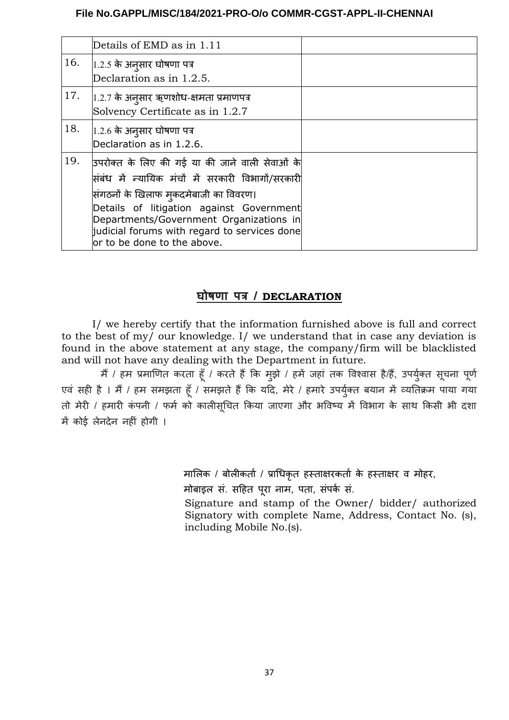|     | Details of EMD as in 1.11                                                                                                                                                                                                                                                                                            |  |
|-----|----------------------------------------------------------------------------------------------------------------------------------------------------------------------------------------------------------------------------------------------------------------------------------------------------------------------|--|
| 16. | $ 1.2.5$ के अन् $\,$ सार घोषणा पत्र<br>Declaration as in 1.2.5.                                                                                                                                                                                                                                                      |  |
| 17. | $ 1.2.7 \ \hat{}$ के अनुसार ऋणशोध-क्षमता प्रमाणपत्र<br>Solvency Certificate as in 1.2.7                                                                                                                                                                                                                              |  |
| 18. | $ 1.2.6$ के अनुसार घोषणा पत्र<br>Declaration as in 1.2.6.                                                                                                                                                                                                                                                            |  |
| 19. | उपरोक्त के लिए की गई या की जाने वाली सेवाओं के<br>सिंबंध में न्यायिक मंचों में सरकारी विभागों/सरकारी<br>सिंगठनों के खिलाफ मुकदमेबाजी का विवरण।<br>Details of litigation against Government<br>Departments/Government Organizations in<br>judicial forums with regard to services done<br>or to be done to the above. |  |

# **घोर्षणा पत्र / DECLARATION**

I/ we hereby certify that the information furnished above is full and correct to the best of my/ our knowledge. I/ we understand that in case any deviation is found in the above statement at any stage, the company/firm will be blacklisted and will not have any dealing with the Department in future.

मैं / हम प्रमाणित करता हूँ / करते हैं कि मुझे / हमें जहां तक विश्वास है/हैं, उपर्युक्त सूचना पूर्ण एवं सही है । मैं / हम समझता हूँ / समझते हैं कि यदि, मेरे / हमारे उपर्युक्त बयान में व्यतिक्रम पाया गया तो मेरी / हमारी कंपनी / फर्म को कालीसूचित किया जाएगा और भविष्य में विभाग के साथ किसी भी दशा में कोई लेनदेन नहीं होगी ।

मालिक / बोलीकर्ता / प्राधिकृत हस्ताक्षरकर्ता के हस्ताक्षर व मोहर,

मोबाइल र्सं. र्सहित पूरा नाम, पता, र्संपर्क र्सं.

Signature and stamp of the Owner/ bidder/ authorized Signatory with complete Name, Address, Contact No. (s), including Mobile No.(s).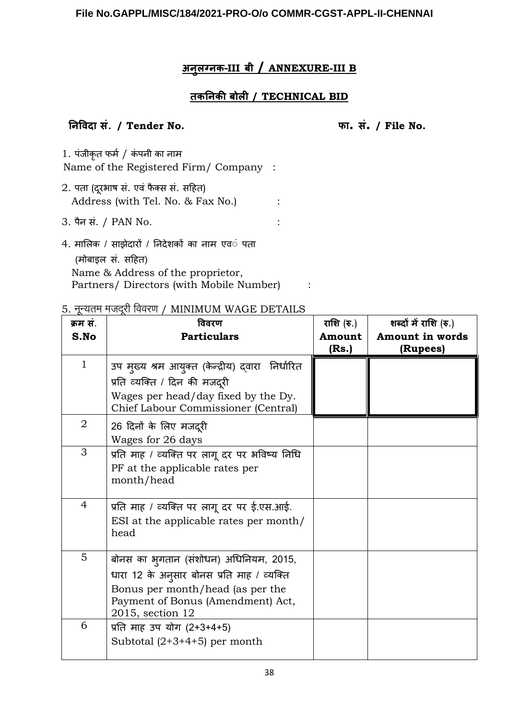# **अ ुलग् क–III बी / ANNEXURE-III B**

# **तकनि की बोली / TECHNICAL BID**

# **नि विदा सं**. **/ Tender No. फा. सं. / File No.**

1. पंजीकृत फर्म / कंपनी का नाम Name of the Registered Firm/ Company :

2. पता (दूरभाष सं. एवं फैक्स सं. सहित) Address (with Tel. No. & Fax No.) :

3. पैन सं. / PAN No.

4. मालिक / र्साझेदारों / निदेशकों का नाम एवं पता (मोबाइल र्सं. र्सहित) Name & Address of the proprietor, Partners/ Directors (with Mobile Number) :

# 5. नन्यतम मजदरी विवरण / MINIMUM WAGE DETAILS

| क्रम स.        | विवरण                                                                                                                                   | राशि (रु.)      | शब्दों में राशि (रु.)       |
|----------------|-----------------------------------------------------------------------------------------------------------------------------------------|-----------------|-----------------------------|
| S.No           | <b>Particulars</b>                                                                                                                      | Amount<br>(Rs.) | Amount in words<br>(Rupees) |
| $\mathbf{1}$   | उप मुख्य श्रम आयुक्त (केन्द्रीय) द्वारा  निर्धारित<br>प्रति व्यक्ति / दिन की मजदूरी<br>Wages per head/day fixed by the Dy.              |                 |                             |
|                | Chief Labour Commissioner (Central)                                                                                                     |                 |                             |
| $\overline{2}$ | 26 दिनों के लिए मजदूरी<br>Wages for 26 days                                                                                             |                 |                             |
| 3              | प्रति माह / व्यक्ति पर लागू दर पर भविष्य निधि<br>PF at the applicable rates per<br>month/head                                           |                 |                             |
| 4              | प्रति माह / व्यक्ति पर लागू दर पर ई.एस.आई.<br>ESI at the applicable rates per month/<br>head                                            |                 |                             |
| 5              | बोनस का भुगतान (संशोधन) अधिनियम, 2015,                                                                                                  |                 |                             |
|                | धारा 12 के अनुसार बोनस प्रति माह / व्यक्ति<br>Bonus per month/head (as per the<br>Payment of Bonus (Amendment) Act,<br>2015, section 12 |                 |                             |
| 6              | प्रति माह उप योग (2+3+4+5)<br>Subtotal $(2+3+4+5)$ per month                                                                            |                 |                             |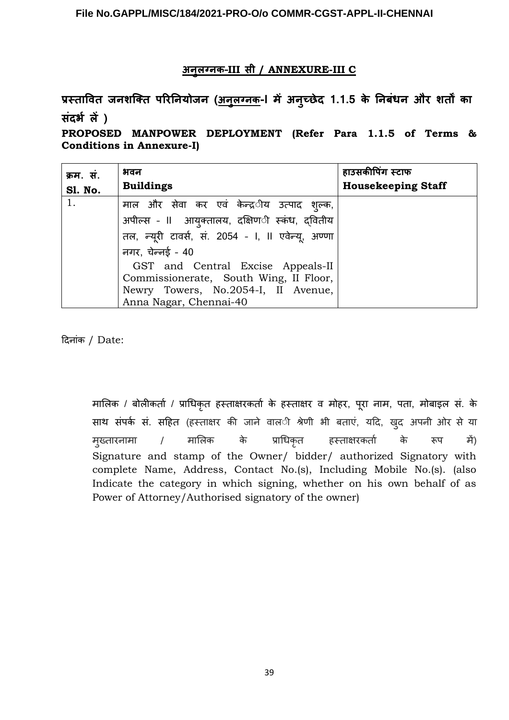# **अ ुलग् क–III सी / ANNEXURE-III C**

प्रस्तावित जनशक्ति परिनियोजन (<u>अनुलग्नक</u>-l में अनुच्छेद 1.1.5 के निबधन और शर्तों का **संदर्भ लें )**

**PROPOSED MANPOWER DEPLOYMENT (Refer Para 1.1.5 of Terms & Conditions in Annexure-I)**

| क्रम. स.<br><b>S1. No.</b> | भवन<br><b>Buildings</b>                                                                                                                                                                                                                                                                                     | हाउसकीपिंग स्टाफ<br><b>Housekeeping Staff</b> |
|----------------------------|-------------------------------------------------------------------------------------------------------------------------------------------------------------------------------------------------------------------------------------------------------------------------------------------------------------|-----------------------------------------------|
| 1.                         | माल और सेवा कर एवं केन्द्र <b>ीय उत्पाद श्</b> ल्क,<br>अपील्स - II आयुक्तालय, दक्षिण <b>ी स्कंध, दवितीय</b><br>तल, न्यूरी टावर्स, सं. 2054 - I, II एवेन्यू, अण्णा<br>नगर, चेन्नई - 40<br>GST and Central Excise Appeals-II<br>Commissionerate, South Wing, II Floor,<br>Newry Towers, No.2054-I, II Avenue, |                                               |
|                            | Anna Nagar, Chennai-40                                                                                                                                                                                                                                                                                      |                                               |

दिनांक / Date:

मालिक / बोलीकर्ता / प्राधिकृत हस्ताक्षरकर्ता के हस्ताक्षर व मोहर, पूरा नाम, पता, मोबाइल सं. के साथ संपर्क सं. सहित (हस्ताक्षर की जाने वाल**ी श्रेणी भी बताएं, यदि, खुद अपनी ओर** से या मुख्तारनामा / मालिक के प्राधिकृत हस्ताक्षरकर्ता के रूप में) Signature and stamp of the Owner/ bidder/ authorized Signatory with complete Name, Address, Contact No.(s), Including Mobile No.(s). (also Indicate the category in which signing, whether on his own behalf of as Power of Attorney/Authorised signatory of the owner)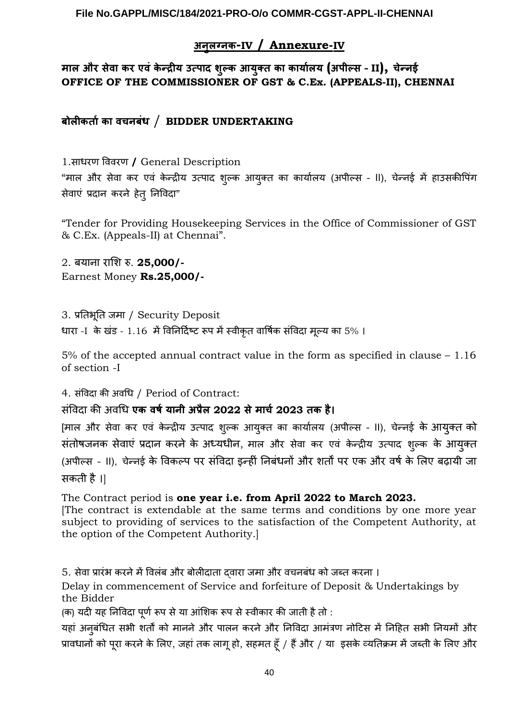# **अ ुलग् क- IV / Annexure- IV**

# **माल और सेवा कर एवं के न्द्रीय उत्पाद शुल्क आयुक्त का कार्यालय (अपील्स – II), चेन् ई OFFICE OF THE COMMISSIONER OF GST & C.Ex. (APPEALS-II), CHENNAI**

# **बोलीकर्ताका वच बंध** / **BIDDER UNDERTAKING**

1.र्साधरण विवरण **/** General Description "माल और र्सेवा कर एवं के न्द्रीय उत्पाद शुल्क आयुक्त का कार्यालय (अपील्र्स – II), चेन्नई में हाउर्सकीपिंग सेवाएं प्रदान करने हेतु निविदा"

"Tender for Providing Housekeeping Services in the Office of Commissioner of GST & C.Ex. (Appeals-II) at Chennai".

2. बयाना राशि रु. **25,000/-** Earnest Money **Rs.25,000/-**

3. प्रतिभूति जमा / Security Deposit धारा -I के खंड - 1.16 में विनिर्दिष्ट रूप में स्वीकृत वार्षिक संविदा मूल्य का 5% ।

5% of the accepted annual contract value in the form as specified in clause – 1.16 of section -I

4. र्संविदा की अवधि / Period of Contract:

# र्सविं दा की अवधि **एक वर्षया ी अप्रैल 2022 सेमार्च2023 तक है।**

[माल और र्सेवा कर एवं के न्द्रीय उत्पाद शुल्क आयुक्त का कार्यालय (अपील्र्स – II), चेन्नई के आयुक्त को र्संतोषजनक र्सेवाएं प्रदान करनेके अध्यधीन, माल और र्सेवा कर एवं के न्द्रीय उत्पाद शुल्क के आयुक्त (अपील्र्स – II), चेन्नई के विकल्प पर र्संविदा इन्हीं निबंधनों और शर्तों पर एक और वर्षके लिए बढ़ायी जा र्सकती है।]

The Contract period is **one year i.e. from April 2022 to March 2023.**

[The contract is extendable at the same terms and conditions by one more year subject to providing of services to the satisfaction of the Competent Authority, at the option of the Competent Authority.]

5. र्सेवा प्रारंभ करनेमेंविलंब और बोलीदाता द्वारा जमा और वचनबंध को जब्त करना ।

Delay in commencement of Service and forfeiture of Deposit & Undertakings by the Bidder

(क) यदी यह निविदा पूर्णरूप र्सेया आंशिक रूप र्सेस्वीकार की जाती हैतो :

यहां अनुबंधित सभी शर्तों को मानने और पालन करने और निविदा आमंत्रण नोटिस में निहित सभी नियमों और प्रावधानों को पूरा करनेके लिए, जहां तक लागूहो, र्सहमत हूँ/ हैंऔर / या इर्सके व्यतिक्रम मेंजब्ती के लिए और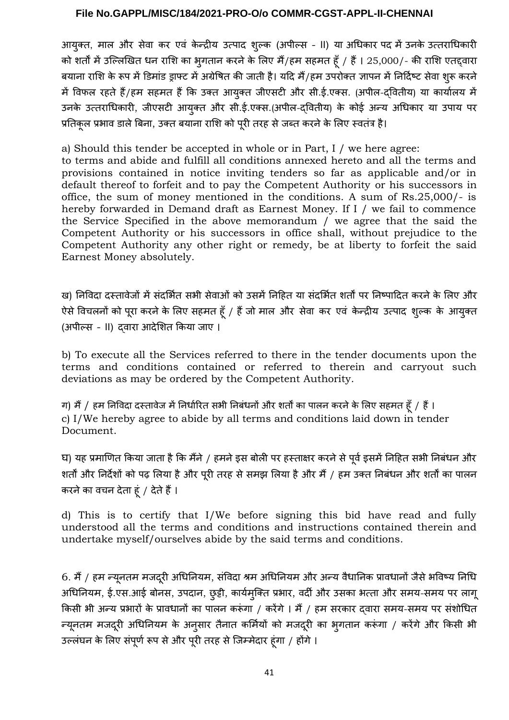आयुक्त, माल और सेवा कर एवं केन्द्रीय उत्पाद शुल्क (अपील्स - II) या अधिकार पद में उनके उत्तराधिकारी को शर्तों में उल्लिखित धन राशि का भुगतान करने के लिए मैं/हम सहमत हूँ / हैं। 25,000/- की राशि एतद्द्वारा बयाना राशि के रूप में डिमांड ड्राफ्ट में अग्रेषित की जाती है। यदि मैं/हम उपरोक्त ज्ञापन में निर्दिष्ट सेवा शुरू करने में विफल रहते हैं/हम सहमत हैं कि उक्त आयुक्त जीएसटी और सी.ई.एक्स. (अपील-द्वितीय) या कार्यालय में उनके उत्तराधिकारी, जीएर्सटी आयुक्त और र्सी.ई.एक्र्स.(अपील-द्वितीय) के कोई अन्य अधिकार या उपाय पर प्रतिकूल प्रभाव डाले बिना, उक्त बयाना राशि को पूरी तरह से जब्त करने के लिए स्वतंत्र है।

a) Should this tender be accepted in whole or in Part, I / we here agree:

to terms and abide and fulfill all conditions annexed hereto and all the terms and provisions contained in notice inviting tenders so far as applicable and/or in default thereof to forfeit and to pay the Competent Authority or his successors in office, the sum of money mentioned in the conditions. A sum of Rs.25,000/- is hereby forwarded in Demand draft as Earnest Money. If I / we fail to commence the Service Specified in the above memorandum / we agree that the said the Competent Authority or his successors in office shall, without prejudice to the Competent Authority any other right or remedy, be at liberty to forfeit the said Earnest Money absolutely.

ख) निविदा दस्तावेजों में संदर्भित सभी सेवाओं को उसमें निहित या संदर्भित शर्तों पर निष्पादित करने के लिए और ऐसे विचलनों को पूरा करने के लिए सहमत हूँ / हैं जो माल और सेवा कर एवं केन्द्रीय उत्पाद शुल्क के आयुक्त (अपील्र्स – II) द्वारा आदेशित किया जाए ।

b) To execute all the Services referred to there in the tender documents upon the terms and conditions contained or referred to therein and carryout such deviations as may be ordered by the Competent Authority.

ग) मैं / हम निविदा दस्तावेज में निर्धारित सभी निबंधनों और शर्तों का पालन करने के लिए सहमत हूँ / हैं। c) I/We hereby agree to abide by all terms and conditions laid down in tender Document.

घ) यह प्रमाणित किया जाता है कि मैंने / हमने इस बोली पर हस्ताक्षर करने से पूर्व इसमें निहित सभी निबंधन और शर्तों और निर्देशों को पढ़ लिया है और पूरी तरह से समझ लिया है और मैं / हम उक्त निबंधन और शर्तों का पालन करनेका वचन देता हूं / देतेहैं।

d) This is to certify that I/We before signing this bid have read and fully understood all the terms and conditions and instructions contained therein and undertake myself/ourselves abide by the said terms and conditions.

6. मैं / हम न्यूनतम मजदूरी अधिनियम, संविदा श्रम अधिनियम और अन्य वैधानिक प्रावधानों जैसे भविष्य निधि अधिनियम, ई.एर्स.आई बोनर्स, उपदान, छुट्टी, कार्यमुक्ति प्रभार, वर्दी और उर्सका भत्ता और र्समय-र्समय पर लागू किसी भी अन्य प्रभारों के प्रावधानों का पालन करूंगा / करेंगे । मैं / हम सरकार दवारा समय-समय पर संशोधित न्यूनतम मजदूरी अधिनियम के अनुसार तैनात कर्मियों को मजदूरी का भुगतान करूंगा / करेंगे और किसी भी उल्लंघन के लिए र्संपूर्णरूप र्सेऔर पूरी तरह र्सेजिम्मेदार हूंगा / होंगे।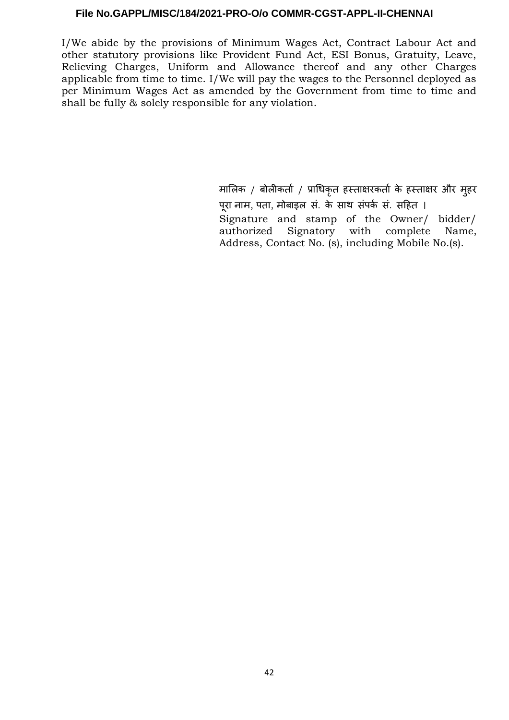I/We abide by the provisions of Minimum Wages Act, Contract Labour Act and other statutory provisions like Provident Fund Act, ESI Bonus, Gratuity, Leave, Relieving Charges, Uniform and Allowance thereof and any other Charges applicable from time to time. I/We will pay the wages to the Personnel deployed as per Minimum Wages Act as amended by the Government from time to time and shall be fully & solely responsible for any violation.

> मालिक / बोलीकर्ता / प्राधिकृत हस्ताक्षरकर्ता के हस्ताक्षर और मुहर पूरा नाम, पता, मोबाइल सं. के साथ संपर्क सं. सहित । Signature and stamp of the Owner/ bidder/ authorized Signatory with complete Name, Address, Contact No. (s), including Mobile No.(s).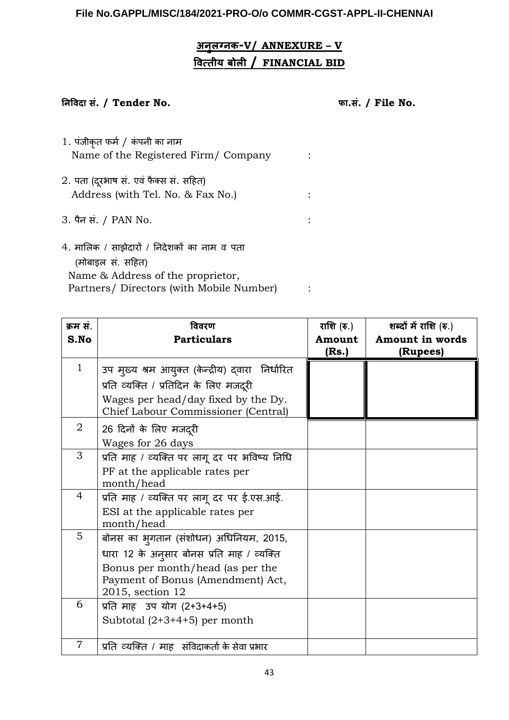# **अ ुलग् क- V / ANNEXURE – V वित्तीय बोली / FINANCIAL BID**

# **नि विदा सं. / Tender No. फा.सं. / File No.**

- 1. पंजीकृत फर्म/ कं पनी का नाम Name of the Registered Firm/ Company :
- 2. पता (दूरभाष सं. एवं फैक्स सं. सहित) Address (with Tel. No. & Fax No.) :
- 3. पैन र्सं. / PAN No. :
- 4. मालिक / र्साझेदारों / निदेशकों का नाम व पता (मोबाइल र्सं. र्सहित) Name & Address of the proprietor, Partners/ Directors (with Mobile Number) :

| क्रम सं.       | विवरण                                                                      | राशि $(\bar{\mathbf{v}}_n)$ | शब्दों में राशि (रु.) |
|----------------|----------------------------------------------------------------------------|-----------------------------|-----------------------|
| S.No           | <b>Particulars</b>                                                         | Amount                      | Amount in words       |
|                |                                                                            | (Rs.)                       | (Rupees)              |
| $\mathbf{1}$   | उप मुख्य श्रम आयुक्त (केन्द्रीय) द्वारा) निर्धारित                         |                             |                       |
|                | प्रति व्यक्ति / प्रतिदिन के लिए मजदूरी                                     |                             |                       |
|                | Wages per head/day fixed by the Dy.<br>Chief Labour Commissioner (Central) |                             |                       |
| $\overline{2}$ | 26 दिनों के लिए मजदूरी                                                     |                             |                       |
|                | Wages for 26 days                                                          |                             |                       |
| 3              | प्रति माह / व्यक्ति पर लागू दर पर भविष्य निधि                              |                             |                       |
|                | PF at the applicable rates per                                             |                             |                       |
|                | month/head                                                                 |                             |                       |
| $\overline{4}$ | प्रति माह / व्यक्ति पर लागू दर पर ई.एस.आई.                                 |                             |                       |
|                | ESI at the applicable rates per                                            |                             |                       |
|                | month/head                                                                 |                             |                       |
| $5^{\circ}$    | बोनस का भुगतान (संशोधन) अधिनियम, 2015,                                     |                             |                       |
|                | धारा 12 के अनुसार बोनस प्रति माह / व्यक्ति                                 |                             |                       |
|                | Bonus per month/head (as per the                                           |                             |                       |
|                | Payment of Bonus (Amendment) Act,                                          |                             |                       |
|                | 2015, section 12                                                           |                             |                       |
| 6              | प्रति माह उप योग (2+3+4+5)                                                 |                             |                       |
|                | Subtotal $(2+3+4+5)$ per month                                             |                             |                       |
| $\overline{7}$ | प्रति व्यक्ति / माह) संविदाकर्ता के सेवा प्रभार                            |                             |                       |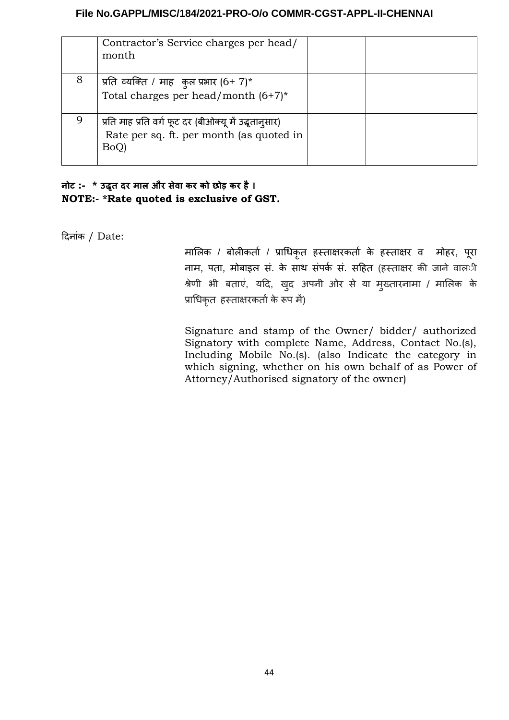|   | Contractor's Service charges per head/<br>month                                                            |  |
|---|------------------------------------------------------------------------------------------------------------|--|
| 8 | प्रति व्यक्ति / माह कुल प्रभार $(6+7)^*$<br>Total charges per head/month $(6+7)^*$                         |  |
|   | प्रति माह प्रति वर्ग फूट दर (बीओक्यू में उद्धृतानुसार)<br>Rate per sq. ft. per month (as quoted in<br>BoQ) |  |

# **ो4 :- \* उद्धृत दर माल और सेवा कर को छोड़ कर है। NOTE:- \*Rate quoted is exclusive of GST.**

दिनांक / Date:

मालिक / बोलीकर्ता / प्राधिकृत हस्ताक्षरकर्ता के हस्ताक्षर व मोहर, परा ू नाम, पता, मोबाइल सं. के साथ संपर्क सं. सहित (हस्ताक्षर की जाने वाल**ी** श्रेणी भी बताएं, यदि, खुद अपनी ओर र्से या मुख्तारनामा / मालिक के प्राधिकृत हस्ताक्षरकर्ताके रूप में)

Signature and stamp of the Owner/ bidder/ authorized Signatory with complete Name, Address, Contact No.(s), Including Mobile No.(s). (also Indicate the category in which signing, whether on his own behalf of as Power of Attorney/Authorised signatory of the owner)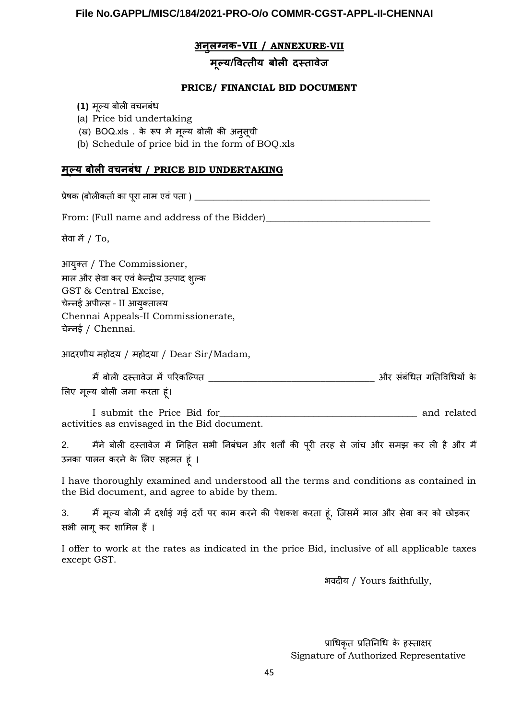#### **अ ुलग् क- VII / ANNEXURE-VII**

# **मूल्य/वित्तीय बोली दस्तावेज**

#### **PRICE/ FINANCIAL BID DOCUMENT**

- **(1)** मूल्य बोली वचनबंध
- (a) Price bid undertaking

(ख) BOQ.xls . के रूप में मूल्य बोली की अनुर्सूची

(b) Schedule of price bid in the form of BOQ.xls

### **मूल्य बोली वच बंध / PRICE BID UNDERTAKING**

प्रेषक (बोलीकर्ताका पूरा नाम एवं पता ) \_\_\_\_\_\_\_\_\_\_\_\_\_\_\_\_\_\_\_\_\_\_\_\_\_\_\_\_\_\_\_\_\_\_\_\_\_\_\_\_\_\_\_\_\_\_\_\_\_\_

From: (Full name and address of the Bidder)\_\_\_\_\_\_\_\_\_\_\_\_\_\_\_\_\_\_\_\_\_\_\_\_\_\_\_\_\_\_\_\_\_\_\_

र्सेवा में/ To,

आयुक्त / The Commissioner, माल और र्सेवा कर एवं के न्द्रीय उत्पाद शुल्क GST & Central Excise, चेन्नई अपील्र्स – II आयुक्तालय Chennai Appeals-II Commissionerate, चेन्नई / Chennai.

आदरणीय महोदय / महोदया / Dear Sir/Madam,

म बोली दस्तावेज म ैं ें परिकल्पित \_\_\_\_\_\_\_\_\_\_\_\_\_\_\_\_\_\_\_\_\_\_\_\_\_\_\_\_\_\_\_\_\_\_ और र्संबंधित गतिविधियों के लिए मूल्य बोली जमा करता हूं।

I submit the Price Bid for\_\_\_\_\_\_\_\_\_\_\_\_\_\_\_\_\_\_\_\_\_\_\_\_\_\_\_\_\_\_\_\_\_\_\_\_\_\_\_\_\_\_ and related activities as envisaged in the Bid document.

2. मैंने बोली दस्तावेज में निहित सभी निबंधन और शर्तों की पूरी तरह से जांच और समझ कर ली है और मैं उनका पालन करने के लिए र्सहमत हूं ।

I have thoroughly examined and understood all the terms and conditions as contained in the Bid document, and agree to abide by them.

3. म मैं ूल्य बोली में दर्शाई गई दरों पर काम करने की पेशकश करता हूं, जिर्समें माल और र्सेवा कर को छोड़कर र्सभी लागू कर शामिल हैं।

I offer to work at the rates as indicated in the price Bid, inclusive of all applicable taxes except GST.

भवदीय / Yours faithfully,

प्राधिकृत प्रतिनिधि के हस्ताक्षर Signature of Authorized Representative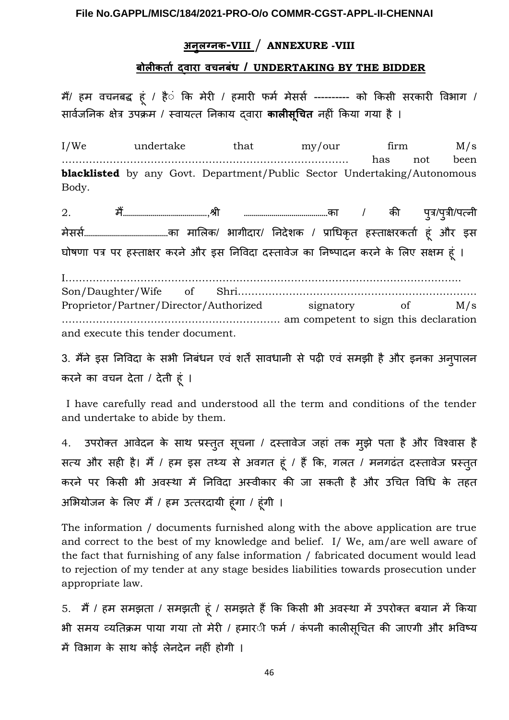# **अ ुलग् क- VII I** / **ANNEXURE -VIII**

# **बोली कर्ता द्वारा वच बंध / UNDERTAKING BY THE BIDDER**

मैं/ हम वचनबद्ध हूं / है**ं कि मेरी / हमारी फर्म मेसर्स ---------** को किसी सरकारी विभाग / र्सार्वजनिक क्षेत्र उपक्रम / स्वायत्त निकाय द्वारा **कालीसूचित** नहीं किया गया है ।

I/We undertake that my/our firm M/s ………………………………………………………………………… has not been **blacklisted** by any Govt. Department/Public Sector Undertaking/Autonomous Body.

2. म…………………………………… ैं ,श्री ……………………………………का / की पुत्र/पुत्री/पत्नी मेर्सर्स……………………………………का मालिक/ भागीदार/ निदेशक / प्राधिकृत हस्ताक्षरकर्ता हूं और इर्स घोषणा पत्र पर हस्ताक्षर करने और इर्स निविदा दस्तावेज का निष्पादन करने के लिए र्सक्षम हूं ।

I…………………………………………………………………………………………………….. Son/Daughter/Wife of Shri……………………………………………………………. Proprietor/Partner/Director/Authorized signatory of M/s ………………………………………………………. am competent to sign this declaration and execute this tender document.

3. मैंने इस निविदा के सभी निबंधन एवं शर्तें सावधानी से पढ़ी एवं समझी है और इनका अनुपालन करने का वचन देता / देती हूं ।

I have carefully read and understood all the term and conditions of the tender and undertake to abide by them.

4. उपरोक्त आवेदन के साथ प्रस्तुत सूचना / दस्तावेज जहां तक मुझे पता है और विश्वास है र्सत्य और सही है। मैं / हम इस तथ्य से अवगत हूं / हैं कि, गलत / मनगढंत दस्तावेज प्रस्तुत करने पर किसी भी अवस्था में निविदा अस्वीकार की जा सकती है और उचित विधि के तहत अभियोजन के लिए मैं/ हम उत्तरदायी हूंगा / हूंगी ।

The information / documents furnished along with the above application are true and correct to the best of my knowledge and belief. I/ We, am/are well aware of the fact that furnishing of any false information / fabricated document would lead to rejection of my tender at any stage besides liabilities towards prosecution under appropriate law.

5. मैं / हम समझता / समझती हूं / समझते हैं कि किसी भी अवस्था में उपरोक्त बयान में किया भी समय व्यतिक्रम पाया गया तो मेरी / हमार*ी फर्म / कंपनी कालीसूचित की जाएगी और भ*विष्य में विभाग के साथ कोई लेनदेन नहीं होगी ।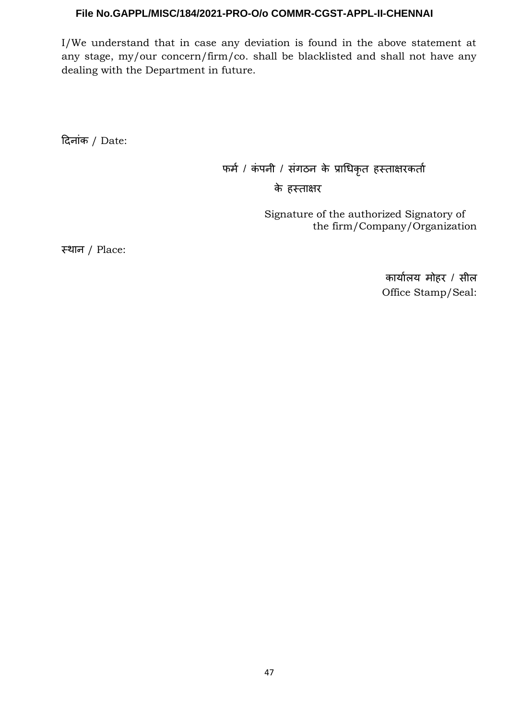I/We understand that in case any deviation is found in the above statement at any stage, my/our concern/firm/co. shall be blacklisted and shall not have any dealing with the Department in future.

दिनांक / Date:

 फर्म / कं पनी / र्संगठन के प्राधिकृत हस्ताक्षरकर्ता के हस्ताक्षर

> Signature of the authorized Signatory of the firm/Company/Organization

स्थान / Place:

कार्यालय मोहर / र्सील Office Stamp/Seal: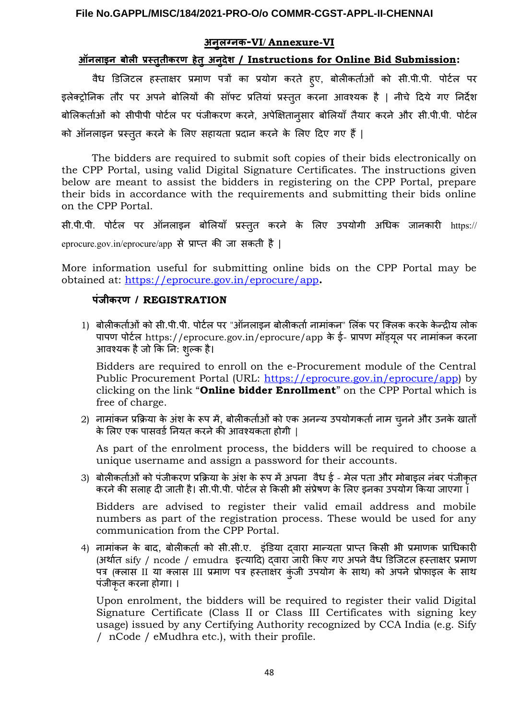#### **अ ुलग् क- VI / Annexure-VI**

# **ऑ लाइ बोली प्रस्तुतीकरण हेतु अ ुदेश / Instructions for Online Bid Submission:**

वैध डिजिटल हस्ताक्षर प्रमाण पत्रों का प्रयोग करते हुए, बोलीकर्ताओं को र्सी.पी.पी. पोर्टल पर इलेक्ट्रोनिक तौर पर अपने बोलियों की र्सॉफ्ट प्रतियां प्रस्तुत करना आवश्यक है | नीचे दिये गए निर्देश बोलिकर्ताओं को र्सीपीपी पोर्टल पर पंजीकरण करने, अपेक्षितानुर्सार बोलियाँ तैयार करने और र्सी.पी.पी. पोर्टल को ऑनलाइन प्रस्तुत करने के लिए र्सहायता प्रदान करने के लिए दिए गए हैं|

The bidders are required to submit soft copies of their bids electronically on the CPP Portal, using valid Digital Signature Certificates. The instructions given below are meant to assist the bidders in registering on the CPP Portal, prepare their bids in accordance with the requirements and submitting their bids online on the CPP Portal.

र्सी.पी.पी. पोर्टल पर ऑनलाइन बोलियाँ प्रस्तुत करने के लिए उपयोगी अधिक जानकारी https:// eprocure.gov.in/eprocure/app र्से प्राप्त की जा र्सकती है |

More information useful for submitting online bids on the CPP Portal may be obtained at: <https://eprocure.gov.in/eprocure/app>**.**

#### **पंजीकरण / REGISTRATION**

1) बोलीकर्ताओं को सी.पी.पी. पोर्टल पर "ऑनलाइन बोलीकर्ता नामांकन" लिंक पर क्लिक करके केन्द्रीय लोक पापण पोर्टल https://eprocure.gov.in/eprocure/app के ई- प्रापण मॉड्यूल पर नामांकन करना आवश्यक हैजो कि नि: शुल्क है।

Bidders are required to enroll on the e-Procurement module of the Central Public Procurement Portal (URL: <https://eprocure.gov.in/eprocure/app>) by clicking on the link "**Online bidder Enrollment**" on the CPP Portal which is free of charge.

2) नामांकन प्रक्रिया के अंश के रूप में, बोलीकर्ताओं को एक अनन्य उपयोगकर्तानाम चुननेऔर उनके खातों के लिए एक पार्सवर्डनियत करनेकी आवश्यकता होगी |

As part of the enrolment process, the bidders will be required to choose a unique username and assign a password for their accounts.

3) बोलीकर्ताओं को पंजीकरण प्रक्रिया के अंश के रूप में अपना वैध ई - मेल पता और मोबाइल नंबर पंजीकृत करनेकी र्सलाह दी जाती है। र्सी.पी.पी. पोर्टल र्सेकिर्सी भी र्संप्रेषण के लिए इनका उपयोग किया जाएगा ।

Bidders are advised to register their valid email address and mobile numbers as part of the registration process. These would be used for any communication from the CPP Portal.

4) नामांकन के बाद, बोलीकर्ता को र्सी.र्सी.ए. इंडिया द्वारा मान्यता प्राप्त किर्सी भी प्रमाणक प्राधिकारी (अर्थात sify / ncode / emudra इत्यादि) द्वारा जारी किए गए अपनेवैध डिजिटल हस्ताक्षर प्रमाण पत्र (क्लास II या क्लास III प्रमाण पत्र हस्ताक्षर कुंजी उपयोग के साथ) को अपने प्रोफाइल के साथ पंजीकृत करना होगा। ।

Upon enrolment, the bidders will be required to register their valid Digital Signature Certificate (Class II or Class III Certificates with signing key usage) issued by any Certifying Authority recognized by CCA India (e.g. Sify / nCode / eMudhra etc.), with their profile.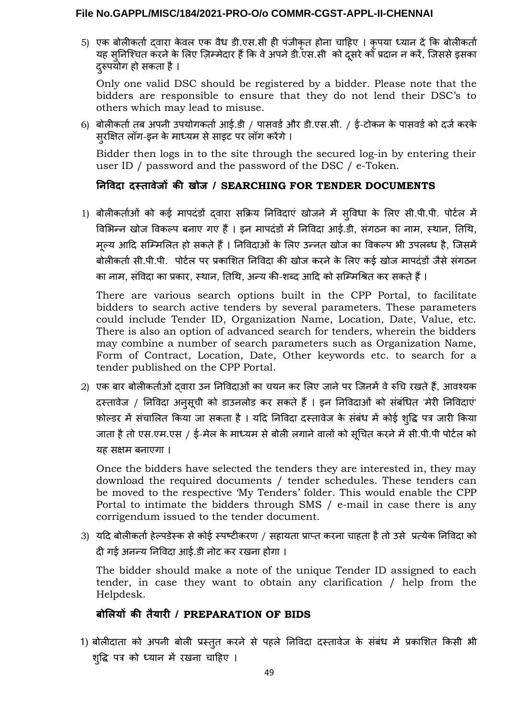5) एक बोलीकर्ता द्वारा के वल एक वैध डी.एर्स.र्सी ही पंजीकृत होना चाहिए । कृपया ध्यान देंकि बोलीकर्ता यह सुनिश्चित करने के लिए ज़िम्मेदार हैं कि वे अपने डी.एस.सी को दूसरे को प्रदान न करें, जिससे इसका दरुपयोग हो सकता है ।

Only one valid DSC should be registered by a bidder. Please note that the bidders are responsible to ensure that they do not lend their DSC's to others which may lead to misuse.

6) बोलीकर्ता तब अपनी उपयोगकर्ता आई.डी / पासवर्ड और डी.एस.सी. / ई-टोकन के पासवर्ड को दर्ज करके र्सुरक्षित लॉग-इन के माध्यम र्सेर्साइट पर लॉग करेंगे।

Bidder then logs in to the site through the secured log-in by entering their user ID / password and the password of the DSC / e-Token.

# **नि विदा दस्तावेजों की खोज / SEARCHING FOR TENDER DOCUMENTS**

1) बोलीकर्ताओं को कई मापदंडों द्वारा र्सक्रिय निविदाएं खोजने में र्सुविधा के लिए र्सी.पी.पी. पोर्टल में विभिन्न खोज विकल्प बनाए गए हैं । इन मापदंडों में निविदा आई.डी, संगठन का नाम, स्थान, तिथि, मूल्य आदि र्सम्मिलित हो र्सकतेहैं। निविदाओं के लिए उन्नत खोज का विकल्प भी उपलब्ध है, जिर्समें बोलीकर्ता सी.पी.पी. पोर्टल पर प्रकाशित निविदा की खोज करने के लिए कई खोज मापदंडों जैसे संगठन का नाम, संविदा का प्रकार, स्थान, तिथि, अन्य की-शब्द आदि को सम्मिश्रित कर सकते हैं ।

There are various search options built in the CPP Portal, to facilitate bidders to search active tenders by several parameters. These parameters could include Tender ID, Organization Name, Location, Date, Value, etc. There is also an option of advanced search for tenders, wherein the bidders may combine a number of search parameters such as Organization Name, Form of Contract, Location, Date, Other keywords etc. to search for a tender published on the CPP Portal.

2) एक बार बोलीकर्ताओं द्वारा उन निविदाओं का चयन कर लिए जानेपर जिनमेंवेरुचि रखतेहैं, आवश्यक दस्तावेज / निविदा अनुर्सूची को डाउनलोड कर र्सकते हैं। इन निविदाओं को र्संबंधित 'मेरी निविदाएं' फ़ोल्डर में संचालित किया जा सकता है। यदि निविदा दस्तावेज के संबंध में कोई शुद्धि पत्र जारी किया जाता है तो एस.एम.एस / ई-मेल के माध्यम से बोली लगाने वालों को सूचित करने में सी.पी.पी पोर्टल को यह र्सक्षम बनाएगा ।

Once the bidders have selected the tenders they are interested in, they may download the required documents / tender schedules. These tenders can be moved to the respective 'My Tenders' folder. This would enable the CPP Portal to intimate the bidders through SMS / e-mail in case there is any corrigendum issued to the tender document.

3) यदि बोलीकर्ताहेल्पडेस्क र्सेकोई स्पष्टीकरण / र्सहायता प्राप्त करना चाहता हैतो उर्से प्रत्येक निविदा को दी गई अनन्य निविदा आई.डी नोट कर रखना होगा ।

The bidder should make a note of the unique Tender ID assigned to each tender, in case they want to obtain any clarification / help from the Helpdesk.

# **बोलियों की तैयारी / PREPARATION OF BIDS**

1) बोलीदाता को अपनी बोली प्रस्तुत करने र्से पहले निविदा दस्तावेज के र्संबंध में प्रकाशित किर्सी भी शुद्धि पत्र को ध्यान में रखना चाहिए ।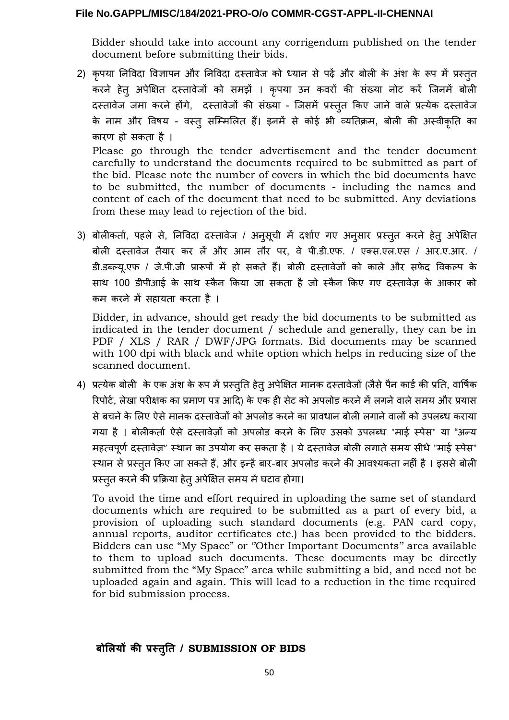Bidder should take into account any corrigendum published on the tender document before submitting their bids.

- 2) कृपया निविदा विज्ञापन और निविदा दस्तावेज को ध्यान र्से पढ़ें और बोली के अंश के रूप में प्रस्तुत करने हेतु अपेक्षित दस्तावेजों को र्समझें । कृपया उन कवरों की र्संख्या नोट करें जिनमें बोली दस्तावेज जमा करने होंगे, दस्तावेजों की र्संख्या - जिर्समें प्रस्तुत किए जाने वाले प्रत्येक दस्तावेज के नाम और विषय - वस्तु र्सम्मिलित हैं। इनमें र्से कोई भी व्यतिक्रम, बोली की अस्वीकृति का कारण हो र्सकता है । Please go through the tender advertisement and the tender document carefully to understand the documents required to be submitted as part of the bid. Please note the number of covers in which the bid documents have to be submitted, the number of documents - including the names and content of each of the document that need to be submitted. Any deviations
- 3) बोलीकर्ता, पहले र्से, निविदा दस्तावेज / अनुर्सूची में दर्शाए गए अनुर्सार प्रस्तुत करने हेतु अपेक्षित बोली दस्तावेज तैयार कर लें और आम तौर पर, वे पी.डी.एफ. / एक्र्स.एल.एर्स / आर.ए.आर. / डी.डब्ल्यू.एफ / जे.पी.जी प्रारूपों में हो सकते हैं। बोली दस्तावेजों को काले और सफेद विकल्प के साथ 100 डीपीआई के साथ स्कैन किया जा सकता है जो स्कैन किए गए दस्तावेज़ के आकार को कम करने में र्सहायता करता है ।

Bidder, in advance, should get ready the bid documents to be submitted as indicated in the tender document / schedule and generally, they can be in PDF / XLS / RAR / DWF/JPG formats. Bid documents may be scanned with 100 dpi with black and white option which helps in reducing size of the scanned document.

4) प्रत्येक बोली के एक अंश के रूप में प्रस्तुति हेतु अपेक्षित मानक दस्तावेजों (जैसे पैन कार्ड की प्रति, वार्षिक रिपोर्ट, लेखा परीक्षक का प्रमाण पत्र आदि) के एक ही सेट को अपलोड करने में लगने वाले समय और प्रयास र्सेबचनेके लिए ऐर्सेमानक दस्तावेजों को अपलोड करनेका प्रावधान बोली लगानेवालों को उपलब्ध कराया गया है । बोलीकर्ता ऐर्से दस्तावेज़ों को अपलोड करने के लिए उर्सको उपलब्ध "माई स्पेर्स" या "अन्य महत्वपूर्ण दस्तावेज़" स्थान का उपयोग कर सकता है। ये दस्तावेज़ बोली लगाते समय सीधे "माई स्पेस" स्nान र्सेप्रस्तुत किए जा र्सकतेहैं, और इन्हेंबार-बार अपलोड करनेकी आवश्यकता नहीं है। इर्सर्सेबोली प्रस्तुत करने की प्रक्रिया हेत् अपेक्षित समय में घटाव होगा।

To avoid the time and effort required in uploading the same set of standard documents which are required to be submitted as a part of every bid, a provision of uploading such standard documents (e.g. PAN card copy, annual reports, auditor certificates etc.) has been provided to the bidders. Bidders can use "My Space" or ''Other Important Documents'' area available to them to upload such documents. These documents may be directly submitted from the "My Space" area while submitting a bid, and need not be uploaded again and again. This will lead to a reduction in the time required for bid submission process.

# **बोलियों की प्रस्ततिु / SUBMISSION OF BIDS**

from these may lead to rejection of the bid.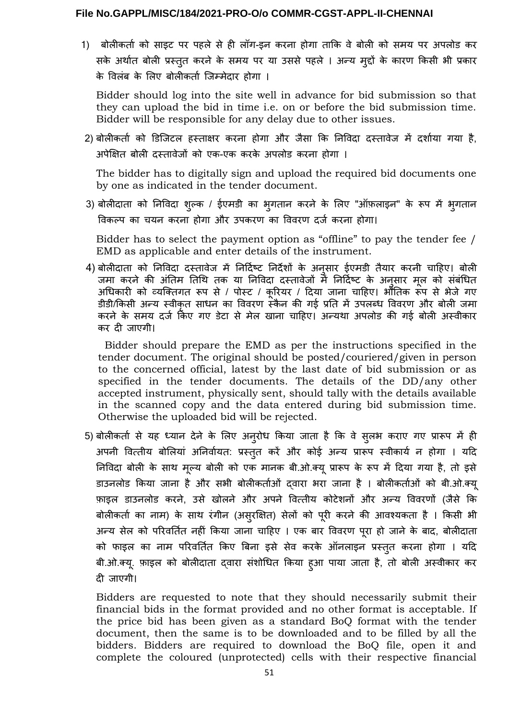1) बोलीकर्ता को र्साइट पर पहले र्से ही लॉग-इन करना होगा ताकि वे बोली को र्समय पर अपलोड कर र्सके अर्थात बोली प्रस्तुत करने के र्समय पर या उर्सर्से पहले । अन्य मुद्दों के कारण किर्सी भी प्रकार के विलंब के लिए बोलीकर्ता जिम्मेदार होगा ।

Bidder should log into the site well in advance for bid submission so that they can upload the bid in time i.e. on or before the bid submission time. Bidder will be responsible for any delay due to other issues.

2) बोलीकर्ता को डिजिटल हस्ताक्षर करना होगा और जैर्सा कि निविदा दस्तावेज में दर्शाया गया है, अपेक्षित बोली दस्तावेजों को एक-एक करके अपलोड करना होगा ।

The bidder has to digitally sign and upload the required bid documents one by one as indicated in the tender document.

3) बोलीदाता को निविदा शुल्क / ईएमडी का भुगतान करने के लिए "ऑफ़लाइन" के रूप में भुगतान विकल्प का चयन करना होगा और उपकरण का विवरण दर्ज करना होगा।

Bidder has to select the payment option as "offline" to pay the tender fee / EMD as applicable and enter details of the instrument.

4) बोलीदाता को निविदा दस्तावेज में निर्दिष्ट निर्देशों के अनुर्सार ईएमडी तैयार करनी चाहिए। बोली जमा करने की अंतिम तिथि तक या निविदा दस्तावेजों में निर्दिष्ट के अनुसार मूल को संबंधित अधिकारी को व्यक्तिगत रूप र्से / पोस्ट / कूरियर / दिया जाना चाहिए। भौतिक रूप र्से भेजे गए डीडी/किसी अन्य स्वीकत साधन का विवरण स्कैन की गई प्रति में उपलब्ध विवरण और बोली जमा करने के समय दर्ज किए गए डेटा से मेल खाना चाहिए। अन्यथा अपलोड की गई बोली अस्वीकार कर दी जाएगी।

 Bidder should prepare the EMD as per the instructions specified in the tender document. The original should be posted/couriered/given in person to the concerned official, latest by the last date of bid submission or as specified in the tender documents. The details of the DD/any other accepted instrument, physically sent, should tally with the details available in the scanned copy and the data entered during bid submission time. Otherwise the uploaded bid will be rejected.

5) बोलीकर्ता र्से यह ध्यान देने के लिए अनुरोध किया जाता है कि वे र्सुलभ कराए गए प्रारूप में ही अपनी वित्तीय बोलियां अनिर्वायत: प्रस्तुत करें और कोई अन्य प्रारूप स्वीकार्य न होगा । यदि निविदा बोली के र्साn मूल्य बोली को एक मानक बी.ओ.क्यूप्रारूप के रूप में दिया गया है, तो इर्से डाउनलोड किया जाना है और र्सभी बोलीकर्ताओं द्वारा भरा जाना है । बोलीकर्ताओं को बी.ओ.क्यू फ़ाइल डाउनलोड करने, उर्से खोलने और अपने वित्तीय कोटेशनों और अन्य विवरणों (जैर्से कि बोलीकर्ता का नाम) के साथ रंगीन (असुरक्षित) सेलों को पूरी करने की आवश्यकता है । किसी भी अन्य र्सेल को परिवर्तित नहीं किया जाना चाहिए । एक बार विवरण पूरा हो जाने के बाद, बोलीदाता को फाइल का नाम परिवर्तित किए बिना इर्से र्सेव करके ऑनलाइन प्रस्तुत करना होगा । यदि बी.ओ.क्यू. फ़ाइल को बोलीदाता द्वारा र्संशोधित किया हुआ पाया जाता है, तो बोली अस्वीकार कर दी जाएगी।

Bidders are requested to note that they should necessarily submit their financial bids in the format provided and no other format is acceptable. If the price bid has been given as a standard BoQ format with the tender document, then the same is to be downloaded and to be filled by all the bidders. Bidders are required to download the BoQ file, open it and complete the coloured (unprotected) cells with their respective financial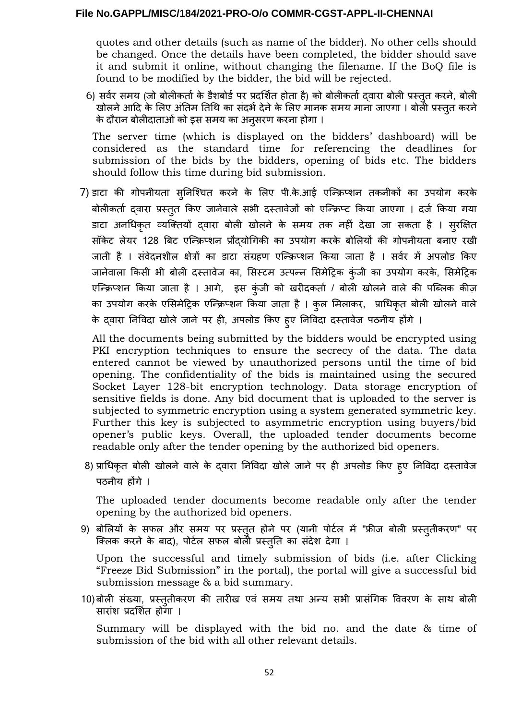quotes and other details (such as name of the bidder). No other cells should be changed. Once the details have been completed, the bidder should save it and submit it online, without changing the filename. If the BoQ file is found to be modified by the bidder, the bid will be rejected.

6) र्सर्वर र्समय (जो बोलीकर्ता के डैशबोर्डपर प्रदर्शित होता है) को बोलीकर्ता द्वारा बोली प्रस्तुत करने, बोली खोलने आदि के लिए अंतिम तिथि का संदर्भ देने के लिए मानक समय माना जाएगा । बोलेी प्रस्तुत करने के दौरान बोलीदाताओं को इर्स र्समय का अनुर्सरण करना होगा ।

The server time (which is displayed on the bidders' dashboard) will be considered as the standard time for referencing the deadlines for submission of the bids by the bidders, opening of bids etc. The bidders should follow this time during bid submission.

7) डाटा की गोपनीयता र्सुनिश्चित करने के लिए पी.के.आई एन्क्रिप्शन तकनीकों का उपयोग करके बोलीकर्ता द्वारा प्रस्तुत किए जानेवाले र्सभी दस्तावेजों को एन्क्रिप्ट किया जाएगा । दर्ज किया गया डाटा अनधिकृत व्यक्तियों द्वारा बोली खोलने के र्समय तक नहीं देखा जा र्सकता है । र्सुरक्षित र्सॉके ट लेयर 128 बिट एन्क्रिप्शन प्रौद्योगिकी का उपयोग करके बोलियों की गोपनीयता बनाए रखी जाती है । र्संवेदनशील क्षेत्रों का डाटा र्संग्रहण एन्क्रिप्शन किया जाता है । र्सर्वर में अपलोड किए जानेवाला किसी भी बोली दस्तावेज का, सिस्टम उत्पन्न सिमेट्रिक कुंजी का उपयोग करके, सिमेट्रिक एन्क्रिप्शन किया जाता है । आगे, इस कुंजी को खरीदकर्ता / बोली खोलने वाले की पब्लिक कीज़ का उपयोग करके एभिर्समेट्रिक एन्क्रिप्शन किया जाता है । कुल मिलाकर, प्राधिकृत बोली खोलने वाले के द्वारा निविदा खोले जाने पर ही, अपलोड किए हुए निविदा दस्तावेज पठनीय होंगे ।

All the documents being submitted by the bidders would be encrypted using PKI encryption techniques to ensure the secrecy of the data. The data entered cannot be viewed by unauthorized persons until the time of bid opening. The confidentiality of the bids is maintained using the secured Socket Layer 128-bit encryption technology. Data storage encryption of sensitive fields is done. Any bid document that is uploaded to the server is subjected to symmetric encryption using a system generated symmetric key. Further this key is subjected to asymmetric encryption using buyers/bid opener's public keys. Overall, the uploaded tender documents become readable only after the tender opening by the authorized bid openers.

8) प्राधिकृत बोली खोलने वाले के द्वारा निविदा खोले जाने पर ही अपलोड किए हुए निविदा दस्तावेज पठनीय होंगे ।

The uploaded tender documents become readable only after the tender opening by the authorized bid openers.

9) बोलियों के र्सफल और र्समय पर प्रस्तुत होने पर (यानी पोर्टल में "फ्रीज बोली प्रस्तुतीकरण" पर क्लिक करने के बाद), पोर्टल र्सफल बोली प्रस्तुति का र्संदेश देगा ।

Upon the successful and timely submission of bids (i.e. after Clicking "Freeze Bid Submission" in the portal), the portal will give a successful bid submission message & a bid summary.

10)बोली संख्या, प्रस्तुतीकरण की तारीख एवं समय तथा अन्य सभी प्रासंगिक विवरण के साथ बोली र्सारांश प्रदर्शित होगा ।

Summary will be displayed with the bid no. and the date & time of submission of the bid with all other relevant details.